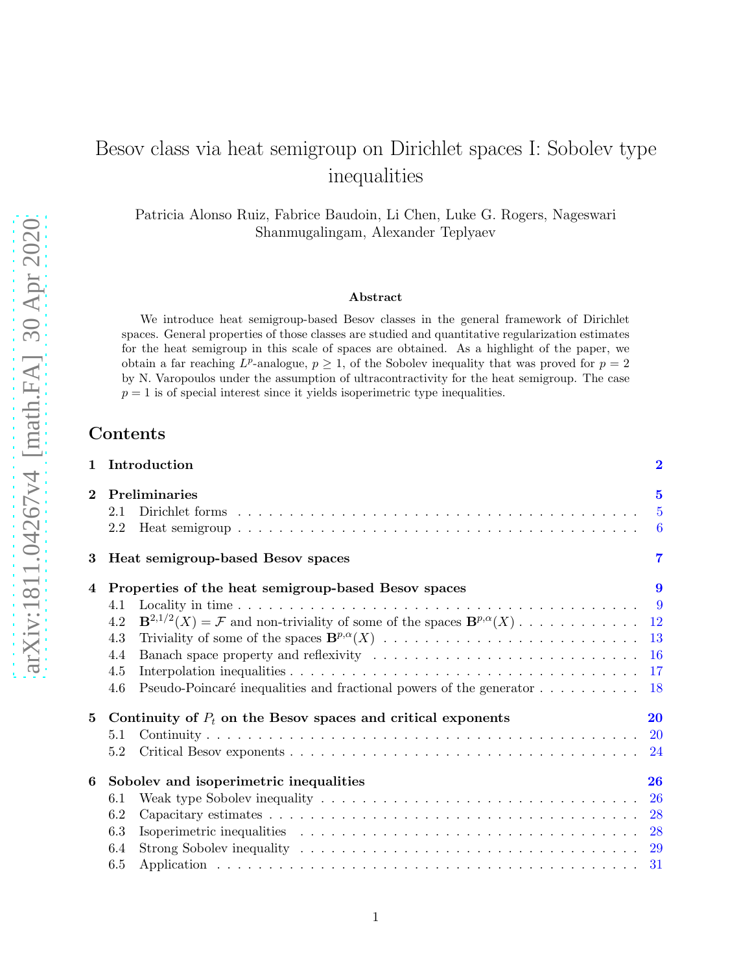# Besov class via heat semigroup on Dirichlet spaces I: Sobolev type inequalities

Patricia Alonso Ruiz, Fabrice Baudoin, Li Chen, Luke G. Rogers, Nageswari Shanmugalingam, Alexander Teplyaev

### Abstract

We introduce heat semigroup-based Besov classes in the general framework of Dirichlet spaces. General properties of those classes are studied and quantitative regularization estimates for the heat semigroup in this scale of spaces are obtained. As a highlight of the paper, we obtain a far reaching  $L^p$ -analogue,  $p \geq 1$ , of the Sobolev inequality that was proved for  $p = 2$ by N. Varopoulos under the assumption of ultracontractivity for the heat semigroup. The case  $p = 1$  is of special interest since it yields isoperimetric type inequalities.

## Contents

|                 | 1 Introduction                                                                                                                                                          | $\overline{\mathbf{2}}$ |
|-----------------|-------------------------------------------------------------------------------------------------------------------------------------------------------------------------|-------------------------|
| $\mathbf{2}$    | Preliminaries<br>2.1<br>2.2                                                                                                                                             | $\overline{\mathbf{5}}$ |
| 3               | Heat semigroup-based Besov spaces                                                                                                                                       | $\overline{7}$          |
| 4               | Properties of the heat semigroup-based Besov spaces<br>4.1<br>4.2<br>4.3<br>4.4<br>4.5<br>Pseudo-Poincaré inequalities and fractional powers of the generator 18<br>4.6 | 9                       |
| $5\overline{)}$ | Continuity of $P_t$ on the Besov spaces and critical exponents<br>5.1<br>5.2                                                                                            | 20                      |
| 6               | Sobolev and isoperimetric inequalities<br>6.1<br>6.2<br>6.3<br>6.4<br>6.5                                                                                               | 26                      |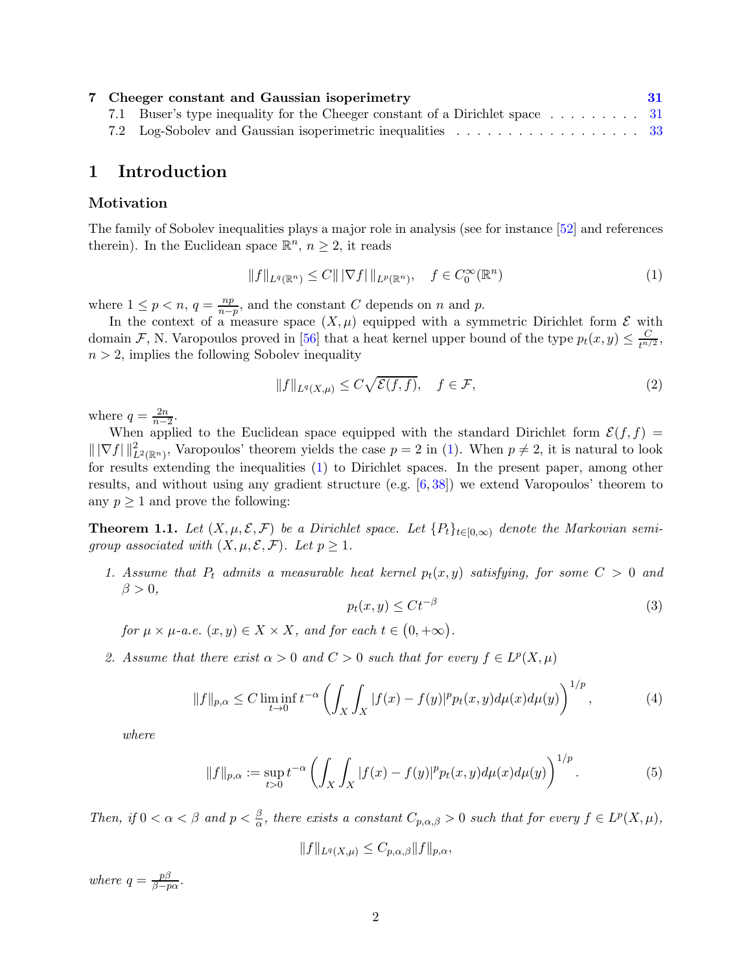<span id="page-1-5"></span>

|  | 7 Cheeger constant and Gaussian isoperimetry | -31 |
|--|----------------------------------------------|-----|
|  |                                              |     |
|  |                                              |     |

## <span id="page-1-0"></span>1 Introduction

### Motivation

The family of Sobolev inequalities plays a major role in analysis (see for instance [\[52\]](#page-36-0) and references therein). In the Euclidean space  $\mathbb{R}^n$ ,  $n \geq 2$ , it reads

$$
||f||_{L^{q}(\mathbb{R}^{n})} \leq C|||\nabla f|||_{L^{p}(\mathbb{R}^{n})}, \quad f \in C_{0}^{\infty}(\mathbb{R}^{n})
$$
\n(1)

where  $1 \leq p < n$ ,  $q = \frac{np}{n-p}$  $\frac{np}{n-p}$ , and the constant C depends on n and p.

In the context of a measure space  $(X, \mu)$  equipped with a symmetric Dirichlet form  $\mathcal E$  with domain F, N. Varopoulos proved in [\[56\]](#page-36-1) that a heat kernel upper bound of the type  $p_t(x, y) \leq \frac{C}{t^{n/2}}$  $\frac{C}{t^{n/2}},$  $n > 2$ , implies the following Sobolev inequality

<span id="page-1-1"></span>
$$
||f||_{L^{q}(X,\mu)} \leq C\sqrt{\mathcal{E}(f,f)}, \quad f \in \mathcal{F}, \tag{2}
$$

where  $q = \frac{2n}{n}$  $\frac{2n}{n-2}$ .

When applied to the Euclidean space equipped with the standard Dirichlet form  $\mathcal{E}(f, f)$  =  $\|\nabla f\|_{L^2(\mathbb{R}^n)}^2$ , Varopoulos' theorem yields the case  $p = 2$  in [\(1\)](#page-1-1). When  $p \neq 2$ , it is natural to look for results extending the inequalities [\(1\)](#page-1-1) to Dirichlet spaces. In the present paper, among other results, and without using any gradient structure (e.g. [\[6,](#page-33-0) [38\]](#page-35-0)) we extend Varopoulos' theorem to any  $p \geq 1$  and prove the following:

<span id="page-1-4"></span>**Theorem 1.1.** Let  $(X, \mu, \mathcal{E}, \mathcal{F})$  be a Dirichlet space. Let  $\{P_t\}_{t\in [0,\infty)}$  denote the Markovian semigroup associated with  $(X, \mu, \mathcal{E}, \mathcal{F})$ . Let  $p \geq 1$ .

1. Assume that  $P_t$  admits a measurable heat kernel  $p_t(x, y)$  satisfying, for some  $C > 0$  and  $\beta > 0$ ,

<span id="page-1-3"></span><span id="page-1-2"></span>
$$
p_t(x,y) \le Ct^{-\beta} \tag{3}
$$

for  $\mu \times \mu$ -a.e.  $(x, y) \in X \times X$ , and for each  $t \in (0, +\infty)$ .

2. Assume that there exist  $\alpha > 0$  and  $C > 0$  such that for every  $f \in L^p(X, \mu)$ 

$$
||f||_{p,\alpha} \le C \liminf_{t \to 0} t^{-\alpha} \left( \int_X \int_X |f(x) - f(y)|^p p_t(x,y) d\mu(x) d\mu(y) \right)^{1/p}, \tag{4}
$$

where

$$
||f||_{p,\alpha} := \sup_{t>0} t^{-\alpha} \left( \int_X \int_X |f(x) - f(y)|^p p_t(x, y) d\mu(x) d\mu(y) \right)^{1/p}.
$$
 (5)

Then, if  $0 < \alpha < \beta$  and  $p < \frac{\beta}{\alpha}$ , there exists a constant  $C_{p,\alpha,\beta} > 0$  such that for every  $f \in L^p(X,\mu)$ ,

$$
||f||_{L^q(X,\mu)} \leq C_{p,\alpha,\beta} ||f||_{p,\alpha},
$$

where  $q = \frac{p\beta}{\beta - r}$  $\frac{p\rho}{\beta-p\alpha}$ .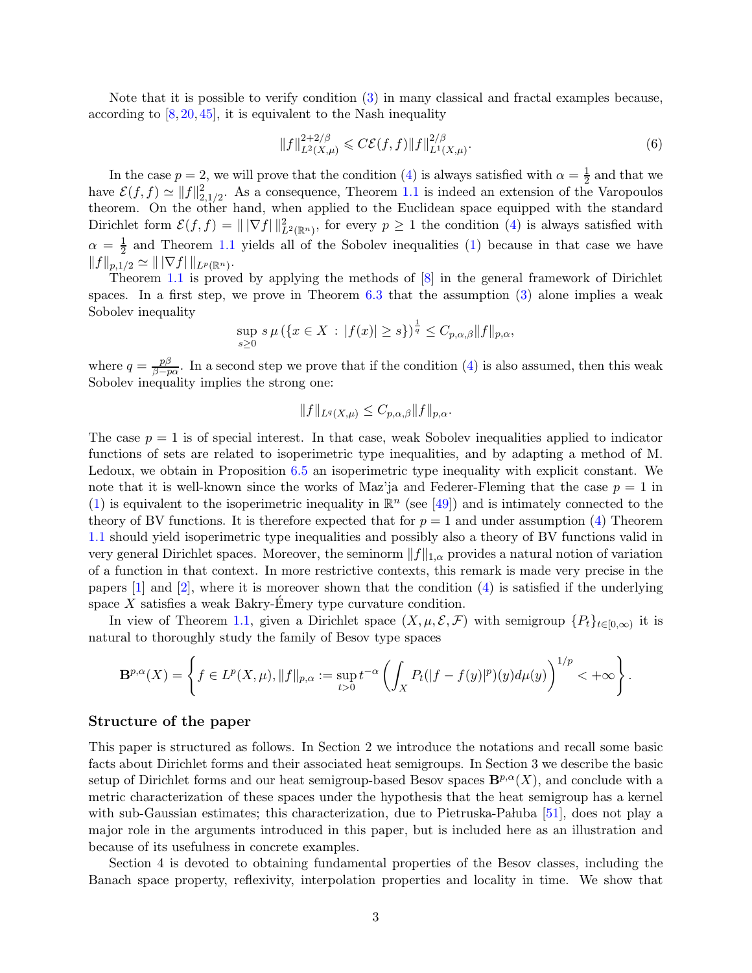<span id="page-2-0"></span>Note that it is possible to verify condition [\(3\)](#page-1-2) in many classical and fractal examples because, according to  $[8, 20, 45]$  $[8, 20, 45]$  $[8, 20, 45]$  $[8, 20, 45]$ , it is equivalent to the Nash inequality

$$
||f||_{L^{2}(X,\mu)}^{2+2/\beta} \leqslant C\mathcal{E}(f,f)||f||_{L^{1}(X,\mu)}^{2/\beta}.
$$
\n(6)

In the case  $p=2$ , we will prove that the condition [\(4\)](#page-1-3) is always satisfied with  $\alpha=\frac{1}{2}$  $\frac{1}{2}$  and that we have  $\mathcal{E}(f, f) \simeq ||f||_{2,1/2}^2$ . As a consequence, Theorem [1.1](#page-1-4) is indeed an extension of the Varopoulos theorem. On the other hand, when applied to the Euclidean space equipped with the standard Dirichlet form  $\mathcal{E}(f, f) = ||\nabla f||^2_{L^2(\mathbb{R}^n)}$ , for every  $p \ge 1$  the condition [\(4\)](#page-1-3) is always satisfied with  $\alpha = \frac{1}{2}$  $\frac{1}{2}$  and Theorem [1.1](#page-1-4) yields all of the Sobolev inequalities [\(1\)](#page-1-1) because in that case we have  $||f||_{p,1/2} \simeq ||\nabla f|| ||_{L^p(\mathbb{R}^n)}.$ 

Theorem [1.1](#page-1-4) is proved by applying the methods of [\[8\]](#page-34-0) in the general framework of Dirichlet spaces. In a first step, we prove in Theorem  $6.3$  that the assumption  $(3)$  alone implies a weak Sobolev inequality

$$
\sup_{s\geq 0} s\,\mu\left(\{x\in X\,:\,|f(x)|\geq s\}\right)^{\frac{1}{q}} \leq C_{p,\alpha,\beta} \|f\|_{p,\alpha},
$$

where  $q = \frac{p\beta}{\beta - r}$  $\frac{p}{\beta-p\alpha}$ . In a second step we prove that if the condition [\(4\)](#page-1-3) is also assumed, then this weak Sobolev inequality implies the strong one:

$$
||f||_{L^q(X,\mu)} \leq C_{p,\alpha,\beta} ||f||_{p,\alpha}.
$$

The case  $p = 1$  is of special interest. In that case, weak Sobolev inequalities applied to indicator functions of sets are related to isoperimetric type inequalities, and by adapting a method of M. Ledoux, we obtain in Proposition [6.5](#page-27-2) an isoperimetric type inequality with explicit constant. We note that it is well-known since the works of Maz'ja and Federer-Fleming that the case  $p = 1$  in [\(1\)](#page-1-1) is equivalent to the isoperimetric inequality in  $\mathbb{R}^n$  (see [\[49\]](#page-36-2)) and is intimately connected to the theory of BV functions. It is therefore expected that for  $p = 1$  and under assumption [\(4\)](#page-1-3) Theorem [1.1](#page-1-4) should yield isoperimetric type inequalities and possibly also a theory of BV functions valid in very general Dirichlet spaces. Moreover, the seminorm  $||f||_{1,\alpha}$  provides a natural notion of variation of a function in that context. In more restrictive contexts, this remark is made very precise in the papers  $[1]$  and  $[2]$ , where it is moreover shown that the condition  $(4)$  is satisfied if the underlying space  $X$  satisfies a weak Bakry-Emery type curvature condition.

In view of Theorem [1.1,](#page-1-4) given a Dirichlet space  $(X, \mu, \mathcal{E}, \mathcal{F})$  with semigroup  $\{P_t\}_{t\in[0,\infty)}$  it is natural to thoroughly study the family of Besov type spaces

$$
\mathbf{B}^{p,\alpha}(X) = \left\{ f \in L^p(X,\mu), \|f\|_{p,\alpha} := \sup_{t>0} t^{-\alpha} \left( \int_X P_t(|f - f(y)|^p)(y) d\mu(y) \right)^{1/p} < +\infty \right\}.
$$

### Structure of the paper

This paper is structured as follows. In Section 2 we introduce the notations and recall some basic facts about Dirichlet forms and their associated heat semigroups. In Section 3 we describe the basic setup of Dirichlet forms and our heat semigroup-based Besov spaces  $\mathbf{B}^{p,\alpha}(X)$ , and conclude with a metric characterization of these spaces under the hypothesis that the heat semigroup has a kernel with sub-Gaussian estimates; this characterization, due to Pietruska-Pa luba  $[51]$ , does not play a major role in the arguments introduced in this paper, but is included here as an illustration and because of its usefulness in concrete examples.

Section 4 is devoted to obtaining fundamental properties of the Besov classes, including the Banach space property, reflexivity, interpolation properties and locality in time. We show that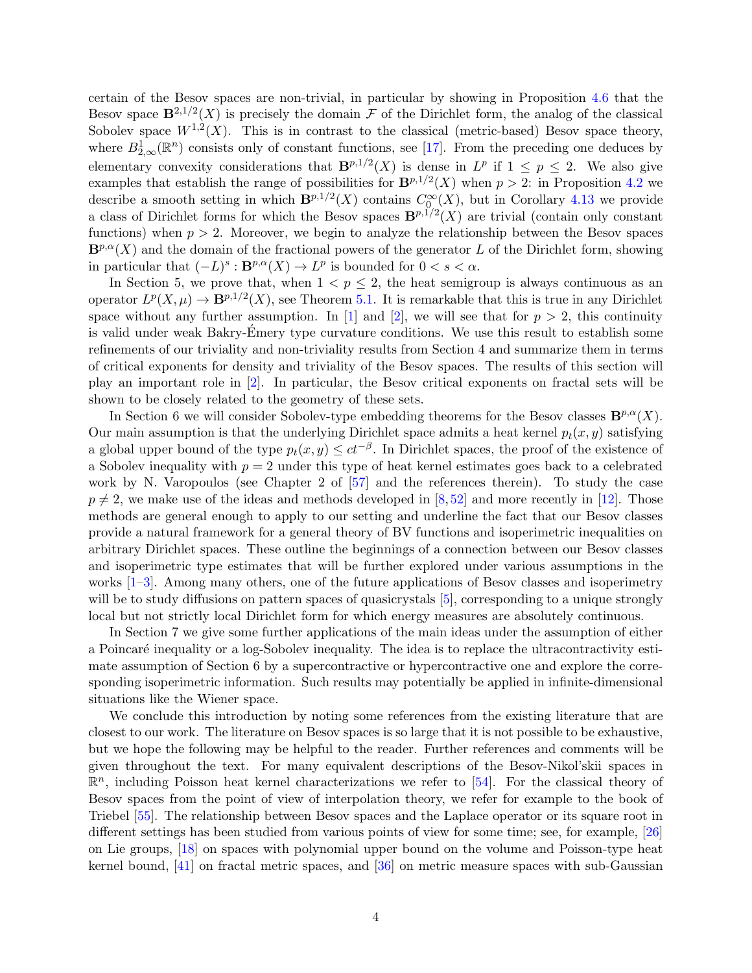<span id="page-3-0"></span>certain of the Besov spaces are non-trivial, in particular by showing in Proposition [4.6](#page-11-1) that the Besov space  $\mathbf{B}^{2,1/2}(X)$  is precisely the domain F of the Dirichlet form, the analog of the classical Sobolev space  $W^{1,2}(X)$ . This is in contrast to the classical (metric-based) Besov space theory, where  $B_{2,\infty}^1(\mathbb{R}^n)$  consists only of constant functions, see [\[17\]](#page-34-2). From the preceding one deduces by elementary convexity considerations that  $\mathbf{B}^{p,1/2}(X)$  is dense in  $L^p$  if  $1 \leq p \leq 2$ . We also give examples that establish the range of possibilities for  $\mathbf{B}^{p,1/2}(X)$  when  $p > 2$ : in Proposition [4.2](#page-9-0) we describe a smooth setting in which  $\mathbf{B}^{p,1/2}(X)$  contains  $C_{0}^{\infty}(X)$ , but in Corollary [4.13](#page-14-0) we provide a class of Dirichlet forms for which the Besov spaces  $\mathbf{B}^{p,1/2}(X)$  are trivial (contain only constant functions) when  $p > 2$ . Moreover, we begin to analyze the relationship between the Besov spaces  $\mathbf{B}^{p,\alpha}(X)$  and the domain of the fractional powers of the generator L of the Dirichlet form, showing in particular that  $(-L)^s : \mathbf{B}^{p,\alpha}(X) \to L^p$  is bounded for  $0 < s < \alpha$ .

In Section 5, we prove that, when  $1 < p \leq 2$ , the heat semigroup is always continuous as an operator  $L^p(X, \mu) \to \mathbf{B}^{p,1/2}(X)$ , see Theorem [5.1.](#page-19-2) It is remarkable that this is true in any Dirichlet space without any further assumption. In [\[1\]](#page-33-1) and [\[2\]](#page-33-2), we will see that for  $p > 2$ , this continuity is valid under weak Bakry-Emery type curvature conditions. We use this result to establish some refinements of our triviality and non-triviality results from Section 4 and summarize them in terms of critical exponents for density and triviality of the Besov spaces. The results of this section will play an important role in [\[2\]](#page-33-2). In particular, the Besov critical exponents on fractal sets will be shown to be closely related to the geometry of these sets.

In Section 6 we will consider Sobolev-type embedding theorems for the Besov classes  $\mathbf{B}^{p,\alpha}(X)$ . Our main assumption is that the underlying Dirichlet space admits a heat kernel  $p_t(x, y)$  satisfying a global upper bound of the type  $p_t(x, y) \le ct^{-\beta}$ . In Dirichlet spaces, the proof of the existence of a Sobolev inequality with  $p = 2$  under this type of heat kernel estimates goes back to a celebrated work by N. Varopoulos (see Chapter 2 of [\[57\]](#page-36-4) and the references therein). To study the case  $p \neq 2$ , we make use of the ideas and methods developed in [\[8,](#page-34-0)[52\]](#page-36-0) and more recently in [\[12\]](#page-34-3). Those methods are general enough to apply to our setting and underline the fact that our Besov classes provide a natural framework for a general theory of BV functions and isoperimetric inequalities on arbitrary Dirichlet spaces. These outline the beginnings of a connection between our Besov classes and isoperimetric type estimates that will be further explored under various assumptions in the works [\[1](#page-33-1)[–3\]](#page-33-3). Among many others, one of the future applications of Besov classes and isoperimetry will be to study diffusions on pattern spaces of quasicrystals [\[5\]](#page-33-4), corresponding to a unique strongly local but not strictly local Dirichlet form for which energy measures are absolutely continuous.

In Section 7 we give some further applications of the main ideas under the assumption of either a Poincaré inequality or a log-Sobolev inequality. The idea is to replace the ultracontractivity estimate assumption of Section 6 by a supercontractive or hypercontractive one and explore the corresponding isoperimetric information. Such results may potentially be applied in infinite-dimensional situations like the Wiener space.

We conclude this introduction by noting some references from the existing literature that are closest to our work. The literature on Besov spaces is so large that it is not possible to be exhaustive, but we hope the following may be helpful to the reader. Further references and comments will be given throughout the text. For many equivalent descriptions of the Besov-Nikol'skii spaces in  $\mathbb{R}^n$ , including Poisson heat kernel characterizations we refer to [\[54\]](#page-36-5). For the classical theory of Besov spaces from the point of view of interpolation theory, we refer for example to the book of Triebel [\[55\]](#page-36-6). The relationship between Besov spaces and the Laplace operator or its square root in different settings has been studied from various points of view for some time; see, for example, [\[26\]](#page-34-4) on Lie groups, [\[18\]](#page-34-5) on spaces with polynomial upper bound on the volume and Poisson-type heat kernel bound,  $[41]$  on fractal metric spaces, and  $[36]$  on metric measure spaces with sub-Gaussian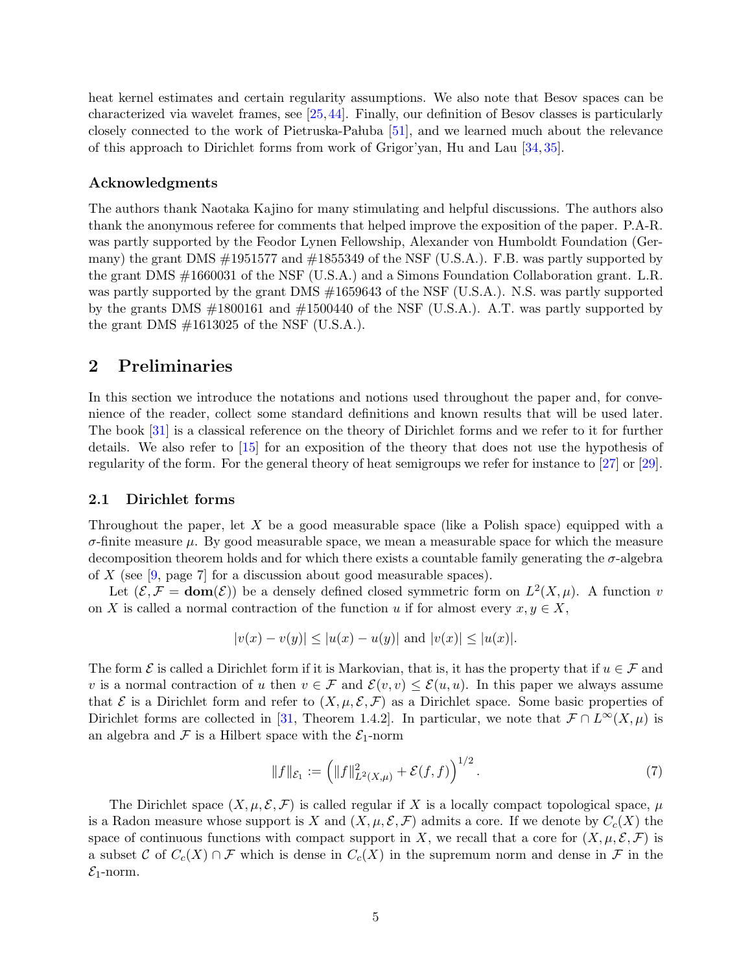<span id="page-4-3"></span>heat kernel estimates and certain regularity assumptions. We also note that Besov spaces can be characterized via wavelet frames, see [\[25,](#page-34-6)[44\]](#page-35-4). Finally, our definition of Besov classes is particularly closely connected to the work of Pietruska-Pa luba  $[51]$ , and we learned much about the relevance of this approach to Dirichlet forms from work of Grigor'yan, Hu and Lau [\[34,](#page-35-5) [35\]](#page-35-6).

### Acknowledgments

The authors thank Naotaka Kajino for many stimulating and helpful discussions. The authors also thank the anonymous referee for comments that helped improve the exposition of the paper. P.A-R. was partly supported by the Feodor Lynen Fellowship, Alexander von Humboldt Foundation (Germany) the grant DMS  $\#1951577$  and  $\#1855349$  of the NSF (U.S.A.). F.B. was partly supported by the grant DMS #1660031 of the NSF (U.S.A.) and a Simons Foundation Collaboration grant. L.R. was partly supported by the grant DMS  $\#1659643$  of the NSF (U.S.A.). N.S. was partly supported by the grants DMS  $\#1800161$  and  $\#1500440$  of the NSF (U.S.A.). A.T. was partly supported by the grant DMS  $\#1613025$  of the NSF (U.S.A.).

## <span id="page-4-0"></span>2 Preliminaries

In this section we introduce the notations and notions used throughout the paper and, for convenience of the reader, collect some standard definitions and known results that will be used later. The book [\[31\]](#page-35-7) is a classical reference on the theory of Dirichlet forms and we refer to it for further details. We also refer to [\[15\]](#page-34-7) for an exposition of the theory that does not use the hypothesis of regularity of the form. For the general theory of heat semigroups we refer for instance to [\[27\]](#page-34-8) or [\[29\]](#page-35-8).

### <span id="page-4-1"></span>2.1 Dirichlet forms

Throughout the paper, let X be a good measurable space (like a Polish space) equipped with a  $\sigma$ -finite measure  $\mu$ . By good measurable space, we mean a measurable space for which the measure decomposition theorem holds and for which there exists a countable family generating the σ-algebra of X (see  $[9, \text{page 7}]$  for a discussion about good measurable spaces).

Let  $(\mathcal{E}, \mathcal{F} = \text{dom}(\mathcal{E}))$  be a densely defined closed symmetric form on  $L^2(X, \mu)$ . A function v on X is called a normal contraction of the function u if for almost every  $x, y \in X$ ,

$$
|v(x) - v(y)| \le |u(x) - u(y)| \text{ and } |v(x)| \le |u(x)|.
$$

The form  $\mathcal E$  is called a Dirichlet form if it is Markovian, that is, it has the property that if  $u \in \mathcal F$  and v is a normal contraction of u then  $v \in \mathcal{F}$  and  $\mathcal{E}(v, v) \leq \mathcal{E}(u, u)$ . In this paper we always assume that  $\mathcal E$  is a Dirichlet form and refer to  $(X, \mu, \mathcal E, \mathcal F)$  as a Dirichlet space. Some basic properties of Dirichlet forms are collected in [\[31,](#page-35-7) Theorem 1.4.2]. In particular, we note that  $\mathcal{F} \cap L^{\infty}(X,\mu)$  is an algebra and  $\mathcal F$  is a Hilbert space with the  $\mathcal E_1$ -norm

<span id="page-4-2"></span>
$$
||f||_{\mathcal{E}_1} := \left(||f||_{L^2(X,\mu)}^2 + \mathcal{E}(f,f)\right)^{1/2}.
$$
\n(7)

The Dirichlet space  $(X, \mu, \mathcal{E}, \mathcal{F})$  is called regular if X is a locally compact topological space,  $\mu$ is a Radon measure whose support is X and  $(X, \mu, \mathcal{E}, \mathcal{F})$  admits a core. If we denote by  $C_c(X)$  the space of continuous functions with compact support in X, we recall that a core for  $(X, \mu, \mathcal{E}, \mathcal{F})$  is a subset C of  $C_c(X) \cap \mathcal{F}$  which is dense in  $C_c(X)$  in the supremum norm and dense in  $\mathcal{F}$  in the  $\mathcal{E}_1$ -norm.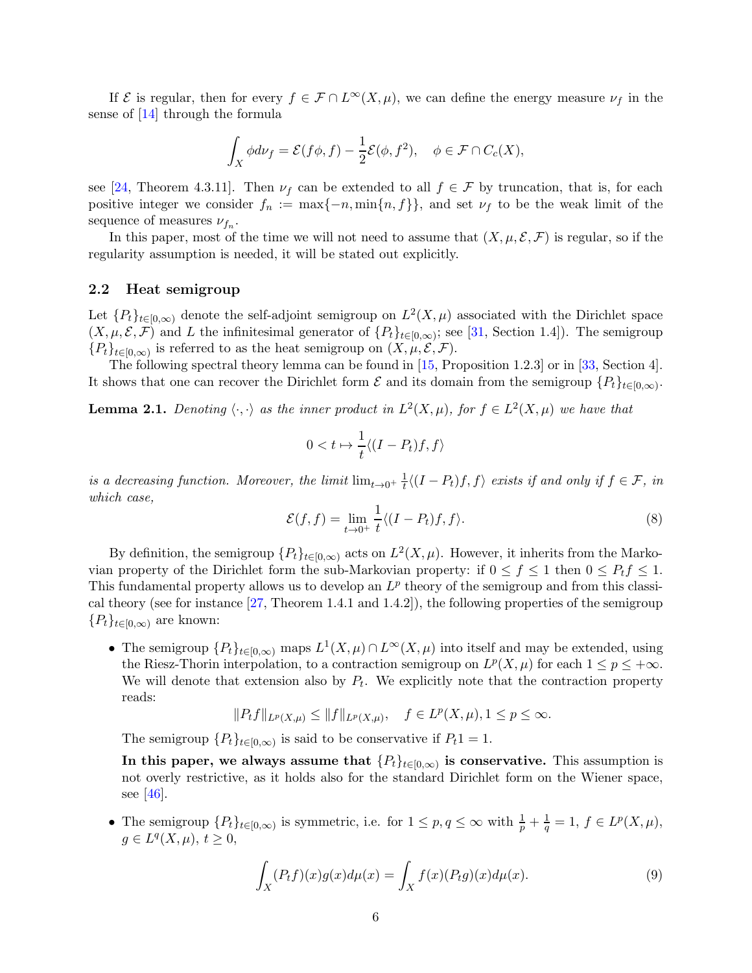<span id="page-5-3"></span>If  $\mathcal E$  is regular, then for every  $f \in \mathcal F \cap L^{\infty}(X,\mu)$ , we can define the energy measure  $\nu_f$  in the sense of [\[14\]](#page-34-10) through the formula

$$
\int_X \phi d\nu_f = \mathcal{E}(f\phi, f) - \frac{1}{2}\mathcal{E}(\phi, f^2), \quad \phi \in \mathcal{F} \cap C_c(X),
$$

see [\[24,](#page-34-11) Theorem 4.3.11]. Then  $\nu_f$  can be extended to all  $f \in \mathcal{F}$  by truncation, that is, for each positive integer we consider  $f_n := \max\{-n, \min\{n, f\}\}\$ , and set  $\nu_f$  to be the weak limit of the sequence of measures  $\nu_{f_n}$ .

In this paper, most of the time we will not need to assume that  $(X, \mu, \mathcal{E}, \mathcal{F})$  is regular, so if the regularity assumption is needed, it will be stated out explicitly.

### <span id="page-5-0"></span>2.2 Heat semigroup

Let  ${P_t}_{t\in[0,\infty)}$  denote the self-adjoint semigroup on  $L^2(X,\mu)$  associated with the Dirichlet space  $(X, \mu, \mathcal{E}, \mathcal{F})$  and L the infinitesimal generator of  $\{P_t\}_{t\in[0,\infty)}$ ; see [\[31,](#page-35-7) Section 1.4]). The semigroup  ${P_t}_{t\in[0,\infty)}$  is referred to as the heat semigroup on  $(X,\mu,\mathcal{E},\mathcal{F})$ .

The following spectral theory lemma can be found in [\[15,](#page-34-7) Proposition 1.2.3] or in [\[33,](#page-35-9) Section 4]. It shows that one can recover the Dirichlet form  $\mathcal E$  and its domain from the semigroup  $\{P_t\}_{t\in[0,\infty)}$ .

<span id="page-5-2"></span>**Lemma 2.1.** Denoting  $\langle \cdot, \cdot \rangle$  as the inner product in  $L^2(X, \mu)$ , for  $f \in L^2(X, \mu)$  we have that

$$
0 < t \mapsto \frac{1}{t} \langle (I - P_t)f, f \rangle
$$

is a decreasing function. Moreover, the limit  $\lim_{t\to 0^+} \frac{1}{t}$  $\frac{1}{t}\langle (I - P_t)f, f \rangle$  exists if and only if  $f \in \mathcal{F}$ , in which case,

$$
\mathcal{E}(f,f) = \lim_{t \to 0^+} \frac{1}{t} \langle (I - P_t)f, f \rangle.
$$
 (8)

By definition, the semigroup  $\{P_t\}_{t\in[0,\infty)}$  acts on  $L^2(X,\mu)$ . However, it inherits from the Markovian property of the Dirichlet form the sub-Markovian property: if  $0 \le f \le 1$  then  $0 \le P_t f \le 1$ . This fundamental property allows us to develop an  $L^p$  theory of the semigroup and from this classical theory (see for instance [\[27,](#page-34-8) Theorem 1.4.1 and 1.4.2]), the following properties of the semigroup  ${P_t}_{t\in[0,\infty)}$  are known:

• The semigroup  ${P_t}_{t\in[0,\infty)}$  maps  $L^1(X,\mu)\cap L^\infty(X,\mu)$  into itself and may be extended, using the Riesz-Thorin interpolation, to a contraction semigroup on  $L^p(X, \mu)$  for each  $1 \le p \le +\infty$ . We will denote that extension also by  $P_t$ . We explicitly note that the contraction property reads:

$$
\|P_tf\|_{L^p(X,\mu)}\leq \|f\|_{L^p(X,\mu)},\quad f\in L^p(X,\mu), 1\leq p\leq\infty.
$$

The semigroup  $\{P_t\}_{t\in[0,\infty)}$  is said to be conservative if  $P_t1 = 1$ .

In this paper, we always assume that  $\{P_t\}_{t\in[0,\infty)}$  is conservative. This assumption is not overly restrictive, as it holds also for the standard Dirichlet form on the Wiener space, see [\[46\]](#page-35-10).

• The semigroup  $\{P_t\}_{t\in[0,\infty)}$  is symmetric, i.e. for  $1 \leq p, q \leq \infty$  with  $\frac{1}{p} + \frac{1}{q} = 1, f \in L^p(X,\mu)$ ,  $g \in L^q(X,\mu),\ t\geq 0,$ 

<span id="page-5-1"></span>
$$
\int_{X} (P_t f)(x)g(x)d\mu(x) = \int_{X} f(x)(P_t g)(x)d\mu(x).
$$
\n(9)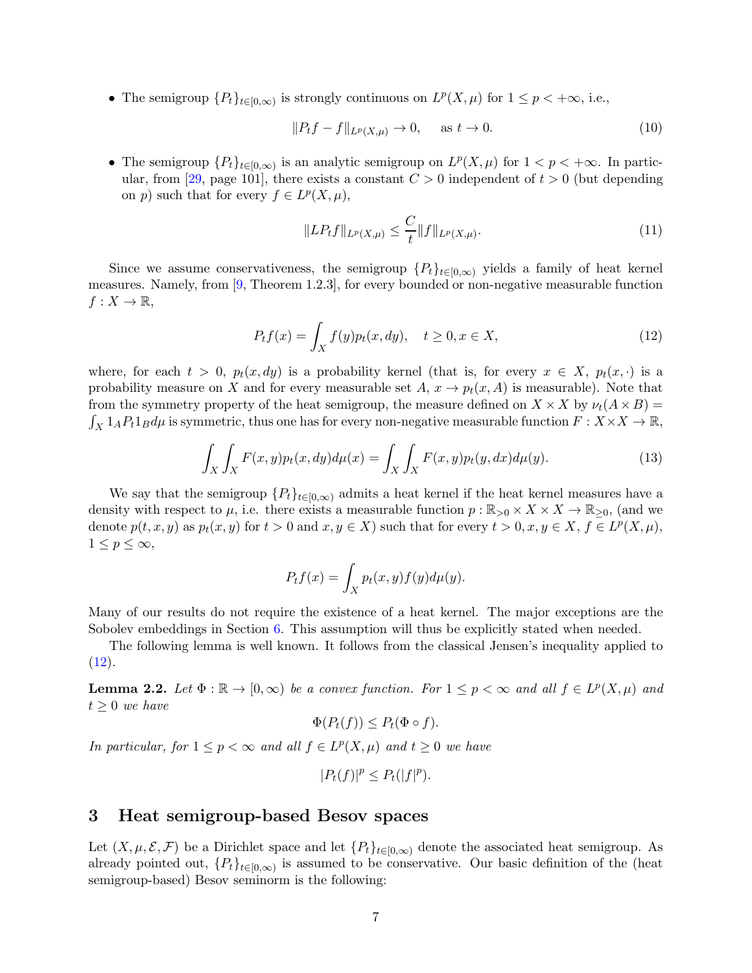<span id="page-6-5"></span>• The semigroup  $\{P_t\}_{t\in[0,\infty)}$  is strongly continuous on  $L^p(X,\mu)$  for  $1 \leq p < +\infty$ , i.e.,

$$
||P_t f - f||_{L^p(X, \mu)} \to 0, \quad \text{as } t \to 0.
$$
 (10)

• The semigroup  ${P_t}_{t \in [0,\infty)}$  is an analytic semigroup on  $L^p(X,\mu)$  for  $1 < p < +\infty$ . In partic-ular, from [\[29,](#page-35-8) page 101], there exists a constant  $C > 0$  independent of  $t > 0$  (but depending on p) such that for every  $f \in L^p(X, \mu)$ ,

<span id="page-6-4"></span><span id="page-6-1"></span>
$$
||LP_t f||_{L^p(X,\mu)} \leq \frac{C}{t} ||f||_{L^p(X,\mu)}.
$$
\n(11)

Since we assume conservativeness, the semigroup  $\{P_t\}_{t\in[0,\infty)}$  yields a family of heat kernel measures. Namely, from [\[9,](#page-34-9) Theorem 1.2.3], for every bounded or non-negative measurable function  $f: X \to \mathbb{R},$ 

$$
P_t f(x) = \int_X f(y) p_t(x, dy), \quad t \ge 0, x \in X,
$$
\n(12)

where, for each  $t > 0$ ,  $p_t(x, dy)$  is a probability kernel (that is, for every  $x \in X$ ,  $p_t(x, \cdot)$  is a probability measure on X and for every measurable set  $A, x \to p_t(x, A)$  is measurable). Note that from the symmetry property of the heat semigroup, the measure defined on  $X \times X$  by  $\nu_t(A \times B) =$  $\int_X 1_A P_t 1_B d\mu$  is symmetric, thus one has for every non-negative measurable function  $F: X \times X \to \mathbb{R}$ ,

$$
\int_{X} \int_{X} F(x, y) p_t(x, dy) d\mu(x) = \int_{X} \int_{X} F(x, y) p_t(y, dx) d\mu(y).
$$
\n(13)

We say that the semigroup  ${P_t}_{t\in[0,\infty)}$  admits a heat kernel if the heat kernel measures have a density with respect to  $\mu$ , i.e. there exists a measurable function  $p : \mathbb{R}_{>0} \times X \times X \to \mathbb{R}_{>0}$ , (and we denote  $p(t, x, y)$  as  $p_t(x, y)$  for  $t > 0$  and  $x, y \in X$ ) such that for every  $t > 0, x, y \in X$ ,  $f \in L^p(X, \mu)$ ,  $1 \leq p \leq \infty$ ,

<span id="page-6-2"></span>
$$
P_t f(x) = \int_X p_t(x, y) f(y) d\mu(y).
$$

Many of our results do not require the existence of a heat kernel. The major exceptions are the Sobolev embeddings in Section [6.](#page-25-0) This assumption will thus be explicitly stated when needed.

The following lemma is well known. It follows from the classical Jensen's inequality applied to  $(12).$  $(12).$ 

<span id="page-6-3"></span>**Lemma 2.2.** Let  $\Phi : \mathbb{R} \to [0, \infty)$  be a convex function. For  $1 \leq p < \infty$  and all  $f \in L^p(X, \mu)$  and  $t \geq 0$  we have

$$
\Phi(P_t(f)) \le P_t(\Phi \circ f).
$$

In particular, for  $1 \le p < \infty$  and all  $f \in L^p(X, \mu)$  and  $t \ge 0$  we have

$$
|P_t(f)|^p \le P_t(|f|^p).
$$

### <span id="page-6-0"></span>3 Heat semigroup-based Besov spaces

Let  $(X, \mu, \mathcal{E}, \mathcal{F})$  be a Dirichlet space and let  $\{P_t\}_{t\in [0,\infty)}$  denote the associated heat semigroup. As already pointed out,  $\{P_t\}_{t\in[0,\infty)}$  is assumed to be conservative. Our basic definition of the (heat semigroup-based) Besov seminorm is the following: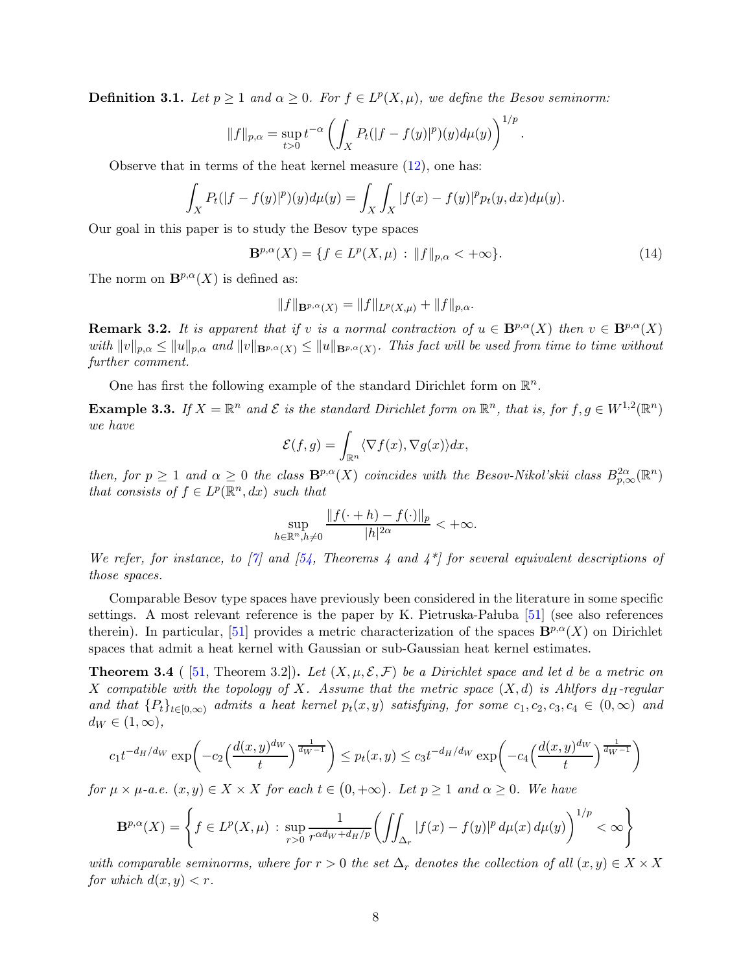<span id="page-7-3"></span><span id="page-7-0"></span>**Definition 3.1.** Let  $p \ge 1$  and  $\alpha \ge 0$ . For  $f \in L^p(X, \mu)$ , we define the Besov seminorm:

$$
||f||_{p,\alpha} = \sup_{t>0} t^{-\alpha} \left( \int_X P_t(|f - f(y)|^p)(y) d\mu(y) \right)^{1/p}
$$

Observe that in terms of the heat kernel measure  $(12)$ , one has:

$$
\int_X P_t(|f - f(y)|^p)(y)d\mu(y) = \int_X \int_X |f(x) - f(y)|^p p_t(y, dx)d\mu(y).
$$

Our goal in this paper is to study the Besov type spaces

$$
\mathbf{B}^{p,\alpha}(X) = \{ f \in L^p(X,\mu) : ||f||_{p,\alpha} < +\infty \}. \tag{14}
$$

.

The norm on  $\mathbf{B}^{p,\alpha}(X)$  is defined as:

$$
||f||_{\mathbf{B}^{p,\alpha}(X)} = ||f||_{L^p(X,\mu)} + ||f||_{p,\alpha}.
$$

<span id="page-7-1"></span>**Remark 3.2.** It is apparent that if v is a normal contraction of  $u \in \mathbf{B}^{p,\alpha}(X)$  then  $v \in \mathbf{B}^{p,\alpha}(X)$ with  $||v||_{p,\alpha} \le ||u||_{p,\alpha}$  and  $||v||_{\mathbf{B}^{p,\alpha}(X)} \le ||u||_{\mathbf{B}^{p,\alpha}(X)}$ . This fact will be used from time to time without further comment.

One has first the following example of the standard Dirichlet form on  $\mathbb{R}^n$ .

**Example 3.3.** If  $X = \mathbb{R}^n$  and  $\mathcal{E}$  is the standard Dirichlet form on  $\mathbb{R}^n$ , that is, for  $f, g \in W^{1,2}(\mathbb{R}^n)$ we have

$$
\mathcal{E}(f,g) = \int_{\mathbb{R}^n} \langle \nabla f(x), \nabla g(x) \rangle dx,
$$

then, for  $p \ge 1$  and  $\alpha \ge 0$  the class  $\mathbf{B}^{p,\alpha}(X)$  coincides with the Besov-Nikol'skii class  $B_{p,\infty}^{2\alpha}(\mathbb{R}^n)$ that consists of  $f \in L^p(\mathbb{R}^n, dx)$  such that

$$
\sup_{h\in\mathbb{R}^n,h\neq 0}\frac{\|f(\cdot+h)-f(\cdot)\|_p}{|h|^{2\alpha}}<+\infty.
$$

We refer, for instance, to [\[7\]](#page-34-12) and [\[54,](#page-36-5) Theorems 4 and  $4^*$ ] for several equivalent descriptions of those spaces.

Comparable Besov type spaces have previously been considered in the literature in some specific settings. A most relevant reference is the paper by K. Pietruska-Pałuba  $[51]$  (see also references therein). In particular, [\[51\]](#page-36-3) provides a metric characterization of the spaces  $\mathbf{B}^{p,\alpha}(X)$  on Dirichlet spaces that admit a heat kernel with Gaussian or sub-Gaussian heat kernel estimates.

<span id="page-7-2"></span>**Theorem 3.4** ( [\[51,](#page-36-3) Theorem 3.2]). Let  $(X, \mu, \mathcal{E}, \mathcal{F})$  be a Dirichlet space and let d be a metric on X compatible with the topology of X. Assume that the metric space  $(X,d)$  is Ahlfors  $d_H$ -regular and that  $\{P_t\}_{t\in[0,\infty)}$  admits a heat kernel  $p_t(x,y)$  satisfying, for some  $c_1, c_2, c_3, c_4 \in (0,\infty)$  and  $d_W \in (1,\infty)$ ,

$$
c_1 t^{-d_H/d_W} \exp\left(-c_2 \left(\frac{d(x,y)^{d_W}}{t}\right)^{\frac{1}{d_W-1}}\right) \le p_t(x,y) \le c_3 t^{-d_H/d_W} \exp\left(-c_4 \left(\frac{d(x,y)^{d_W}}{t}\right)^{\frac{1}{d_W-1}}\right)
$$

for  $\mu \times \mu$ -a.e.  $(x, y) \in X \times X$  for each  $t \in (0, +\infty)$ . Let  $p \ge 1$  and  $\alpha \ge 0$ . We have

$$
\mathbf{B}^{p,\alpha}(X) = \left\{ f \in L^p(X,\mu) \, : \, \sup_{r>0} \frac{1}{r^{\alpha d_W + d_H/p}} \bigg( \iint_{\Delta_r} |f(x) - f(y)|^p \, d\mu(x) \, d\mu(y) \bigg)^{1/p} < \infty \right\}
$$

with comparable seminorms, where for  $r > 0$  the set  $\Delta_r$  denotes the collection of all  $(x, y) \in X \times X$ for which  $d(x, y) < r$ .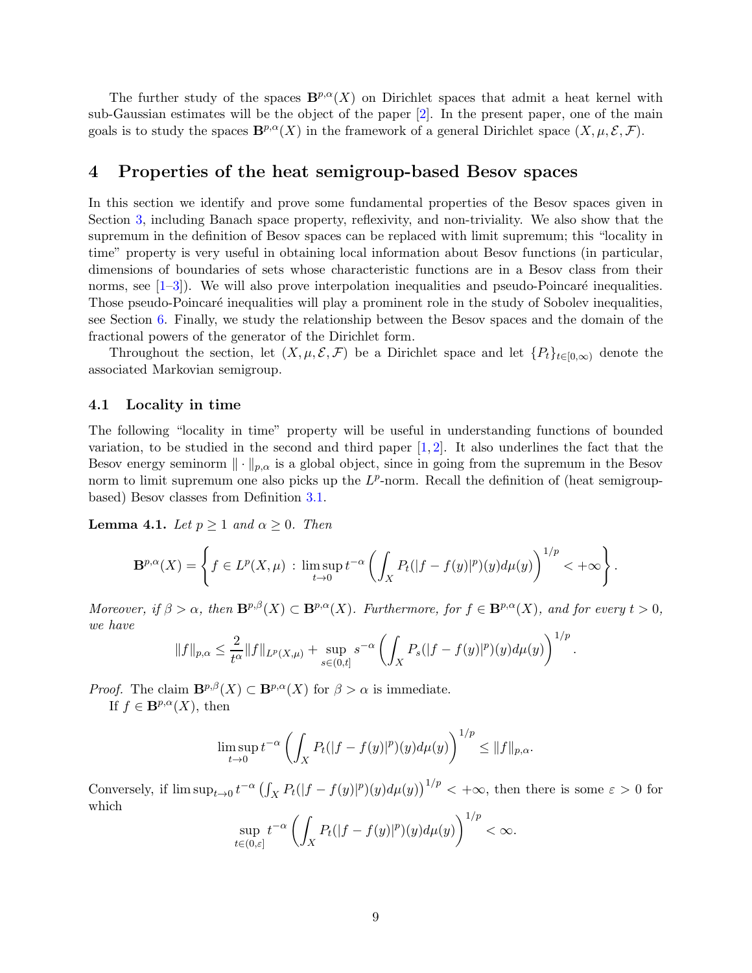<span id="page-8-2"></span>The further study of the spaces  $\mathbf{B}^{p,\alpha}(X)$  on Dirichlet spaces that admit a heat kernel with sub-Gaussian estimates will be the object of the paper [\[2\]](#page-33-2). In the present paper, one of the main goals is to study the spaces  $\mathbf{B}^{p,\alpha}(X)$  in the framework of a general Dirichlet space  $(X, \mu, \mathcal{E}, \mathcal{F})$ .

### <span id="page-8-0"></span>4 Properties of the heat semigroup-based Besov spaces

In this section we identify and prove some fundamental properties of the Besov spaces given in Section [3,](#page-6-0) including Banach space property, reflexivity, and non-triviality. We also show that the supremum in the definition of Besov spaces can be replaced with limit supremum; this "locality in time" property is very useful in obtaining local information about Besov functions (in particular, dimensions of boundaries of sets whose characteristic functions are in a Besov class from their norms, see  $[1-3]$  $[1-3]$ ). We will also prove interpolation inequalities and pseudo-Poincaré inequalities. Those pseudo-Poincaré inequalities will play a prominent role in the study of Sobolev inequalities, see Section [6.](#page-25-0) Finally, we study the relationship between the Besov spaces and the domain of the fractional powers of the generator of the Dirichlet form.

Throughout the section, let  $(X, \mu, \mathcal{E}, \mathcal{F})$  be a Dirichlet space and let  $\{P_t\}_{t\in [0,\infty)}$  denote the associated Markovian semigroup.

### <span id="page-8-1"></span>4.1 Locality in time

The following "locality in time" property will be useful in understanding functions of bounded variation, to be studied in the second and third paper  $[1, 2]$  $[1, 2]$ . It also underlines the fact that the Besov energy seminorm  $\|\cdot\|_{p,\alpha}$  is a global object, since in going from the supremum in the Besov norm to limit supremum one also picks up the  $L^p$ -norm. Recall the definition of (heat semigroupbased) Besov classes from Definition [3.1.](#page-7-0)

**Lemma 4.1.** Let  $p \ge 1$  and  $\alpha \ge 0$ . Then

$$
\mathbf{B}^{p,\alpha}(X) = \left\{ f \in L^p(X,\mu) \, : \, \limsup_{t \to 0} t^{-\alpha} \left( \int_X P_t(|f - f(y)|^p)(y) d\mu(y) \right)^{1/p} < +\infty \right\}.
$$

Moreover, if  $\beta > \alpha$ , then  $\mathbf{B}^{p,\beta}(X) \subset \mathbf{B}^{p,\alpha}(X)$ . Furthermore, for  $f \in \mathbf{B}^{p,\alpha}(X)$ , and for every  $t > 0$ , we have

$$
||f||_{p,\alpha} \leq \frac{2}{t^{\alpha}} ||f||_{L^p(X,\mu)} + \sup_{s \in (0,t]} s^{-\alpha} \left( \int_X P_s(|f - f(y)|^p)(y) d\mu(y) \right)^{1/p}.
$$

*Proof.* The claim  $\mathbf{B}^{p,\beta}(X) \subset \mathbf{B}^{p,\alpha}(X)$  for  $\beta > \alpha$  is immediate.

If  $f \in \mathbf{B}^{p,\alpha}(X)$ , then

$$
\limsup_{t\to 0} t^{-\alpha} \left( \int_X P_t(|f - f(y)|^p)(y) d\mu(y) \right)^{1/p} \le ||f||_{p,\alpha}.
$$

Conversely, if  $\limsup_{t\to 0} t^{-\alpha} \left(\int_X P_t(|f - f(y)|^p)(y) d\mu(y)\right)^{1/p} < +\infty$ , then there is some  $\varepsilon > 0$  for which

$$
\sup_{t\in(0,\varepsilon]}t^{-\alpha}\left(\int_X P_t(|f-f(y)|^p)(y)d\mu(y)\right)^{1/p}<\infty.
$$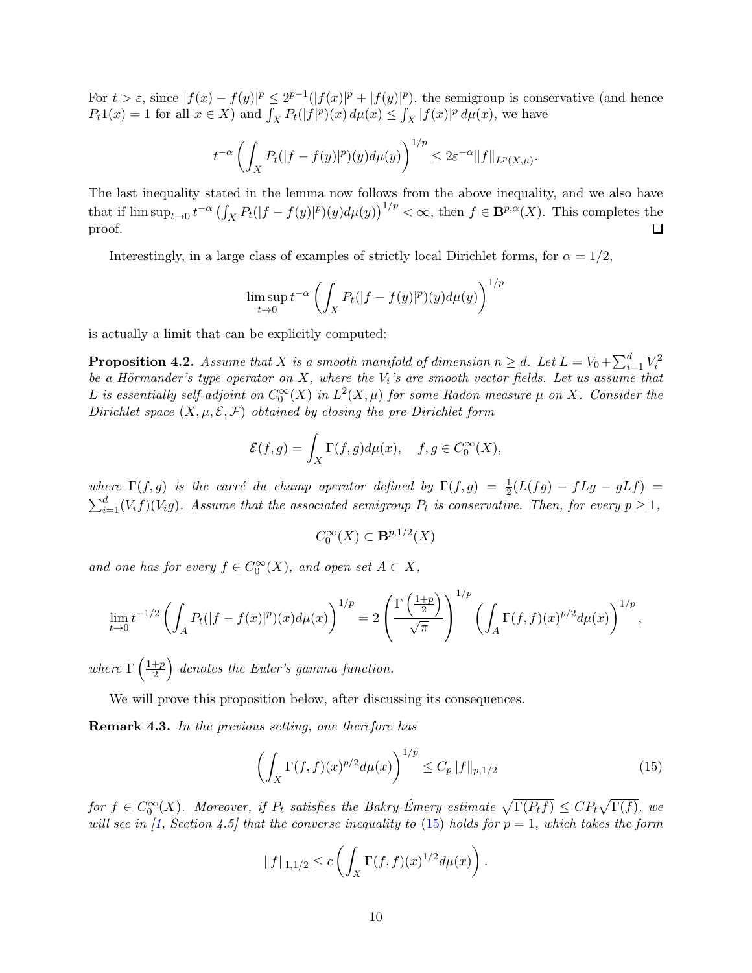<span id="page-9-2"></span>For  $t > \varepsilon$ , since  $|f(x) - f(y)|^p \le 2^{p-1}(|f(x)|^p + |f(y)|^p)$ , the semigroup is conservative (and hence  $P_t 1(x) = 1$  for all  $x \in X$ ) and  $\int_X P_t(|f|^p)(x) d\mu(x) \leq \int_X |f(x)|^p d\mu(x)$ , we have

$$
t^{-\alpha}\left(\int_X P_t(|f - f(y)|^p)(y)d\mu(y)\right)^{1/p} \le 2\varepsilon^{-\alpha}||f||_{L^p(X,\mu)}
$$

.

The last inequality stated in the lemma now follows from the above inequality, and we also have that if  $\limsup_{t\to 0} t^{-\alpha} \left(\int_X P_t(|f - f(y)|^p)(y) d\mu(y)\right)^{1/p} < \infty$ , then  $f \in \mathbf{B}^{p,\alpha}(X)$ . This completes the proof.

Interestingly, in a large class of examples of strictly local Dirichlet forms, for  $\alpha = 1/2$ ,

$$
\limsup_{t \to 0} t^{-\alpha} \left( \int_X P_t(|f - f(y)|^p)(y) d\mu(y) \right)^{1/p}
$$

is actually a limit that can be explicitly computed:

<span id="page-9-0"></span>**Proposition 4.2.** Assume that X is a smooth manifold of dimension  $n \geq d$ . Let  $L = V_0 + \sum_{i=1}^d V_i^2$ be a Hörmander's type operator on X, where the  $V_i$ 's are smooth vector fields. Let us assume that L is essentially self-adjoint on  $C_0^{\infty}(X)$  in  $L^2(X,\mu)$  for some Radon measure  $\mu$  on X. Consider the Dirichlet space  $(X, \mu, \mathcal{E}, \mathcal{F})$  obtained by closing the pre-Dirichlet form

$$
\mathcal{E}(f,g) = \int_X \Gamma(f,g)d\mu(x), \quad f,g \in C_0^{\infty}(X),
$$

where  $\Gamma(f,g)$  is the carré du champ operator defined by  $\Gamma(f,g) = \frac{1}{2}(L(fg) - fLg - gLf)$  $\sum_{i=1}^{d} (V_i f)(V_i g)$ . Assume that the associated semigroup  $P_t$  is conservative. Then, for every  $p \geq 1$ ,

$$
C_0^{\infty}(X) \subset \mathbf{B}^{p,1/2}(X)
$$

and one has for every  $f \in C_0^{\infty}(X)$ , and open set  $A \subset X$ ,

$$
\lim_{t \to 0} t^{-1/2} \left( \int_A P_t(|f - f(x)|^p)(x) d\mu(x) \right)^{1/p} = 2 \left( \frac{\Gamma\left(\frac{1+p}{2}\right)}{\sqrt{\pi}} \right)^{1/p} \left( \int_A \Gamma(f, f)(x)^{p/2} d\mu(x) \right)^{1/p},
$$

where  $\Gamma\left(\frac{1+p}{2}\right)$ 2  $\big)$  denotes the Euler's gamma function.

We will prove this proposition below, after discussing its consequences.

Remark 4.3. In the previous setting, one therefore has

<span id="page-9-1"></span>
$$
\left(\int_{X} \Gamma(f,f)(x)^{p/2} d\mu(x)\right)^{1/p} \le C_{p} \|f\|_{p,1/2} \tag{15}
$$

for  $f \in C_0^{\infty}(X)$ . Moreover, if  $P_t$  satisfies the Bakry-Émery estimate  $\sqrt{\Gamma(P_t f)} \leq C P_t \sqrt{\Gamma(f)}$ , we will see in [\[1,](#page-33-1) Section 4.5] that the converse inequality to [\(15\)](#page-9-1) holds for  $p = 1$ , which takes the form

$$
||f||_{1,1/2} \le c \left( \int_X \Gamma(f,f)(x)^{1/2} d\mu(x) \right).
$$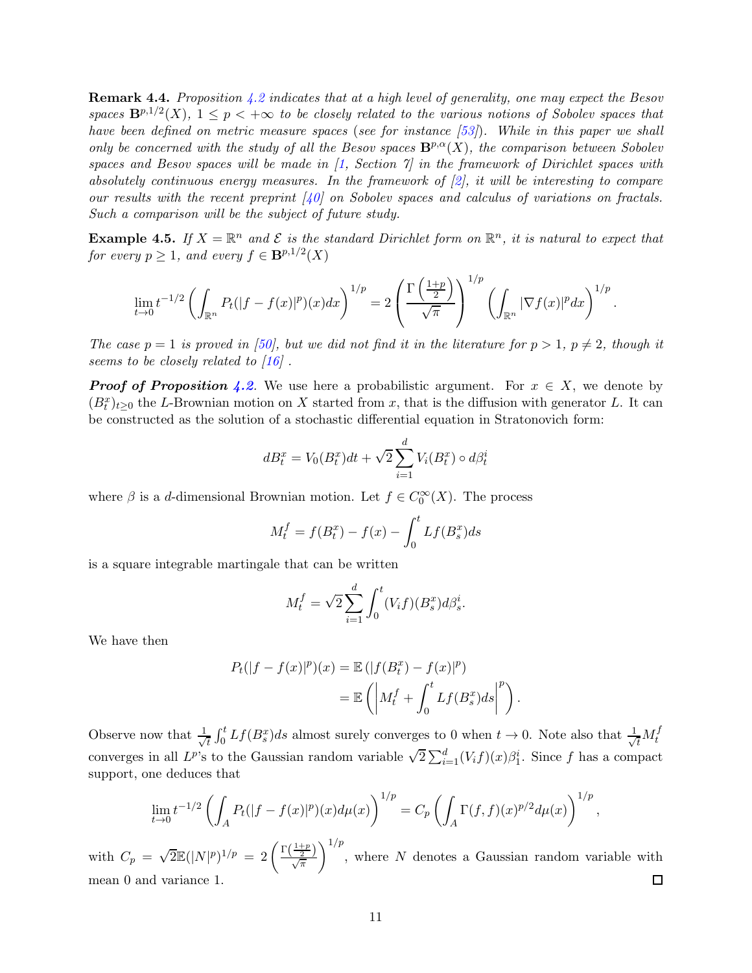<span id="page-10-0"></span>Remark 4.4. Proposition [4.2](#page-9-0) indicates that at a high level of generality, one may expect the Besov spaces  $\mathbf{B}^{p,1/2}(X)$ ,  $1 \leq p < +\infty$  to be closely related to the various notions of Sobolev spaces that have been defined on metric measure spaces (see for instance [\[53\]](#page-36-7)). While in this paper we shall only be concerned with the study of all the Besov spaces  $\mathbf{B}^{p,\alpha}(X)$ , the comparison between Sobolev spaces and Besov spaces will be made in  $\vert 1$ , Section  $\vert 7 \vert$  in the framework of Dirichlet spaces with absolutely continuous energy measures. In the framework of  $[2]$ , it will be interesting to compare our results with the recent preprint  $(40)$  on Sobolev spaces and calculus of variations on fractals. Such a comparison will be the subject of future study.

**Example 4.5.** If  $X = \mathbb{R}^n$  and  $\mathcal{E}$  is the standard Dirichlet form on  $\mathbb{R}^n$ , it is natural to expect that for every  $p \geq 1$ , and every  $f \in \mathbf{B}^{p,1/2}(X)$ 

$$
\lim_{t\to 0}t^{-1/2}\left(\int_{\mathbb{R}^n}P_t(|f-f(x)|^p)(x)dx\right)^{1/p}=2\left(\frac{\Gamma\left(\frac{1+p}{2}\right)}{\sqrt{\pi}}\right)^{1/p}\left(\int_{\mathbb{R}^n}|\nabla f(x)|^pdx\right)^{1/p}.
$$

The case  $p = 1$  is proved in [\[50\]](#page-36-8), but we did not find it in the literature for  $p > 1$ ,  $p \neq 2$ , though it seems to be closely related to [\[16\]](#page-34-13).

**Proof of Proposition [4.2](#page-9-0).** We use here a probabilistic argument. For  $x \in X$ , we denote by  $(B_t^x)_{t\geq0}$  the L-Brownian motion on X started from x, that is the diffusion with generator L. It can be constructed as the solution of a stochastic differential equation in Stratonovich form:

$$
dB_t^x = V_0(B_t^x)dt + \sqrt{2}\sum_{i=1}^d V_i(B_t^x) \circ d\beta_t^i
$$

where  $\beta$  is a d-dimensional Brownian motion. Let  $f \in C_0^{\infty}(X)$ . The process

$$
M_t^f = f(B_t^x) - f(x) - \int_0^t Lf(B_s^x)ds
$$

is a square integrable martingale that can be written

$$
M_t^f = \sqrt{2} \sum_{i=1}^d \int_0^t (V_i f)(B_s^x) d\beta_s^i.
$$

We have then

$$
P_t(|f - f(x)|^p)(x) = \mathbb{E}(|f(B_t^x) - f(x)|^p)
$$
  
= 
$$
\mathbb{E}\left(\left|M_t^f + \int_0^t Lf(B_s^x)ds\right|^p\right).
$$

Observe now that  $\frac{1}{\sqrt{2}}$  $\frac{1}{t} \int_0^t Lf(B_s^x)ds$  almost surely converges to 0 when  $t \to 0$ . Note also that  $\frac{1}{\sqrt{t}}$  $\overline{t}^{M_t^f}$ converges in all  $L^{p}$ 's to the Gaussian random variable  $\sqrt{2} \sum_{i=1}^{d} (V_i f)(x) \beta_1^i$ . Since f has a compact support, one deduces that

$$
\lim_{t \to 0} t^{-1/2} \left( \int_A P_t(|f - f(x)|^p)(x) d\mu(x) \right)^{1/p} = C_p \left( \int_A \Gamma(f, f)(x)^{p/2} d\mu(x) \right)^{1/p},
$$

 $\setminus$ <sup>1/p</sup> with  $C_p = \sqrt{2} \mathbb{E}(|N|^p)^{1/p} = 2 \left( \frac{\Gamma(\frac{1+p}{2})}{\sqrt{\pi}} \right)$ , where N denotes a Gaussian random variable with mean 0 and variance 1.  $\Box$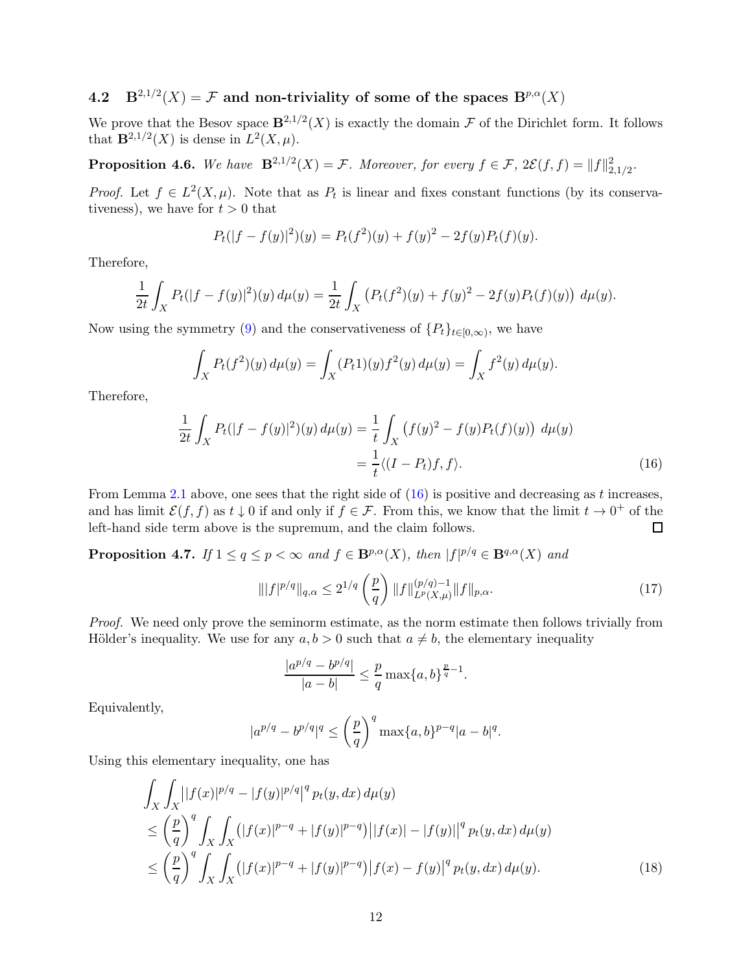# <span id="page-11-0"></span>4.2  $B^{2,1/2}(X) = \mathcal{F}$  and non-triviality of some of the spaces  $B^{p,\alpha}(X)$

We prove that the Besov space  $\mathbf{B}^{2,1/2}(X)$  is exactly the domain  $\mathcal F$  of the Dirichlet form. It follows that  $\mathbf{B}^{2,1/2}(X)$  is dense in  $L^2(X,\mu)$ .

<span id="page-11-1"></span>**Proposition 4.6.** We have  $\mathbf{B}^{2,1/2}(X) = \mathcal{F}$ . Moreover, for every  $f \in \mathcal{F}$ ,  $2\mathcal{E}(f, f) = ||f||_{2,1/2}^2$ .

*Proof.* Let  $f \in L^2(X, \mu)$ . Note that as  $P_t$  is linear and fixes constant functions (by its conservativeness), we have for  $t > 0$  that

$$
P_t(|f - f(y)|^2)(y) = P_t(f^2)(y) + f(y)^2 - 2f(y)P_t(f)(y).
$$

Therefore,

$$
\frac{1}{2t} \int_X P_t(|f - f(y)|^2)(y) d\mu(y) = \frac{1}{2t} \int_X (P_t(f^2)(y) + f(y)^2 - 2f(y)P_t(f)(y)) d\mu(y).
$$

Now using the symmetry [\(9\)](#page-5-1) and the conservativeness of  $\{P_t\}_{t\in[0,\infty)}$ , we have

$$
\int_X P_t(f^2)(y) d\mu(y) = \int_X (P_t 1)(y) f^2(y) d\mu(y) = \int_X f^2(y) d\mu(y).
$$

Therefore,

$$
\frac{1}{2t} \int_{X} P_t(|f - f(y)|^2)(y) d\mu(y) = \frac{1}{t} \int_{X} (f(y)^2 - f(y)P_t(f)(y)) d\mu(y)
$$

$$
= \frac{1}{t} \langle (I - P_t)f, f \rangle.
$$
(16)

From Lemma [2.1](#page-5-2) above, one sees that the right side of  $(16)$  is positive and decreasing as t increases, and has limit  $\mathcal{E}(f, f)$  as  $t \downarrow 0$  if and only if  $f \in \mathcal{F}$ . From this, we know that the limit  $t \to 0^+$  of the left-hand side term above is the supremum, and the claim follows.  $\Box$ 

<span id="page-11-5"></span>**Proposition 4.7.** If  $1 \le q \le p < \infty$  and  $f \in \mathbf{B}^{p,\alpha}(X)$ , then  $|f|^{p/q} \in \mathbf{B}^{q,\alpha}(X)$  and

<span id="page-11-4"></span><span id="page-11-2"></span>
$$
\| |f|^{p/q} \|_{q,\alpha} \le 2^{1/q} \left( \frac{p}{q} \right) \| f \|_{L^p(X,\mu)}^{(p/q)-1} \| f \|_{p,\alpha}.
$$
 (17)

Proof. We need only prove the seminorm estimate, as the norm estimate then follows trivially from Hölder's inequality. We use for any  $a, b > 0$  such that  $a \neq b$ , the elementary inequality

<span id="page-11-3"></span>
$$
\frac{|a^{p/q} - b^{p/q}|}{|a - b|} \le \frac{p}{q} \max\{a, b\}^{\frac{p}{q} - 1}.
$$

Equivalently,

$$
|a^{p/q} - b^{p/q}|^q \le \left(\frac{p}{q}\right)^q \max\{a, b\}^{p-q} |a - b|^q.
$$

Using this elementary inequality, one has

$$
\int_{X} \int_{X} |[f(x)|^{p/q} - |f(y)|^{p/q}]^{q} p_{t}(y, dx) d\mu(y)
$$
\n
$$
\leq \left(\frac{p}{q}\right)^{q} \int_{X} \int_{X} (|f(x)|^{p-q} + |f(y)|^{p-q}) ||f(x)| - |f(y)||^{q} p_{t}(y, dx) d\mu(y)
$$
\n
$$
\leq \left(\frac{p}{q}\right)^{q} \int_{X} \int_{X} (|f(x)|^{p-q} + |f(y)|^{p-q}) |f(x) - f(y)|^{q} p_{t}(y, dx) d\mu(y).
$$
\n(18)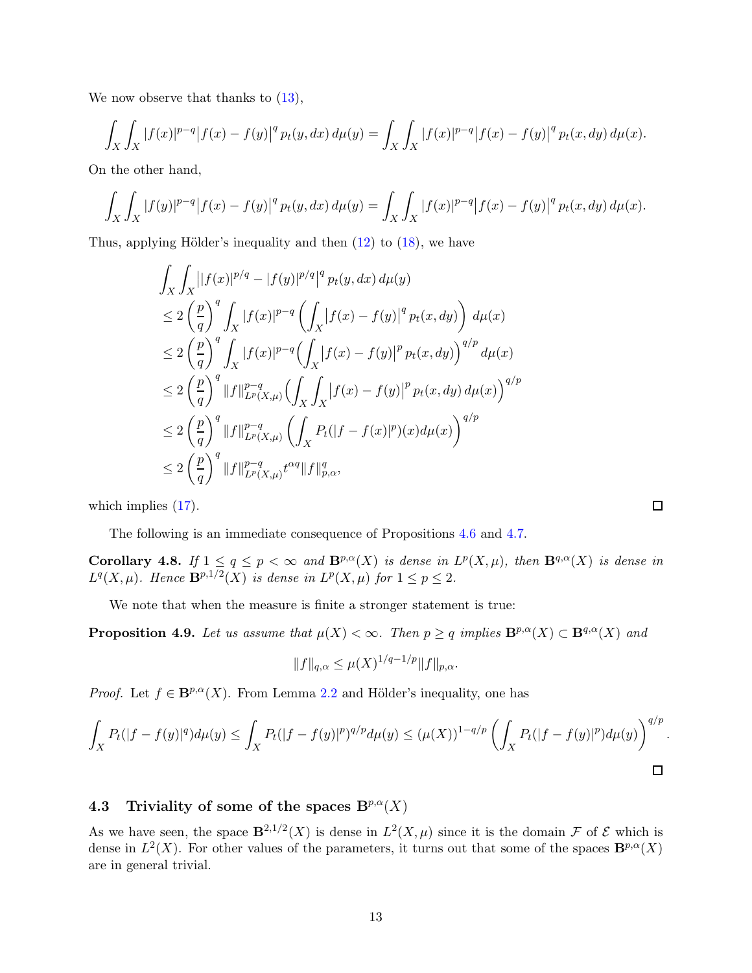We now observe that thanks to  $(13)$ ,

$$
\int_X \int_X |f(x)|^{p-q} |f(x) - f(y)|^q p_t(y, dx) d\mu(y) = \int_X \int_X |f(x)|^{p-q} |f(x) - f(y)|^q p_t(x, dy) d\mu(x).
$$

On the other hand,

$$
\int_X \int_X |f(y)|^{p-q} |f(x) - f(y)|^q p_t(y, dx) d\mu(y) = \int_X \int_X |f(x)|^{p-q} |f(x) - f(y)|^q p_t(x, dy) d\mu(x).
$$

Thus, applying Hölder's inequality and then  $(12)$  to  $(18)$ , we have

$$
\int_{X} \int_{X} |[f(x)|^{p/q} - |f(y)|^{p/q}]^{q} p_{t}(y, dx) d\mu(y)
$$
\n
$$
\leq 2 \left(\frac{p}{q}\right)^{q} \int_{X} |f(x)|^{p-q} \left(\int_{X} |f(x) - f(y)|^{q} p_{t}(x, dy)\right) d\mu(x)
$$
\n
$$
\leq 2 \left(\frac{p}{q}\right)^{q} \int_{X} |f(x)|^{p-q} \left(\int_{X} |f(x) - f(y)|^{p} p_{t}(x, dy)\right)^{q/p} d\mu(x)
$$
\n
$$
\leq 2 \left(\frac{p}{q}\right)^{q} \|f\|_{L^{p}(X,\mu)}^{p-q} \left(\int_{X} \int_{X} |f(x) - f(y)|^{p} p_{t}(x, dy) d\mu(x)\right)^{q/p}
$$
\n
$$
\leq 2 \left(\frac{p}{q}\right)^{q} \|f\|_{L^{p}(X,\mu)}^{p-q} \left(\int_{X} P_{t}(|f - f(x)|^{p})(x) d\mu(x)\right)^{q/p}
$$
\n
$$
\leq 2 \left(\frac{p}{q}\right)^{q} \|f\|_{L^{p}(X,\mu)}^{p-q} t^{cq} \|f\|_{p,\alpha}^{q},
$$

which implies  $(17)$ .

The following is an immediate consequence of Propositions [4.6](#page-11-1) and [4.7.](#page-11-5)

<span id="page-12-1"></span>**Corollary 4.8.** If  $1 \leq q \leq p < \infty$  and  $\mathbf{B}^{p,\alpha}(X)$  is dense in  $L^p(X,\mu)$ , then  $\mathbf{B}^{q,\alpha}(X)$  is dense in  $L^q(X,\mu)$ . Hence  $\mathbf{B}^{p,1/2}(X)$  is dense in  $L^p(X,\mu)$  for  $1 \leq p \leq 2$ .

We note that when the measure is finite a stronger statement is true:

**Proposition 4.9.** Let us assume that  $\mu(X) < \infty$ . Then  $p \geq q$  implies  $\mathbf{B}^{p,\alpha}(X) \subset \mathbf{B}^{q,\alpha}(X)$  and

$$
||f||_{q,\alpha} \leq \mu(X)^{1/q-1/p} ||f||_{p,\alpha}.
$$

*Proof.* Let  $f \in \mathbf{B}^{p,\alpha}(X)$ . From Lemma [2.2](#page-6-3) and Hölder's inequality, one has

$$
\int_X P_t(|f - f(y)|^q) d\mu(y) \le \int_X P_t(|f - f(y)|^p)^{q/p} d\mu(y) \le (\mu(X))^{1-q/p} \left(\int_X P_t(|f - f(y)|^p) d\mu(y)\right)^{q/p}.
$$

### <span id="page-12-0"></span>4.3 Triviality of some of the spaces  $B^{p,\alpha}(X)$

As we have seen, the space  $\mathbf{B}^{2,1/2}(X)$  is dense in  $L^2(X,\mu)$  since it is the domain  $\mathcal F$  of  $\mathcal E$  which is dense in  $L^2(X)$ . For other values of the parameters, it turns out that some of the spaces  $\mathbf{B}^{p,\alpha}(X)$ are in general trivial.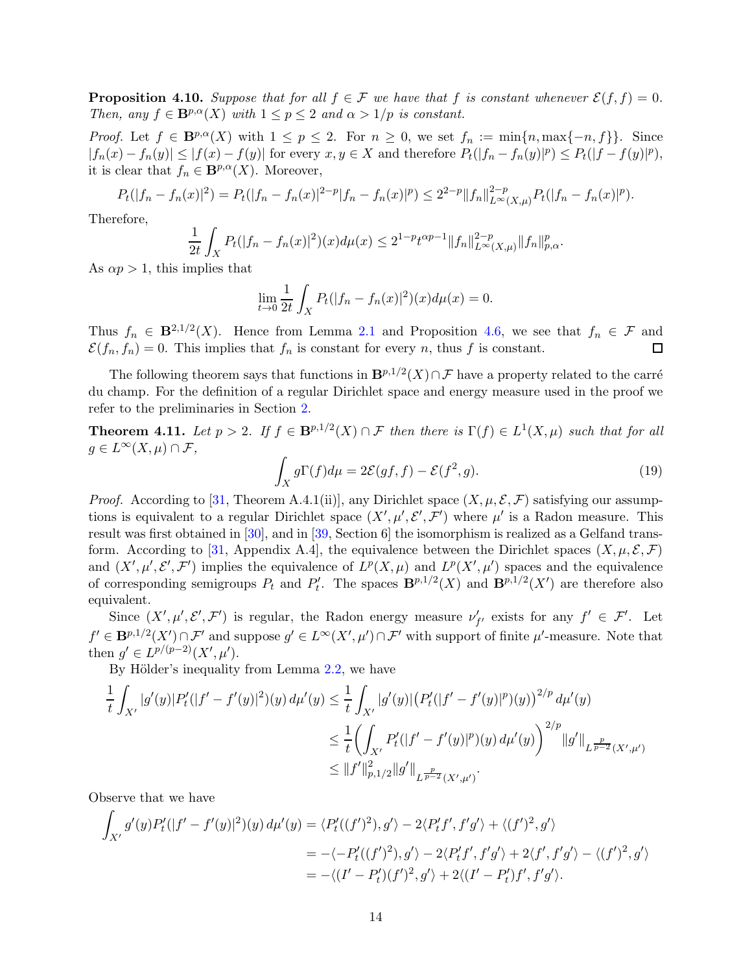<span id="page-13-3"></span><span id="page-13-2"></span>**Proposition 4.10.** Suppose that for all  $f \in \mathcal{F}$  we have that f is constant whenever  $\mathcal{E}(f, f) = 0$ . Then, any  $f \in \mathbf{B}^{p,\alpha}(X)$  with  $1 \leq p \leq 2$  and  $\alpha > 1/p$  is constant.

*Proof.* Let  $f \in \mathbf{B}^{p,\alpha}(X)$  with  $1 \le p \le 2$ . For  $n \ge 0$ , we set  $f_n := \min\{n, \max\{-n, f\}\}\$ . Since  $|f_n(x) - f_n(y)| \leq |f(x) - f(y)|$  for every  $x, y \in X$  and therefore  $P_t(|f_n - f_n(y)|^p) \leq P_t(|f - f(y)|^p)$ , it is clear that  $f_n \in \mathbf{B}^{p,\alpha}(X)$ . Moreover,

$$
P_t(|f_n - f_n(x)|^2) = P_t(|f_n - f_n(x)|^{2-p}|f_n - f_n(x)|^p) \le 2^{2-p} ||f_n||_{L^{\infty}(X,\mu)}^{2-p} P_t(|f_n - f_n(x)|^p).
$$

Therefore,

$$
\frac{1}{2t} \int_X P_t(|f_n - f_n(x)|^2)(x) d\mu(x) \le 2^{1-p} t^{\alpha p-1} \|f_n\|_{L^\infty(X,\mu)}^{2-p} \|f_n\|_{p,\alpha}^p.
$$

As  $\alpha p > 1$ , this implies that

$$
\lim_{t \to 0} \frac{1}{2t} \int_X P_t(|f_n - f_n(x)|^2)(x) d\mu(x) = 0.
$$

Thus  $f_n \in \mathbf{B}^{2,1/2}(X)$ . Hence from Lemma [2.1](#page-5-2) and Proposition [4.6,](#page-11-1) we see that  $f_n \in \mathcal{F}$  and  $\mathcal{E}(f_n, f_n) = 0$ . This implies that  $f_n$  is constant for every n, thus f is constant.

The following theorem says that functions in  $\mathbf{B}^{p,1/2}(X) \cap \mathcal{F}$  have a property related to the carré du champ. For the definition of a regular Dirichlet space and energy measure used in the proof we refer to the preliminaries in Section [2.](#page-4-0)

<span id="page-13-1"></span>**Theorem 4.11.** Let  $p > 2$ . If  $f \in \mathbf{B}^{p,1/2}(X) \cap \mathcal{F}$  then there is  $\Gamma(f) \in L^1(X,\mu)$  such that for all  $g \in L^{\infty}(X,\mu) \cap \mathcal{F},$ 

<span id="page-13-0"></span>
$$
\int_X g \Gamma(f) d\mu = 2\mathcal{E}(gf, f) - \mathcal{E}(f^2, g). \tag{19}
$$

*Proof.* According to [\[31,](#page-35-7) Theorem A.4.1(ii)], any Dirichlet space  $(X, \mu, \mathcal{E}, \mathcal{F})$  satisfying our assumptions is equivalent to a regular Dirichlet space  $(X', \mu', \mathcal{E}', \mathcal{F}')$  where  $\mu'$  is a Radon measure. This result was first obtained in [\[30\]](#page-35-12), and in [\[39,](#page-35-13) Section 6] the isomorphism is realized as a Gelfand trans-form. According to [\[31,](#page-35-7) Appendix A.4], the equivalence between the Dirichlet spaces  $(X, \mu, \mathcal{E}, \mathcal{F})$ and  $(X', \mu', \mathcal{E}', \mathcal{F}')$  implies the equivalence of  $L^p(X, \mu)$  and  $L^p(X', \mu')$  spaces and the equivalence of corresponding semigroups  $P_t$  and  $P'_t$ . The spaces  $\mathbf{B}^{p,1/2}(X)$  and  $\mathbf{B}^{p,1/2}(X')$  are therefore also equivalent.

Since  $(X', \mu', \mathcal{E}', \mathcal{F}')$  is regular, the Radon energy measure  $\nu'_{f'}$  exists for any  $f' \in \mathcal{F}'$ . Let  $f' \in \mathbf{B}^{p,1/2}(X') \cap \mathcal{F}'$  and suppose  $g' \in L^{\infty}(X',\mu') \cap \mathcal{F}'$  with support of finite  $\mu'$ -measure. Note that then  $g' \in L^{p/(p-2)}(X', \mu').$ 

By Hölder's inequality from Lemma  $2.2$ , we have

$$
\frac{1}{t} \int_{X'} |g'(y)| P'_t (|f' - f'(y)|^2)(y) d\mu'(y) \le \frac{1}{t} \int_{X'} |g'(y)| (P'_t (|f' - f'(y)|^p)(y))^{2/p} d\mu'(y)
$$
\n
$$
\le \frac{1}{t} \Biggl( \int_{X'} P'_t (|f' - f'(y)|^p)(y) d\mu'(y) \Biggr)^{2/p} ||g'||_{L^{\frac{p}{p-2}}(X',\mu')}
$$
\n
$$
\le ||f'||_{p,1/2}^2 ||g'||_{L^{\frac{p}{p-2}}(X',\mu')}.
$$

Observe that we have

$$
\int_{X'} g'(y)P'_t(|f'-f'(y)|^2)(y) d\mu'(y) = \langle P'_t((f')^2), g'\rangle - 2\langle P'_t f', f'g'\rangle + \langle (f')^2, g'\rangle
$$
  
= -\langle -P'\_t((f')^2), g'\rangle - 2\langle P'\_t f', f'g'\rangle + 2\langle f', f'g'\rangle - \langle (f')^2, g'\rangle  
= -\langle (I'-P'\_t)(f')^2, g'\rangle + 2\langle (I'-P'\_t)f', f'g'\rangle.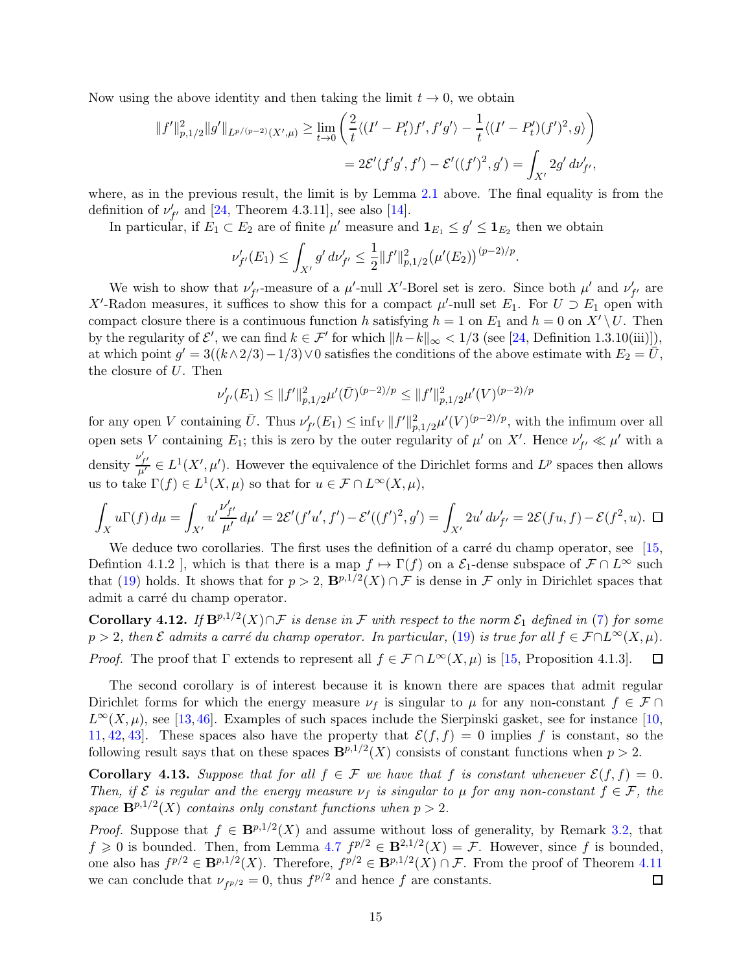<span id="page-14-1"></span>Now using the above identity and then taking the limit  $t \to 0$ , we obtain

$$
||f'||_{p,1/2}^2||g'||_{L^{p/(p-2)}(X',\mu)} \ge \lim_{t \to 0} \left( \frac{2}{t} \langle (I' - P'_t)f', f'g' \rangle - \frac{1}{t} \langle (I' - P'_t)(f')^2, g \rangle \right)
$$
  
=  $2\mathcal{E}'(f'g', f') - \mathcal{E}'((f')^2, g') = \int_{X'} 2g' d\nu'_{f'},$ 

where, as in the previous result, the limit is by Lemma [2.1](#page-5-2) above. The final equality is from the definition of  $\nu'_{f'}$  and [\[24,](#page-34-11) Theorem 4.3.11], see also [\[14\]](#page-34-10).

In particular, if  $E_1 \subset E_2$  are of finite  $\mu'$  measure and  $\mathbf{1}_{E_1} \leq g' \leq \mathbf{1}_{E_2}$  then we obtain

$$
\nu'_{f'}(E_1) \leq \int_{X'} g' d\nu'_{f'} \leq \frac{1}{2} ||f'||^2_{p,1/2} (\mu'(E_2))^{(p-2)/p}.
$$

We wish to show that  $\nu'_{f'}$ -measure of a  $\mu'$ -null X'-Borel set is zero. Since both  $\mu'$  and  $\nu'_{f'}$  are X'-Radon measures, it suffices to show this for a compact  $\mu'$ -null set  $E_1$ . For  $U \supset E_1$  open with compact closure there is a continuous function h satisfying  $h = 1$  on  $E_1$  and  $h = 0$  on  $X' \setminus U$ . Then by the regularity of  $\mathcal{E}'$ , we can find  $k \in \mathcal{F}'$  for which  $||h-k||_{\infty} < 1/3$  (see [\[24,](#page-34-11) Definition 1.3.10(iii)]), at which point  $g' = 3((k \wedge 2/3) - 1/3) \vee 0$  satisfies the conditions of the above estimate with  $E_2 = \overline{U}$ , the closure of U. Then

$$
\nu'_{f'}(E_1) \le ||f'||_{p,1/2}^2 \mu'(\bar{U})^{(p-2)/p} \le ||f'||_{p,1/2}^2 \mu'(V)^{(p-2)/p}
$$

for any open V containing  $\bar{U}$ . Thus  $\nu'_{f'}(E_1) \leq \inf_V ||f'||^2_{p,1/2}\mu'(V)^{(p-2)/p}$ , with the infimum over all open sets V containing  $E_1$ ; this is zero by the outer regularity of  $\mu'$  on X'. Hence  $\nu'_{f'} \ll \mu'$  with a density  $\frac{\nu'_{f'}}{\mu'} \in L^1(X',\mu')$ . However the equivalence of the Dirichlet forms and  $L^p$  spaces then allows us to take  $\Gamma(f) \in L^1(X, \mu)$  so that for  $u \in \mathcal{F} \cap L^{\infty}(X, \mu)$ ,

$$
\int_X u\Gamma(f) d\mu = \int_{X'} u' \frac{\nu'_{f'}}{\mu'} d\mu' = 2\mathcal{E}'(f'u', f') - \mathcal{E}'((f')^2, g') = \int_{X'} 2u' d\nu'_{f'} = 2\mathcal{E}(fu, f) - \mathcal{E}(f^2, u). \quad \Box
$$

We deduce two corollaries. The first uses the definition of a carré du champ operator, see  $[15,$ Defintion 4.1.2 ], which is that there is a map  $f \mapsto \Gamma(f)$  on a  $\mathcal{E}_1$ -dense subspace of  $\mathcal{F} \cap L^{\infty}$  such that [\(19\)](#page-13-0) holds. It shows that for  $p > 2$ ,  $\mathbf{B}^{p,1/2}(X) \cap \mathcal{F}$  is dense in  $\mathcal F$  only in Dirichlet spaces that admit a carré du champ operator.

**Corollary 4.12.** If  $\mathbf{B}^{p,1/2}(X) \cap \mathcal{F}$  is dense in F with respect to the norm  $\mathcal{E}_1$  defined in [\(7\)](#page-4-2) for some  $p > 2$ , then  $\mathcal E$  admits a carré du champ operator. In particular, [\(19\)](#page-13-0) is true for all  $f \in \mathcal F \cap L^\infty(X, \mu)$ . *Proof.* The proof that  $\Gamma$  extends to represent all  $f \in \mathcal{F} \cap L^{\infty}(X, \mu)$  is [\[15,](#page-34-7) Proposition 4.1.3].  $\Box$ 

The second corollary is of interest because it is known there are spaces that admit regular Dirichlet forms for which the energy measure  $\nu_f$  is singular to  $\mu$  for any non-constant  $f \in \mathcal{F} \cap$  $L^{\infty}(X,\mu)$ , see [\[13,](#page-34-14)[46\]](#page-35-10). Examples of such spaces include the Sierpinski gasket, see for instance [\[10,](#page-34-15) [11,](#page-34-16) [42,](#page-35-14) 43. These spaces also have the property that  $\mathcal{E}(f, f) = 0$  implies f is constant, so the following result says that on these spaces  $\mathbf{B}^{p,1/2}(X)$  consists of constant functions when  $p > 2$ .

<span id="page-14-0"></span>**Corollary 4.13.** Suppose that for all  $f \in \mathcal{F}$  we have that f is constant whenever  $\mathcal{E}(f, f) = 0$ . Then, if  $\mathcal E$  is regular and the energy measure  $\nu_f$  is singular to  $\mu$  for any non-constant  $f \in \mathcal F$ , the space  $\mathbf{B}^{p,1/2}(X)$  contains only constant functions when  $p > 2$ .

*Proof.* Suppose that  $f \in \mathbf{B}^{p,1/2}(X)$  and assume without loss of generality, by Remark [3.2,](#page-7-1) that  $f \geq 0$  is bounded. Then, from Lemma  $4.7 f^{p/2} \in \mathbf{B}^{2,1/2}(X) = \mathcal{F}$  $4.7 f^{p/2} \in \mathbf{B}^{2,1/2}(X) = \mathcal{F}$ . However, since f is bounded, one also has  $f^{p/2} \in \mathbf{B}^{p,1/2}(X)$ . Therefore,  $f^{p/2} \in \mathbf{B}^{p,1/2}(X) \cap \mathcal{F}$ . From the proof of Theorem [4.11](#page-13-1) we can conclude that  $\nu_{f^{p/2}} = 0$ , thus  $f^{p/2}$  and hence f are constants.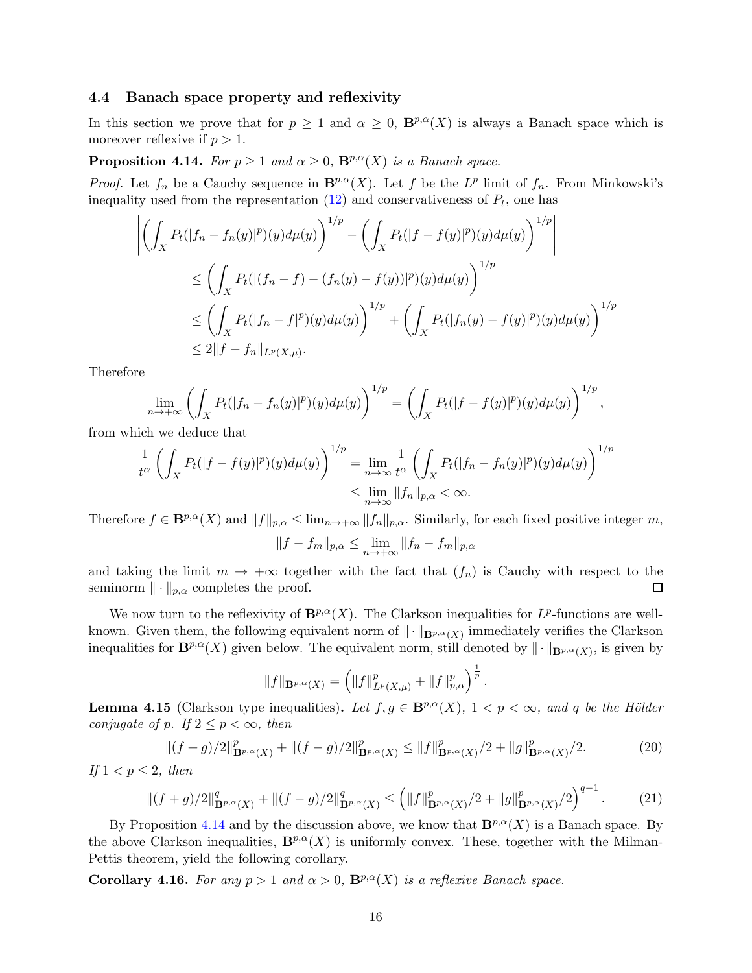### <span id="page-15-0"></span>4.4 Banach space property and reflexivity

In this section we prove that for  $p \geq 1$  and  $\alpha \geq 0$ ,  $\mathbf{B}^{p,\alpha}(X)$  is always a Banach space which is moreover reflexive if  $p > 1$ .

<span id="page-15-1"></span>**Proposition 4.14.** For  $p \ge 1$  and  $\alpha \ge 0$ ,  $\mathbf{B}^{p,\alpha}(X)$  is a Banach space.

*Proof.* Let  $f_n$  be a Cauchy sequence in  $\mathbf{B}^{p,\alpha}(X)$ . Let f be the  $L^p$  limit of  $f_n$ . From Minkowski's inequality used from the representation  $(12)$  and conservativeness of  $P_t$ , one has

$$
\left| \left( \int_X P_t(|f_n - f_n(y)|^p)(y) d\mu(y) \right)^{1/p} - \left( \int_X P_t(|f - f(y)|^p)(y) d\mu(y) \right)^{1/p} \right|
$$
  
\n
$$
\leq \left( \int_X P_t(|(f_n - f) - (f_n(y) - f(y))|^p)(y) d\mu(y) \right)^{1/p}
$$
  
\n
$$
\leq \left( \int_X P_t(|f_n - f|^p)(y) d\mu(y) \right)^{1/p} + \left( \int_X P_t(|f_n(y) - f(y)|^p)(y) d\mu(y) \right)^{1/p}
$$
  
\n
$$
\leq 2||f - f_n||_{L^p(X, \mu)}.
$$

Therefore

$$
\lim_{n\to+\infty}\left(\int_XP_t(|f_n-f_n(y)|^p)(y)d\mu(y)\right)^{1/p}=\left(\int_XP_t(|f-f(y)|^p)(y)d\mu(y)\right)^{1/p},
$$

from which we deduce that

$$
\frac{1}{t^{\alpha}} \left( \int_X P_t(|f - f(y)|^p)(y) d\mu(y) \right)^{1/p} = \lim_{n \to \infty} \frac{1}{t^{\alpha}} \left( \int_X P_t(|f_n - f_n(y)|^p)(y) d\mu(y) \right)^{1/p}
$$
  

$$
\leq \lim_{n \to \infty} ||f_n||_{p,\alpha} < \infty.
$$

Therefore  $f \in \mathbf{B}^{p,\alpha}(X)$  and  $||f||_{p,\alpha} \leq \lim_{n \to +\infty} ||f_n||_{p,\alpha}$ . Similarly, for each fixed positive integer m,

$$
||f - f_m||_{p,\alpha} \le \lim_{n \to +\infty} ||f_n - f_m||_{p,\alpha}
$$

and taking the limit  $m \to +\infty$  together with the fact that  $(f_n)$  is Cauchy with respect to the seminorm  $\|\cdot\|_{n,\alpha}$  completes the proof. seminorm  $\|\cdot\|_{p,\alpha}$  completes the proof.

We now turn to the reflexivity of  $\mathbf{B}^{p,\alpha}(X)$ . The Clarkson inequalities for  $L^p$ -functions are wellknown. Given them, the following equivalent norm of  $\|\cdot\|_{\mathbf{B}^{p,\alpha}(X)}$  immediately verifies the Clarkson inequalities for  $\mathbf{B}^{p,\alpha}(X)$  given below. The equivalent norm, still denoted by  $\|\cdot\|_{\mathbf{B}^{p,\alpha}(X)}$ , is given by

$$
||f||_{\mathbf{B}^{p,\alpha}(X)} = \left(||f||_{L^p(X,\mu)}^p + ||f||_{p,\alpha}^p\right)^{\frac{1}{p}}.
$$

**Lemma 4.15** (Clarkson type inequalities). Let  $f, g \in \mathbf{B}^{p,\alpha}(X)$ ,  $1 < p < \infty$ , and q be the Hölder conjugate of p. If  $2 \leq p < \infty$ , then

$$
||(f+g)/2||_{\mathbf{B}^{p,\alpha}(X)}^p+||(f-g)/2||_{\mathbf{B}^{p,\alpha}(X)}^p \le ||f||_{\mathbf{B}^{p,\alpha}(X)}^p/2+||g||_{\mathbf{B}^{p,\alpha}(X)}^p/2.
$$
 (20)

If  $1 < p \leq 2$ , then

$$
\|(f+g)/2\|_{\mathbf{B}^{p,\alpha}(X)}^q + \|(f-g)/2\|_{\mathbf{B}^{p,\alpha}(X)}^q \le (\|f\|_{\mathbf{B}^{p,\alpha}(X)}^p/2 + \|g\|_{\mathbf{B}^{p,\alpha}(X)}^p/2)^{q-1}.
$$
 (21)

By Proposition [4.14](#page-15-1) and by the discussion above, we know that  $\mathbf{B}^{p,\alpha}(X)$  is a Banach space. By the above Clarkson inequalities,  $\mathbf{B}^{p,\alpha}(X)$  is uniformly convex. These, together with the Milman-Pettis theorem, yield the following corollary.

**Corollary 4.16.** For any  $p > 1$  and  $\alpha > 0$ ,  $\mathbf{B}^{p,\alpha}(X)$  is a reflexive Banach space.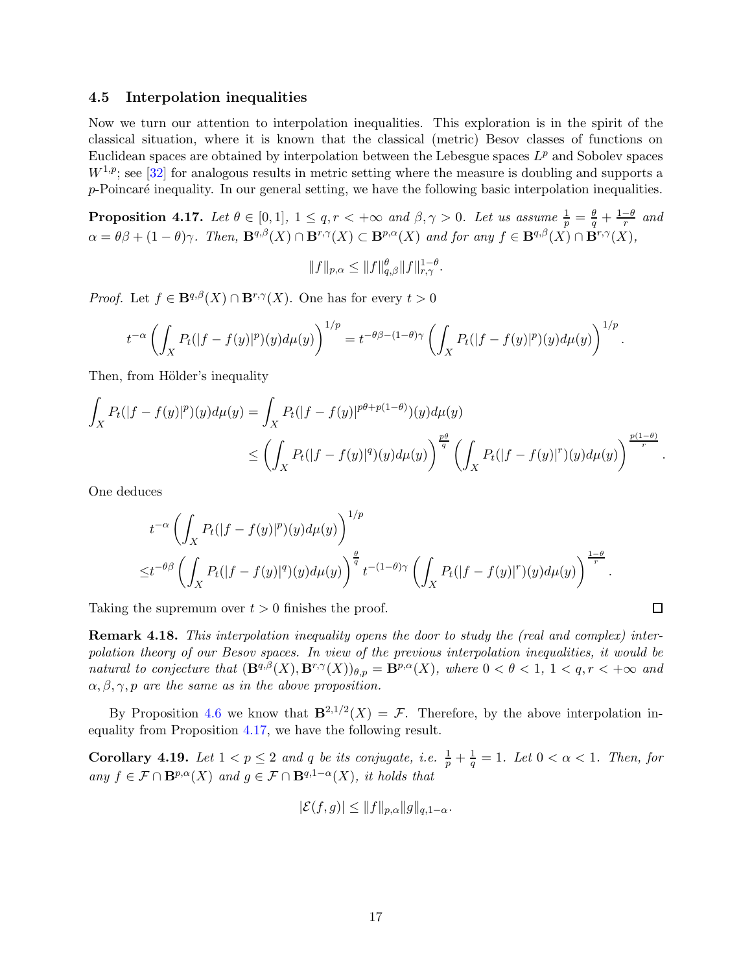### <span id="page-16-3"></span><span id="page-16-0"></span>4.5 Interpolation inequalities

Now we turn our attention to interpolation inequalities. This exploration is in the spirit of the classical situation, where it is known that the classical (metric) Besov classes of functions on Euclidean spaces are obtained by interpolation between the Lebesgue spaces  $L^p$  and Sobolev spaces  $W^{1,p}$ ; see [\[32\]](#page-35-16) for analogous results in metric setting where the measure is doubling and supports a  $p$ -Poincaré inequality. In our general setting, we have the following basic interpolation inequalities.

<span id="page-16-1"></span>**Proposition 4.17.** Let  $\theta \in [0,1], 1 \le q, r < +\infty$  and  $\beta, \gamma > 0$ . Let us assume  $\frac{1}{p} = \frac{\theta}{q} + \frac{1-\theta}{r}$  and  $\alpha = \theta \beta + (1 - \theta) \gamma$ . Then,  $\mathbf{B}^{q,\beta}(X) \cap \mathbf{B}^{r,\gamma}(X) \subset \mathbf{B}^{p,\alpha}(X)$  and for any  $f \in \mathbf{B}^{q,\beta}(X) \cap \mathbf{B}^{r,\gamma}(X)$ ,

$$
||f||_{p,\alpha} \leq ||f||_{q,\beta}^{\theta} ||f||_{r,\gamma}^{1-\theta}.
$$

*Proof.* Let  $f \in \mathbf{B}^{q,\beta}(X) \cap \mathbf{B}^{r,\gamma}(X)$ . One has for every  $t > 0$ 

$$
t^{-\alpha}\left(\int_X P_t(|f-f(y)|^p)(y)d\mu(y)\right)^{1/p}=t^{-\theta\beta-(1-\theta)\gamma}\left(\int_X P_t(|f-f(y)|^p)(y)d\mu(y)\right)^{1/p}.
$$

Then, from Hölder's inequality

$$
\int_X P_t(|f - f(y)|^p)(y)d\mu(y) = \int_X P_t(|f - f(y)|^{p(\theta + p(1-\theta))}(y)d\mu(y) \n\le \left(\int_X P_t(|f - f(y)|^q)(y)d\mu(y)\right)^{\frac{p\theta}{q}} \left(\int_X P_t(|f - f(y)|^r)(y)d\mu(y)\right)^{\frac{p(1-\theta)}{r}}.
$$

One deduces

$$
t^{-\alpha} \left( \int_X P_t(|f - f(y)|^p)(y) d\mu(y) \right)^{1/p}
$$
  

$$
\leq t^{-\theta\beta} \left( \int_X P_t(|f - f(y)|^q)(y) d\mu(y) \right)^{\frac{\theta}{q}} t^{-(1-\theta)\gamma} \left( \int_X P_t(|f - f(y)|^r)(y) d\mu(y) \right)^{\frac{1-\theta}{r}}.
$$

 $\Box$ 

Taking the supremum over  $t > 0$  finishes the proof.

Remark 4.18. This interpolation inequality opens the door to study the (real and complex) interpolation theory of our Besov spaces. In view of the previous interpolation inequalities, it would be natural to conjecture that  $(\mathbf{B}^{q,\beta}(X),\mathbf{B}^{r,\gamma}(X))_{\theta,p}=\mathbf{B}^{p,\alpha}(X)$ , where  $0<\theta<1$ ,  $1< q,r<+\infty$  and  $\alpha, \beta, \gamma, p$  are the same as in the above proposition.

By Proposition [4.6](#page-11-1) we know that  $\mathbf{B}^{2,1/2}(X) = \mathcal{F}$ . Therefore, by the above interpolation inequality from Proposition [4.17,](#page-16-1) we have the following result.

<span id="page-16-2"></span>**Corollary 4.19.** Let  $1 < p \leq 2$  and q be its conjugate, i.e.  $\frac{1}{p} + \frac{1}{q}$  $\frac{1}{q} = 1$ . Let  $0 < \alpha < 1$ . Then, for any  $f \in \mathcal{F} \cap \mathbf{B}^{p,\alpha}(X)$  and  $g \in \mathcal{F} \cap \mathbf{B}^{q,1-\alpha}(X)$ , it holds that

$$
|\mathcal{E}(f,g)| \leq ||f||_{p,\alpha} ||g||_{q,1-\alpha}.
$$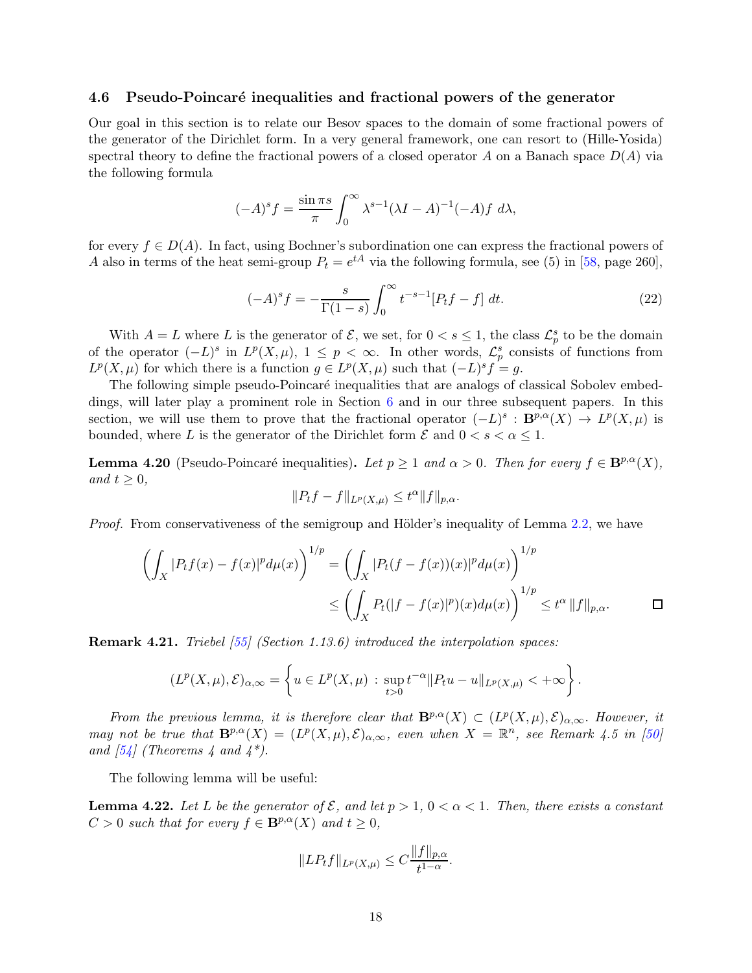### <span id="page-17-2"></span><span id="page-17-0"></span>4.6 Pseudo-Poincaré inequalities and fractional powers of the generator

Our goal in this section is to relate our Besov spaces to the domain of some fractional powers of the generator of the Dirichlet form. In a very general framework, one can resort to (Hille-Yosida) spectral theory to define the fractional powers of a closed operator A on a Banach space  $D(A)$  via the following formula

$$
(-A)^s f = \frac{\sin \pi s}{\pi} \int_0^\infty \lambda^{s-1} (\lambda I - A)^{-1} (-A) f \, d\lambda,
$$

for every  $f \in D(A)$ . In fact, using Bochner's subordination one can express the fractional powers of A also in terms of the heat semi-group  $P_t = e^{tA}$  via the following formula, see (5) in [\[58,](#page-36-9) page 260],

$$
(-A)^{s} f = -\frac{s}{\Gamma(1-s)} \int_{0}^{\infty} t^{-s-1} [P_{t}f - f] dt.
$$
 (22)

With  $A = L$  where L is the generator of  $\mathcal{E}$ , we set, for  $0 < s \leq 1$ , the class  $\mathcal{L}_p^s$  to be the domain of the operator  $(-L)^s$  in  $L^p(X, \mu)$ ,  $1 \leq p < \infty$ . In other words,  $\mathcal{L}_p^s$  consists of functions from  $L^p(X,\mu)$  for which there is a function  $g \in L^p(X,\mu)$  such that  $(-L)^s f = g$ .

The following simple pseudo-Poincaré inequalities that are analogs of classical Sobolev embeddings, will later play a prominent role in Section [6](#page-25-0) and in our three subsequent papers. In this section, we will use them to prove that the fractional operator  $(-L)^s : B^{p,\alpha}(X) \to L^p(X,\mu)$  is bounded, where L is the generator of the Dirichlet form  $\mathcal E$  and  $0 < s < \alpha \leq 1$ .

<span id="page-17-1"></span>**Lemma 4.20** (Pseudo-Poincaré inequalities). Let  $p \ge 1$  and  $\alpha > 0$ . Then for every  $f \in \mathbf{B}^{p,\alpha}(X)$ , and  $t \geq 0$ ,

$$
||P_t f - f||_{L^p(X,\mu)} \le t^{\alpha} ||f||_{p,\alpha}.
$$

*Proof.* From conservativeness of the semigroup and Hölder's inequality of Lemma [2.2,](#page-6-3) we have

$$
\left(\int_X |P_t f(x) - f(x)|^p d\mu(x)\right)^{1/p} = \left(\int_X |P_t (f - f(x))(x)|^p d\mu(x)\right)^{1/p}
$$
  

$$
\leq \left(\int_X P_t (|f - f(x)|^p)(x) d\mu(x)\right)^{1/p} \leq t^{\alpha} ||f||_{p,\alpha}.\n\qquad \Box
$$

**Remark 4.21.** Triebel [\[55\]](#page-36-6) (Section 1.13.6) introduced the interpolation spaces:

$$
(L^p(X,\mu),\mathcal{E})_{\alpha,\infty} = \left\{ u \in L^p(X,\mu) \, : \, \sup_{t>0} t^{-\alpha} ||P_t u - u||_{L^p(X,\mu)} < +\infty \right\}.
$$

From the previous lemma, it is therefore clear that  $\mathbf{B}^{p,\alpha}(X) \subset (L^p(X,\mu),\mathcal{E})_{\alpha,\infty}$ . However, it may not be true that  $\mathbf{B}^{p,\alpha}(X) = (L^p(X,\mu), \mathcal{E})_{\alpha,\infty}$ , even when  $X = \mathbb{R}^n$ , see Remark 4.5 in [\[50\]](#page-36-8) and  $[54]$  (Theorems 4 and  $4^*$ ).

The following lemma will be useful:

**Lemma 4.22.** Let L be the generator of  $\mathcal{E}$ , and let  $p > 1$ ,  $0 < \alpha < 1$ . Then, there exists a constant  $C > 0$  such that for every  $f \in \mathbf{B}^{p,\alpha}(X)$  and  $t \geq 0$ ,

$$
||LP_t f||_{L^p(X,\mu)} \leq C \frac{||f||_{p,\alpha}}{t^{1-\alpha}}.
$$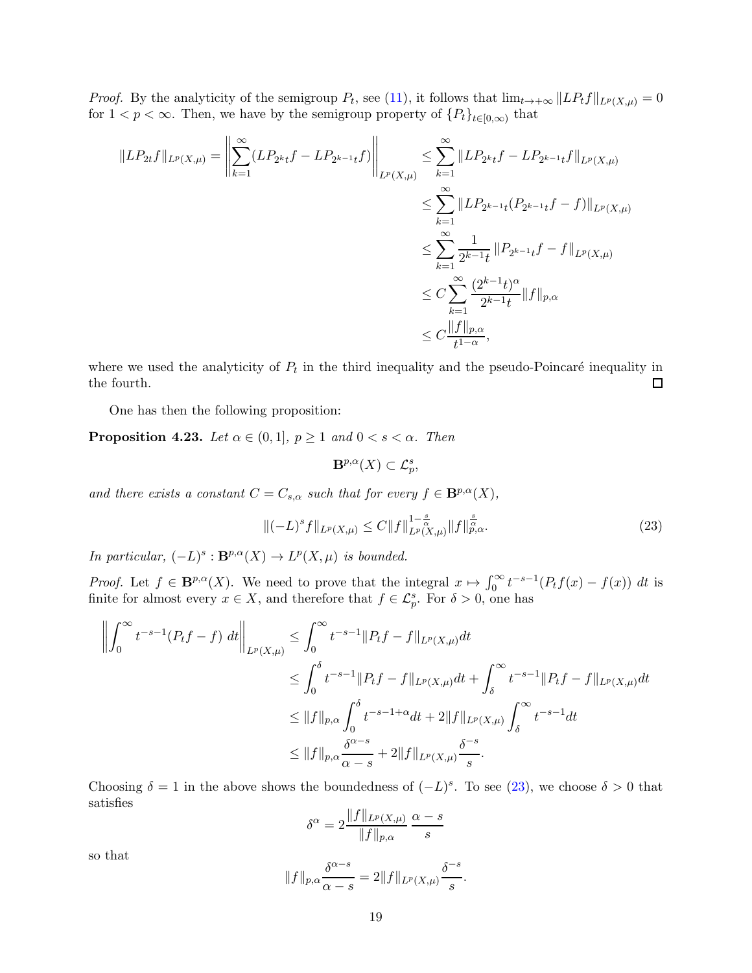*Proof.* By the analyticity of the semigroup  $P_t$ , see [\(11\)](#page-6-4), it follows that  $\lim_{t\to+\infty} ||LP_tf||_{L^p(X,\mu)} = 0$ for  $1 < p < \infty$ . Then, we have by the semigroup property of  $\{P_t\}_{t \in [0,\infty)}$  that

$$
||LP_{2t}f||_{L^{p}(X,\mu)} = \left\| \sum_{k=1}^{\infty} (LP_{2^{k}t}f - LP_{2^{k-1}t}f) \right\|_{L^{p}(X,\mu)} \leq \sum_{k=1}^{\infty} ||LP_{2^{k}t}f - LP_{2^{k-1}t}f||_{L^{p}(X,\mu)}
$$
  

$$
\leq \sum_{k=1}^{\infty} ||LP_{2^{k-1}t}(P_{2^{k-1}t}f - f)||_{L^{p}(X,\mu)}
$$
  

$$
\leq \sum_{k=1}^{\infty} \frac{1}{2^{k-1}t} ||P_{2^{k-1}t}f - f||_{L^{p}(X,\mu)}
$$
  

$$
\leq C \sum_{k=1}^{\infty} \frac{(2^{k-1}t)^{\alpha}}{2^{k-1}t} ||f||_{p,\alpha}
$$
  

$$
\leq C \frac{||f||_{p,\alpha}}{t^{1-\alpha}},
$$

where we used the analyticity of  $P_t$  in the third inequality and the pseudo-Poincaré inequality in the fourth.  $\Box$ 

One has then the following proposition:

**Proposition 4.23.** Let  $\alpha \in (0,1]$ ,  $p \geq 1$  and  $0 < s < \alpha$ . Then

$$
\mathbf{B}^{p,\alpha}(X)\subset\mathcal{L}^{s}_{p},
$$

and there exists a constant  $C = C_{s,\alpha}$  such that for every  $f \in \mathbf{B}^{p,\alpha}(X)$ ,

<span id="page-18-0"></span>
$$
\|(-L)^{s}f\|_{L^{p}(X,\mu)} \leq C\|f\|_{L^{p}(X,\mu)}^{1-\frac{s}{\alpha}}\|f\|_{p,\alpha}^{\frac{s}{\alpha}}.
$$
\n(23)

In particular,  $(-L)^s : \mathbf{B}^{p,\alpha}(X) \to L^p(X,\mu)$  is bounded.

*Proof.* Let  $f \in \mathbf{B}^{p,\alpha}(X)$ . We need to prove that the integral  $x \mapsto \int_0^\infty t^{-s-1}(P_tf(x)-f(x)) dt$  is finite for almost every  $x \in X$ , and therefore that  $f \in \mathcal{L}_p^s$ . For  $\delta > 0$ , one has

$$
\left\| \int_0^\infty t^{-s-1} (P_t f - f) \, dt \right\|_{L^p(X,\mu)} \leq \int_0^\infty t^{-s-1} \| P_t f - f \|_{L^p(X,\mu)} dt
$$
  
\n
$$
\leq \int_0^\delta t^{-s-1} \| P_t f - f \|_{L^p(X,\mu)} dt + \int_\delta^\infty t^{-s-1} \| P_t f - f \|_{L^p(X,\mu)} dt
$$
  
\n
$$
\leq \| f \|_{p,\alpha} \int_0^\delta t^{-s-1+\alpha} dt + 2 \| f \|_{L^p(X,\mu)} \int_\delta^\infty t^{-s-1} dt
$$
  
\n
$$
\leq \| f \|_{p,\alpha} \frac{\delta^{\alpha-s}}{\alpha-s} + 2 \| f \|_{L^p(X,\mu)} \frac{\delta^{-s}}{s}.
$$

Choosing  $\delta = 1$  in the above shows the boundedness of  $(-L)^s$ . To see [\(23\)](#page-18-0), we choose  $\delta > 0$  that satisfies

$$
\delta^{\alpha} = 2 \frac{\|f\|_{L^p(X,\mu)}}{\|f\|_{p,\alpha}} \frac{\alpha - s}{s}
$$

so that

$$
||f||_{p,\alpha} \frac{\delta^{\alpha-s}}{\alpha-s} = 2||f||_{L^p(X,\mu)} \frac{\delta^{-s}}{s}.
$$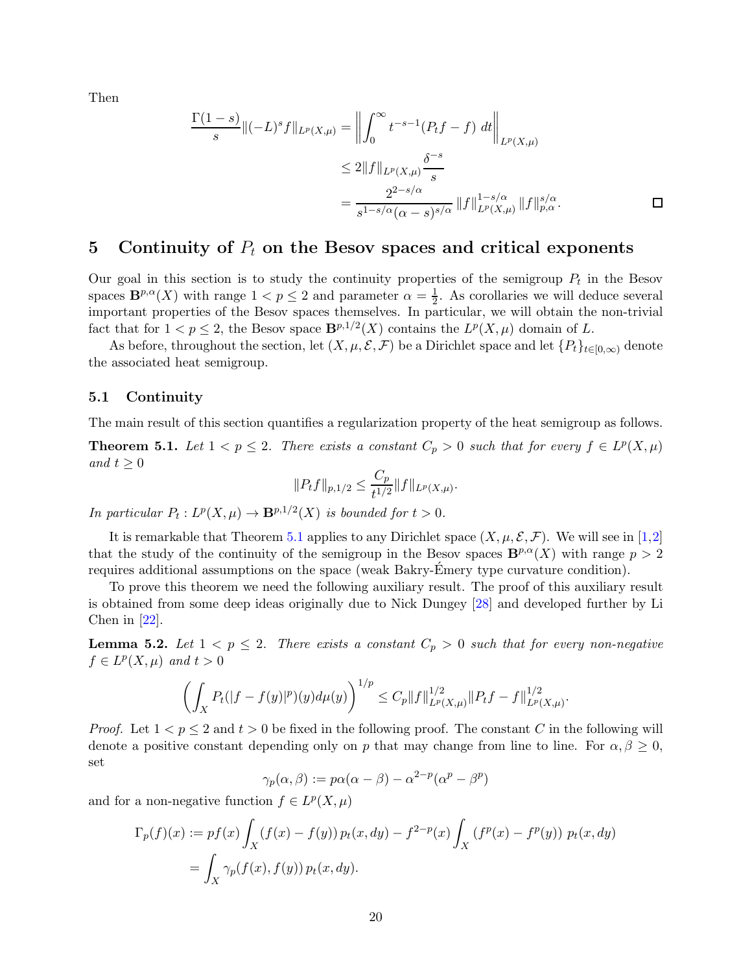Then

<span id="page-19-4"></span>
$$
\frac{\Gamma(1-s)}{s} \|(-L)^s f\|_{L^p(X,\mu)} = \left\| \int_0^\infty t^{-s-1} (P_t f - f) \, dt \right\|_{L^p(X,\mu)}
$$
\n
$$
\leq 2 \|f\|_{L^p(X,\mu)} \frac{\delta^{-s}}{s}
$$
\n
$$
= \frac{2^{2-s/\alpha}}{s^{1-s/\alpha} (\alpha - s)^{s/\alpha}} \|f\|_{L^p(X,\mu)}^{1-s/\alpha} \|f\|_{p,\alpha}^{s/\alpha}.
$$

## <span id="page-19-0"></span>5 Continuity of  $P_t$  on the Besov spaces and critical exponents

Our goal in this section is to study the continuity properties of the semigroup  $P_t$  in the Besov spaces  $\mathbf{B}^{p,\alpha}(X)$  with range  $1 < p \leq 2$  and parameter  $\alpha = \frac{1}{2}$  $\frac{1}{2}$ . As corollaries we will deduce several important properties of the Besov spaces themselves. In particular, we will obtain the non-trivial fact that for  $1 < p \leq 2$ , the Besov space  $\mathbf{B}^{p,1/2}(X)$  contains the  $L^p(X,\mu)$  domain of L.

As before, throughout the section, let  $(X, \mu, \mathcal{E}, \mathcal{F})$  be a Dirichlet space and let  $\{P_t\}_{t\in[0,\infty)}$  denote the associated heat semigroup.

### <span id="page-19-1"></span>5.1 Continuity

The main result of this section quantifies a regularization property of the heat semigroup as follows.

<span id="page-19-2"></span>**Theorem 5.1.** Let  $1 < p \le 2$ . There exists a constant  $C_p > 0$  such that for every  $f \in L^p(X, \mu)$ and  $t \geq 0$ 

$$
||P_t f||_{p,1/2} \le \frac{C_p}{t^{1/2}} ||f||_{L^p(X,\mu)}.
$$

In particular  $P_t: L^p(X, \mu) \to \mathbf{B}^{p,1/2}(X)$  is bounded for  $t > 0$ .

It is remarkable that Theorem [5.1](#page-19-2) applies to any Dirichlet space  $(X, \mu, \mathcal{E}, \mathcal{F})$ . We will see in [\[1,](#page-33-1)[2\]](#page-33-2) that the study of the continuity of the semigroup in the Besov spaces  $\mathbf{B}^{p,\alpha}(X)$  with range  $p > 2$ requires additional assumptions on the space (weak Bakry-Emery type curvature condition). ´

To prove this theorem we need the following auxiliary result. The proof of this auxiliary result is obtained from some deep ideas originally due to Nick Dungey [\[28\]](#page-35-17) and developed further by Li Chen in  $[22]$ .

<span id="page-19-3"></span>**Lemma 5.2.** Let  $1 < p \leq 2$ . There exists a constant  $C_p > 0$  such that for every non-negative  $f \in L^p(X, \mu)$  and  $t > 0$ 

$$
\left(\int_X P_t(|f - f(y)|^p)(y)d\mu(y)\right)^{1/p} \le C_p \|f\|_{L^p(X,\mu)}^{1/2} \|P_t f - f\|_{L^p(X,\mu)}^{1/2}.
$$

*Proof.* Let  $1 < p \leq 2$  and  $t > 0$  be fixed in the following proof. The constant C in the following will denote a positive constant depending only on p that may change from line to line. For  $\alpha, \beta \geq 0$ , set

$$
\gamma_p(\alpha, \beta) := p\alpha(\alpha - \beta) - \alpha^{2-p}(\alpha^p - \beta^p)
$$

and for a non-negative function  $f \in L^p(X, \mu)$ 

$$
\Gamma_p(f)(x) := pf(x) \int_X (f(x) - f(y)) p_t(x, dy) - f^{2-p}(x) \int_X (f^p(x) - f^p(y)) p_t(x, dy)
$$
  
= 
$$
\int_X \gamma_p(f(x), f(y)) p_t(x, dy).
$$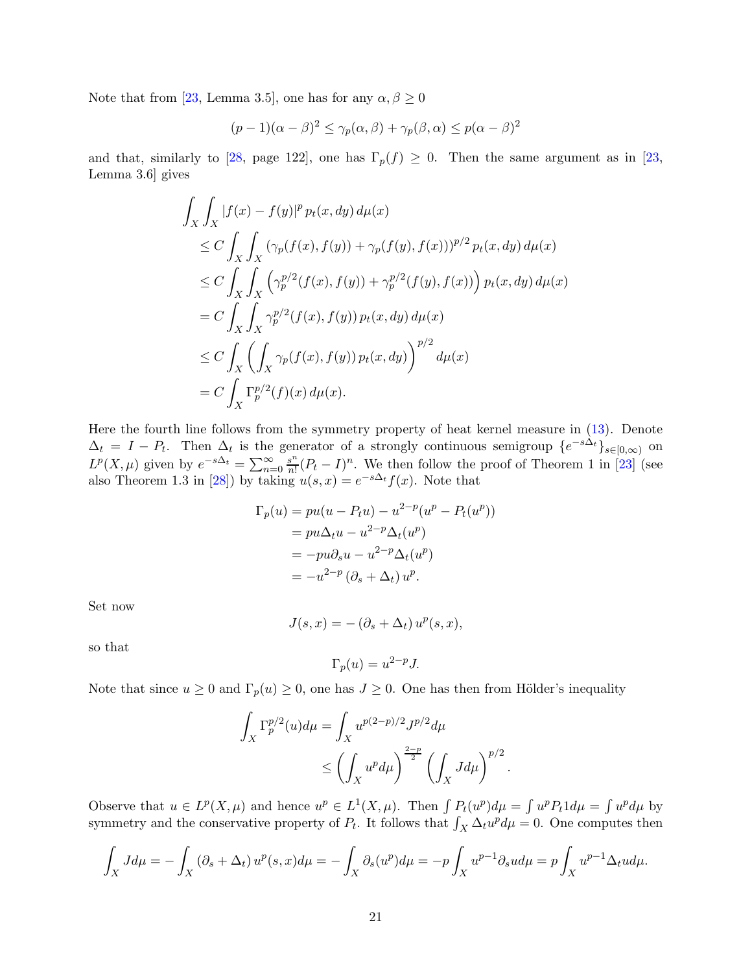<span id="page-20-0"></span>Note that from [\[23,](#page-34-18) Lemma 3.5], one has for any  $\alpha, \beta \ge 0$ 

$$
(p-1)(\alpha - \beta)^2 \le \gamma_p(\alpha, \beta) + \gamma_p(\beta, \alpha) \le p(\alpha - \beta)^2
$$

and that, similarly to [\[28,](#page-35-17) page 122], one has  $\Gamma_p(f) \geq 0$ . Then the same argument as in [\[23,](#page-34-18) Lemma 3.6] gives

$$
\int_X \int_X |f(x) - f(y)|^p p_t(x, dy) d\mu(x)
$$
\n
$$
\leq C \int_X \int_X (\gamma_p(f(x), f(y)) + \gamma_p(f(y), f(x)))^{p/2} p_t(x, dy) d\mu(x)
$$
\n
$$
\leq C \int_X \int_X (\gamma_p^{p/2}(f(x), f(y)) + \gamma_p^{p/2}(f(y), f(x))) p_t(x, dy) d\mu(x)
$$
\n
$$
= C \int_X \int_X \gamma_p^{p/2}(f(x), f(y)) p_t(x, dy) d\mu(x)
$$
\n
$$
\leq C \int_X (\int_X \gamma_p(f(x), f(y)) p_t(x, dy))^{p/2} d\mu(x)
$$
\n
$$
= C \int_X \Gamma_p^{p/2}(f)(x) d\mu(x).
$$

Here the fourth line follows from the symmetry property of heat kernel measure in [\(13\)](#page-6-2). Denote  $\Delta_t = I - P_t$ . Then  $\Delta_t$  is the generator of a strongly continuous semigroup  $\{e^{-s\Delta_t}\}_{s\in[0,\infty)}$  on  $L^p(X,\mu)$  given by  $e^{-s\Delta_t} = \sum_{n=0}^{\infty} \frac{s^n}{n!}$  $\frac{s^n}{n!}(P_t - I)^n$ . We then follow the proof of Theorem 1 in [\[23\]](#page-34-18) (see also Theorem 1.3 in [\[28\]](#page-35-17)) by taking  $u(s, x) = e^{-s\Delta t} f(x)$ . Note that

$$
\Gamma_p(u) = pu(u - P_t u) - u^{2-p}(u^p - P_t(u^p))
$$
  
=  $pu\Delta_t u - u^{2-p}\Delta_t(u^p)$   
=  $-pu\partial_s u - u^{2-p}\Delta_t(u^p)$   
=  $-u^{2-p}(\partial_s + \Delta_t) u^p$ .

Set now

$$
J(s,x) = -(\partial_s + \Delta_t) u^p(s,x),
$$

so that

$$
\Gamma_p(u) = u^{2-p} J.
$$

Note that since  $u \ge 0$  and  $\Gamma_p(u) \ge 0$ , one has  $J \ge 0$ . One has then from Hölder's inequality

$$
\int_X \Gamma_p^{p/2}(u) d\mu = \int_X u^{p(2-p)/2} J^{p/2} d\mu
$$
  

$$
\leq \left( \int_X u^p d\mu \right)^{\frac{2-p}{2}} \left( \int_X J d\mu \right)^{p/2}.
$$

Observe that  $u \in L^p(X, \mu)$  and hence  $u^p \in L^1(X, \mu)$ . Then  $\int P_t(u^p) d\mu = \int u^p P_t 1 d\mu = \int u^p d\mu$  by symmetry and the conservative property of  $P_t$ . It follows that  $\int_X \Delta_t u^p d\mu = 0$ . One computes then

$$
\int_X J d\mu = -\int_X (\partial_s + \Delta_t) u^p(s, x) d\mu = -\int_X \partial_s(u^p) d\mu = -p \int_X u^{p-1} \partial_s u d\mu = p \int_X u^{p-1} \Delta_t u d\mu.
$$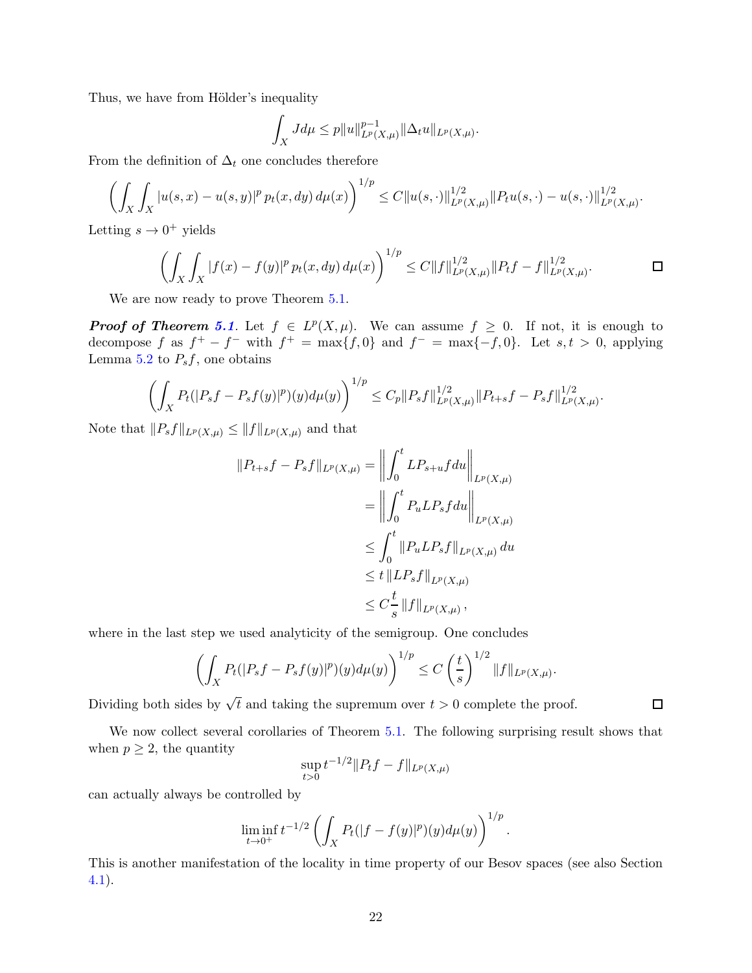Thus, we have from Hölder's inequality

$$
\int_X J d\mu \le p \|u\|_{L^p(X,\mu)}^{p-1} \|\Delta_t u\|_{L^p(X,\mu)}.
$$

From the definition of  $\Delta_t$  one concludes therefore

$$
\left(\int_X \int_X |u(s,x)-u(s,y)|^p \, p_t(x,dy) \, d\mu(x)\right)^{1/p} \leq C \|u(s,\cdot)\|_{L^p(X,\mu)}^{1/2} \|P_t u(s,\cdot)-u(s,\cdot)\|_{L^p(X,\mu)}^{1/2}.
$$

Letting  $s \to 0^+$  yields

$$
\left(\int_X \int_X |f(x) - f(y)|^p p_t(x, dy) d\mu(x)\right)^{1/p} \le C \|f\|_{L^p(X, \mu)}^{1/2} \|P_t f - f\|_{L^p(X, \mu)}^{1/2}.
$$

We are now ready to prove Theorem  $5.1$ .

**Proof of Theorem [5.1](#page-19-2).** Let  $f \in L^p(X, \mu)$ . We can assume  $f \geq 0$ . If not, it is enough to decompose f as  $f^+ - f^-$  with  $f^+ = \max\{f, 0\}$  and  $f^- = \max\{-f, 0\}$ . Let  $s, t > 0$ , applying Lemma [5.2](#page-19-3) to  $P_s f$ , one obtains

$$
\left(\int_X P_t(|P_sf-P_sf(y)|^p)(y)d\mu(y)\right)^{1/p} \leq C_p \|P_sf\|_{L^p(X,\mu)}^{1/2} \|P_{t+s}f-P_sf\|_{L^p(X,\mu)}^{1/2}.
$$

Note that  $||P_s f||_{L^p(X,\mu)} \leq ||f||_{L^p(X,\mu)}$  and that

$$
||P_{t+s}f - P_s f||_{L^p(X,\mu)} = \left\| \int_0^t L P_{s+u} f du \right\|_{L^p(X,\mu)}
$$
  
=  $\left\| \int_0^t P_u L P_s f du \right\|_{L^p(X,\mu)}$   
 $\leq \int_0^t ||P_u L P_s f||_{L^p(X,\mu)} du$   
 $\leq t ||L P_s f||_{L^p(X,\mu)}$   
 $\leq C \frac{t}{s} ||f||_{L^p(X,\mu)},$ 

where in the last step we used analyticity of the semigroup. One concludes

$$
\left(\int_X P_t(|P_s f - P_s f(y)|^p)(y) d\mu(y)\right)^{1/p} \le C\left(\frac{t}{s}\right)^{1/2} \|f\|_{L^p(X,\mu)}.
$$

Dividing both sides by  $\sqrt{t}$  and taking the supremum over  $t > 0$  complete the proof.

We now collect several corollaries of Theorem [5.1.](#page-19-2) The following surprising result shows that when  $p \geq 2$ , the quantity

$$
\sup_{t>0} t^{-1/2} \|P_t f - f\|_{L^p(X,\mu)}
$$

can actually always be controlled by

$$
\liminf_{t\to 0^+} t^{-1/2} \left( \int_X P_t(|f - f(y)|^p)(y) d\mu(y) \right)^{1/p}.
$$

This is another manifestation of the locality in time property of our Besov spaces (see also Section [4.1\)](#page-8-1).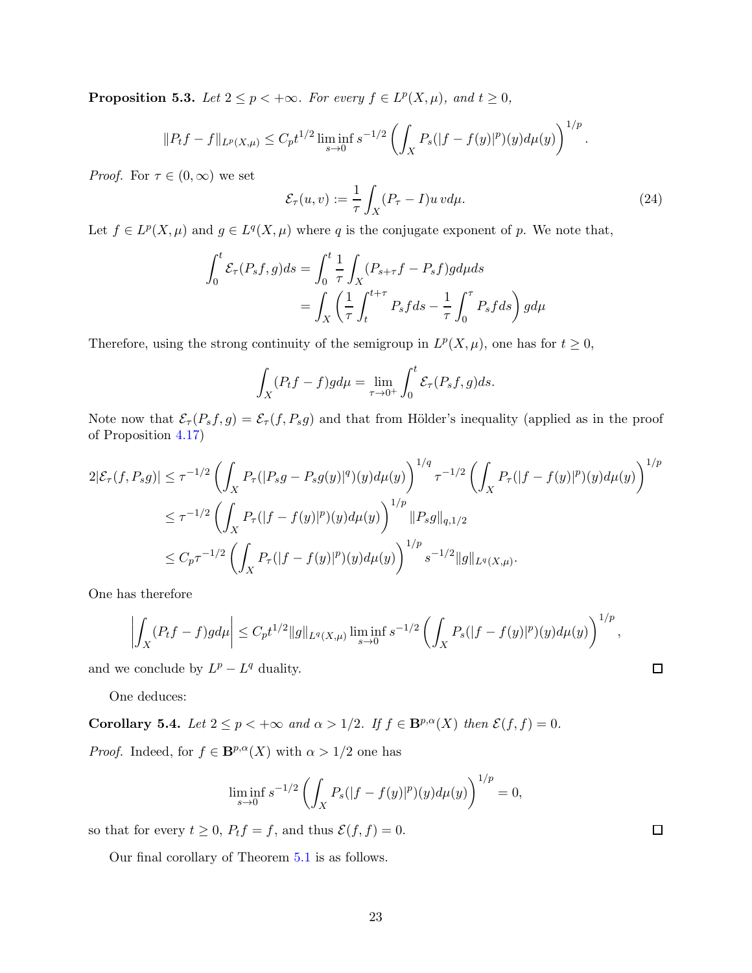<span id="page-22-1"></span>**Proposition 5.3.** Let  $2 \le p < +\infty$ . For every  $f \in L^p(X, \mu)$ , and  $t \ge 0$ ,

$$
||P_t f - f||_{L^p(X,\mu)} \leq C_p t^{1/2} \liminf_{s \to 0} s^{-1/2} \left( \int_X P_s(|f - f(y)|^p)(y) d\mu(y) \right)^{1/p}.
$$

*Proof.* For  $\tau \in (0, \infty)$  we set

$$
\mathcal{E}_{\tau}(u,v) := \frac{1}{\tau} \int_{X} (P_{\tau} - I)u \, v d\mu. \tag{24}
$$

 $\Box$ 

 $\Box$ 

Let  $f \in L^p(X, \mu)$  and  $g \in L^q(X, \mu)$  where q is the conjugate exponent of p. We note that,

$$
\int_0^t \mathcal{E}_{\tau}(P_s f, g) ds = \int_0^t \frac{1}{\tau} \int_X (P_{s+\tau} f - P_s f) g d\mu ds
$$
  
= 
$$
\int_X \left(\frac{1}{\tau} \int_t^{t+\tau} P_s f ds - \frac{1}{\tau} \int_0^{\tau} P_s f ds\right) g d\mu
$$

Therefore, using the strong continuity of the semigroup in  $L^p(X, \mu)$ , one has for  $t \geq 0$ ,

$$
\int_X (P_t f - f) g d\mu = \lim_{\tau \to 0^+} \int_0^t \mathcal{E}_{\tau}(P_s f, g) ds.
$$

Note now that  $\mathcal{E}_{\tau}(P_s f, g) = \mathcal{E}_{\tau}(f, P_s g)$  and that from Hölder's inequality (applied as in the proof of Proposition [4.17\)](#page-16-1)

$$
2|\mathcal{E}_{\tau}(f, P_s g)| \leq \tau^{-1/2} \left( \int_X P_{\tau}(|P_s g - P_s g(y)|^q)(y) d\mu(y) \right)^{1/q} \tau^{-1/2} \left( \int_X P_{\tau}(|f - f(y)|^p)(y) d\mu(y) \right)^{1/p}
$$
  

$$
\leq \tau^{-1/2} \left( \int_X P_{\tau}(|f - f(y)|^p)(y) d\mu(y) \right)^{1/p} ||P_s g||_{q, 1/2}
$$
  

$$
\leq C_p \tau^{-1/2} \left( \int_X P_{\tau}(|f - f(y)|^p)(y) d\mu(y) \right)^{1/p} s^{-1/2} ||g||_{L^q(X, \mu)}.
$$

One has therefore

$$
\left| \int_X (P_t f - f) g d\mu \right| \leq C_p t^{1/2} \|g\|_{L^q(X,\mu)} \liminf_{s \to 0} s^{-1/2} \left( \int_X P_s (|f - f(y)|^p)(y) d\mu(y) \right)^{1/p},
$$

and we conclude by  $L^p - L^q$  duality.

One deduces:

<span id="page-22-0"></span>Corollary 5.4. Let  $2 \le p < +\infty$  and  $\alpha > 1/2$ . If  $f \in \mathbf{B}^{p,\alpha}(X)$  then  $\mathcal{E}(f, f) = 0$ . *Proof.* Indeed, for  $f \in \mathbf{B}^{p,\alpha}(X)$  with  $\alpha > 1/2$  one has

$$
\liminf_{s \to 0} s^{-1/2} \left( \int_X P_s(|f - f(y)|^p)(y) d\mu(y) \right)^{1/p} = 0,
$$

so that for every  $t \geq 0$ ,  $P_t f = f$ , and thus  $\mathcal{E}(f, f) = 0$ .

Our final corollary of Theorem [5.1](#page-19-2) is as follows.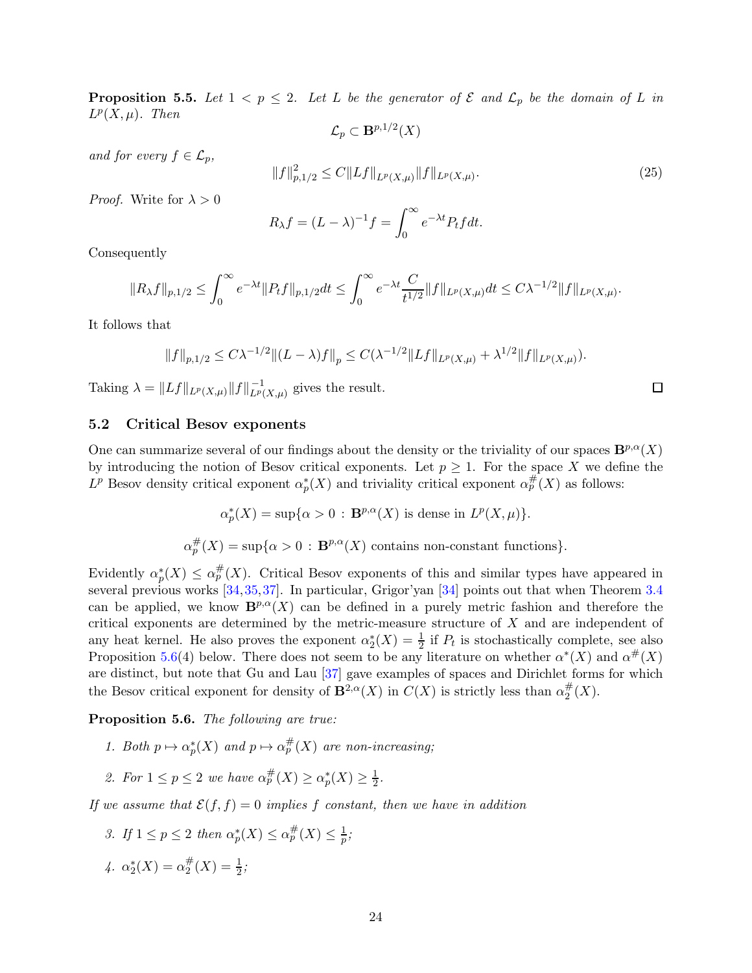<span id="page-23-2"></span>**Proposition 5.5.** Let  $1 < p \le 2$ . Let L be the generator of  $\mathcal{E}$  and  $\mathcal{L}_p$  be the domain of L in  $L^p(X,\mu)$ . Then  $\mathcal{L}_p \subset \mathbf{B}^{p,1/2}(X)$ 

and for every  $f \in \mathcal{L}_p$ ,

$$
||f||_{p,1/2}^{2} \le C||Lf||_{L^{p}(X,\mu)}||f||_{L^{p}(X,\mu)}.
$$
\n(25)

*Proof.* Write for  $\lambda > 0$ 

$$
R_{\lambda}f = (L - \lambda)^{-1}f = \int_0^{\infty} e^{-\lambda t} P_t f dt.
$$

Consequently

$$
||R_{\lambda}f||_{p,1/2} \leq \int_0^{\infty} e^{-\lambda t} ||P_t f||_{p,1/2} dt \leq \int_0^{\infty} e^{-\lambda t} \frac{C}{t^{1/2}} ||f||_{L^p(X,\mu)} dt \leq C\lambda^{-1/2} ||f||_{L^p(X,\mu)}.
$$

It follows that

$$
||f||_{p,1/2} \leq C\lambda^{-1/2} ||(L-\lambda)f||_p \leq C(\lambda^{-1/2} ||Lf||_{L^p(X,\mu)} + \lambda^{1/2} ||f||_{L^p(X,\mu)}).
$$

Taking  $\lambda = ||Lf||_{L^p(X,\mu)}||f||_{L^p(X,\mu)}^{-1}$  gives the result.

### <span id="page-23-0"></span>5.2 Critical Besov exponents

One can summarize several of our findings about the density or the triviality of our spaces  $\mathbf{B}^{p,\alpha}(X)$ by introducing the notion of Besov critical exponents. Let  $p \geq 1$ . For the space X we define the  $L^p$  Besov density critical exponent  $\alpha_p^*(X)$  and triviality critical exponent  $\alpha_p^{\#}(X)$  as follows:

$$
\alpha_p^*(X)=\sup\{\alpha>0\,:\,\mathbf{B}^{p,\alpha}(X)\,\,\text{is dense in}\,\,L^p(X,\mu)\}.
$$

 $\alpha_p^{\#}(X) = \sup \{ \alpha > 0 : \mathbf{B}^{p,\alpha}(X) \text{ contains non-constant functions} \}.$ 

Evidently  $\alpha_p^*(X) \leq \alpha_p^{\#}(X)$ . Critical Besov exponents of this and similar types have appeared in several previous works [\[34,](#page-35-5)[35,](#page-35-6)[37\]](#page-35-18). In particular, Grigor'yan [\[34\]](#page-35-5) points out that when Theorem [3.4](#page-7-2) can be applied, we know  $\mathbf{B}^{p,\alpha}(X)$  can be defined in a purely metric fashion and therefore the critical exponents are determined by the metric-measure structure of  $X$  and are independent of any heat kernel. He also proves the exponent  $\alpha_2^*(X) = \frac{1}{2}$  if  $P_t$  is stochastically complete, see also Proposition [5.6\(](#page-23-1)4) below. There does not seem to be any literature on whether  $\alpha^*(X)$  and  $\alpha^{\#}(X)$ are distinct, but note that Gu and Lau [\[37\]](#page-35-18) gave examples of spaces and Dirichlet forms for which the Besov critical exponent for density of  $\mathbf{B}^{2,\alpha}(X)$  in  $C(X)$  is strictly less than  $\alpha_2^{\#}$  $_2^{\#}(X)$ .

<span id="page-23-1"></span>Proposition 5.6. The following are true:

- 1. Both  $p \mapsto \alpha_p^*(X)$  and  $p \mapsto \alpha_p^*(X)$  are non-increasing;
- 2. For  $1 \le p \le 2$  we have  $\alpha_p^{\#}(X) \ge \alpha_p^*(X) \ge \frac{1}{2}$  $\frac{1}{2}$ .

If we assume that  $\mathcal{E}(f, f) = 0$  implies f constant, then we have in addition

3. If 
$$
1 \le p \le 2
$$
 then  $\alpha_p^*(X) \le \alpha_p^{\#}(X) \le \frac{1}{p}$ ;

4. 
$$
\alpha_2^*(X) = \alpha_2^{\#}(X) = \frac{1}{2};
$$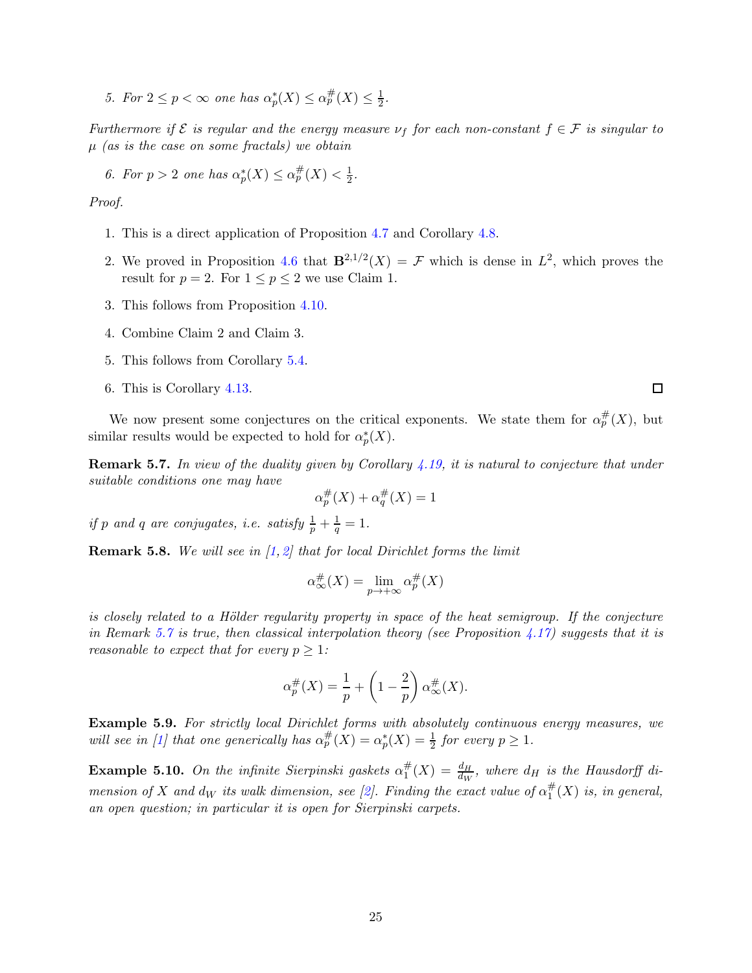<span id="page-24-1"></span>5. For  $2 \le p < \infty$  one has  $\alpha_p^*(X) \le \alpha_p^{\#}(X) \le \frac{1}{2}$ .

Furthermore if  $\mathcal E$  is regular and the energy measure  $\nu_f$  for each non-constant  $f \in \mathcal F$  is singular to  $\mu$  (as is the case on some fractals) we obtain

6. For  $p > 2$  one has  $\alpha_p^*(X) \leq \alpha_p^{\#}(X) < \frac{1}{2}$  $rac{1}{2}$ .

Proof.

- 1. This is a direct application of Proposition [4.7](#page-11-5) and Corollary [4.8.](#page-12-1)
- 2. We proved in Proposition [4.6](#page-11-1) that  $\mathbf{B}^{2,1/2}(X) = \mathcal{F}$  which is dense in  $L^2$ , which proves the result for  $p = 2$ . For  $1 \le p \le 2$  we use Claim 1.
- 3. This follows from Proposition [4.10.](#page-13-2)
- 4. Combine Claim 2 and Claim 3.
- 5. This follows from Corollary [5.4.](#page-22-0)
- 6. This is Corollary [4.13.](#page-14-0)

We now present some conjectures on the critical exponents. We state them for  $\alpha_p^{\#}(X)$ , but similar results would be expected to hold for  $\alpha_p^*(X)$ .

<span id="page-24-0"></span>**Remark 5.7.** In view of the duality given by Corollary  $\angle 4.19$ , it is natural to conjecture that under suitable conditions one may have

$$
\alpha_p^{\#}(X) + \alpha_q^{\#}(X) = 1
$$

if p and q are conjugates, i.e. satisfy  $\frac{1}{p} + \frac{1}{q}$  $\frac{1}{q} = 1.$ 

**Remark 5.8.** We will see in  $\left[1, 2\right]$  that for local Dirichlet forms the limit

$$
\alpha_\infty^\#(X) = \lim_{p \to +\infty} \alpha_p^\#(X)
$$

is closely related to a Hölder regularity property in space of the heat semigroup. If the conjecture in Remark [5.7](#page-24-0) is true, then classical interpolation theory (see Proposition [4.17\)](#page-16-1) suggests that it is reasonable to expect that for every  $p \geq 1$ :

$$
\alpha_p^{\#}(X) = \frac{1}{p} + \left(1 - \frac{2}{p}\right)\alpha_{\infty}^{\#}(X).
$$

Example 5.9. For strictly local Dirichlet forms with absolutely continuous energy measures, we will see in [\[1\]](#page-33-1) that one generically has  $\alpha_p^{\#}(X) = \alpha_p^*(X) = \frac{1}{2}$  for every  $p \geq 1$ .

**Example 5.10.** On the infinite Sierpinski gaskets  $\alpha_1^{\#}$  $\frac{dH}{dW}$  =  $\frac{dH}{dw}$ , where  $d_H$  is the Hausdorff di-mension of X and d<sub>W</sub> its walk dimension, see [\[2\]](#page-33-2). Finding the exact value of  $\alpha_1^{\#}$  ${}_{1}^{\#}(X)$  is, in general, an open question; in particular it is open for Sierpinski carpets.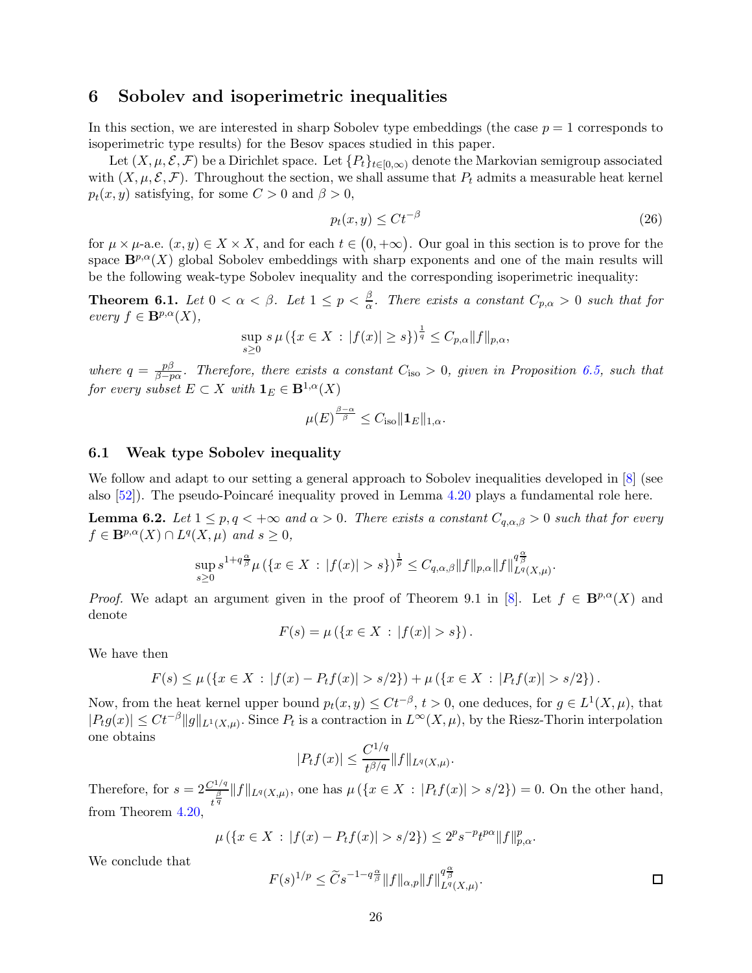## <span id="page-25-5"></span><span id="page-25-0"></span>6 Sobolev and isoperimetric inequalities

In this section, we are interested in sharp Sobolev type embeddings (the case  $p = 1$  corresponds to isoperimetric type results) for the Besov spaces studied in this paper.

Let  $(X, \mu, \mathcal{E}, \mathcal{F})$  be a Dirichlet space. Let  $\{P_t\}_{t\in [0,\infty)}$  denote the Markovian semigroup associated with  $(X, \mu, \mathcal{E}, \mathcal{F})$ . Throughout the section, we shall assume that  $P_t$  admits a measurable heat kernel  $p_t(x, y)$  satisfying, for some  $C > 0$  and  $\beta > 0$ ,

<span id="page-25-3"></span>
$$
p_t(x, y) \le Ct^{-\beta} \tag{26}
$$

.

for  $\mu \times \mu$ -a.e.  $(x, y) \in X \times X$ , and for each  $t \in (0, +\infty)$ . Our goal in this section is to prove for the space  $\mathbf{B}^{p,\alpha}(X)$  global Sobolev embeddings with sharp exponents and one of the main results will be the following weak-type Sobolev inequality and the corresponding isoperimetric inequality:

<span id="page-25-4"></span>**Theorem 6.1.** Let  $0 < \alpha < \beta$ . Let  $1 \le p < \frac{\beta}{\alpha}$ . There exists a constant  $C_{p,\alpha} > 0$  such that for every  $f \in \mathbf{B}^{p,\alpha}(X)$ ,

$$
\sup_{s\geq 0} s\,\mu\left(\{x\in X\,:\,|f(x)|\geq s\}\right)^{\frac{1}{q}} \leq C_{p,\alpha} \|f\|_{p,\alpha},
$$

where  $q = \frac{p\beta}{\beta - r}$  $\frac{p_{\rm p}}{\beta - p\alpha}$ . Therefore, there exists a constant  $C_{\rm iso} > 0$ , given in Proposition [6.5,](#page-27-2) such that for every subset  $E \subset X$  with  $\mathbf{1}_E \in \mathbf{B}^{1,\alpha}(X)$ 

$$
\mu(E)^{\frac{\beta-\alpha}{\beta}} \leq C_{\text{iso}} \| \mathbf{1}_E \|_{1,\alpha}.
$$

### <span id="page-25-1"></span>6.1 Weak type Sobolev inequality

We follow and adapt to our setting a general approach to Sobolev inequalities developed in  $[8]$  (see also  $[52]$ ). The pseudo-Poincaré inequality proved in Lemma [4.20](#page-17-1) plays a fundamental role here.

<span id="page-25-2"></span>**Lemma 6.2.** Let  $1 \leq p, q < +\infty$  and  $\alpha > 0$ . There exists a constant  $C_{q,\alpha,\beta} > 0$  such that for every  $f \in \mathbf{B}^{p,\alpha}(X) \cap L^q(X,\mu)$  and  $s \geq 0$ ,

$$
\sup_{s\geq 0} s^{1+q\frac{\alpha}{\beta}}\mu\left(\{x\in X\,:\, |f(x)|>s\}\right)^{\frac{1}{p}}\leq C_{q,\alpha,\beta}\|f\|_{p,\alpha}\|f\|_{L^q(X,\mu)}^{q\frac{\alpha}{\beta}}
$$

*Proof.* We adapt an argument given in the proof of Theorem 9.1 in [\[8\]](#page-34-0). Let  $f \in \mathbf{B}^{p,\alpha}(X)$  and denote

$$
F(s) = \mu (\{ x \in X : |f(x)| > s \}).
$$

We have then

$$
F(s) \leq \mu \left( \{ x \in X : |f(x) - P_t f(x)| > s/2 \} \right) + \mu \left( \{ x \in X : |P_t f(x)| > s/2 \} \right).
$$

Now, from the heat kernel upper bound  $p_t(x, y) \leq C t^{-\beta}, t > 0$ , one deduces, for  $g \in L^1(X, \mu)$ , that  $|P_t g(x)| \leq Ct^{-\beta} ||g||_{L^1(X,\mu)}$ . Since  $P_t$  is a contraction in  $L^{\infty}(X,\mu)$ , by the Riesz-Thorin interpolation one obtains

$$
|P_t f(x)| \le \frac{C^{1/q}}{t^{\beta/q}} \|f\|_{L^q(X,\mu)}.
$$

Therefore, for  $s = 2\frac{C^{1/q}}{\beta}$  $\frac{f^{(1)}(x)}{t^{\frac{\beta}{q}}} ||f||_{L^{q}(X,\mu)}$ , one has  $\mu(\{x \in X : |P_tf(x)| > s/2\}) = 0$ . On the other hand, from Theorem [4.20,](#page-17-1)

$$
\mu\left(\{x \in X \, : \, |f(x) - P_t f(x)| > s/2\}\right) \le 2^p s^{-p} t^{p\alpha} \|f\|_{p,\alpha}^p.
$$

We conclude that

$$
F(s)^{1/p} \le \widetilde{C} s^{-1-q\frac{\alpha}{\beta}} \|f\|_{\alpha,p} \|f\|_{L^q(X,\mu)}^{q\frac{\alpha}{\beta}}.
$$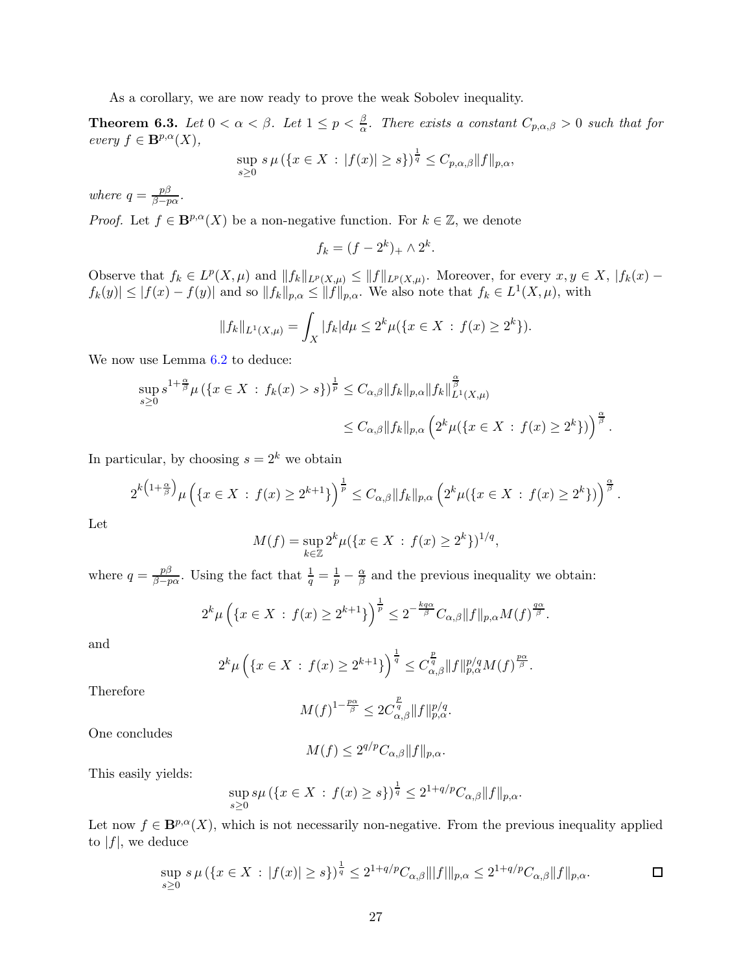As a corollary, we are now ready to prove the weak Sobolev inequality.

<span id="page-26-0"></span>**Theorem 6.3.** Let  $0 < \alpha < \beta$ . Let  $1 \le p < \frac{\beta}{\alpha}$ . There exists a constant  $C_{p,\alpha,\beta} > 0$  such that for every  $f \in \mathbf{B}^{p,\alpha}(X)$ ,

$$
\sup_{s\geq 0} s \,\mu\left(\{x \in X : |f(x)| \geq s\}\right)^{\frac{1}{q}} \leq C_{p,\alpha,\beta} \|f\|_{p,\alpha},
$$

where  $q = \frac{p\beta}{\beta - r}$  $\frac{p\rho}{\beta-p\alpha}$ .

*Proof.* Let  $f \in \mathbf{B}^{p,\alpha}(X)$  be a non-negative function. For  $k \in \mathbb{Z}$ , we denote

$$
f_k = (f - 2^k)_+ \wedge 2^k.
$$

Observe that  $f_k \in L^p(X, \mu)$  and  $||f_k||_{L^p(X, \mu)} \leq ||f||_{L^p(X, \mu)}$ . Moreover, for every  $x, y \in X$ ,  $|f_k(x) |f_k(y)| \leq |f(x) - f(y)|$  and so  $||f_k||_{p,\alpha} \leq ||f||_{p,\alpha}$ . We also note that  $f_k \in L^1(X, \mu)$ , with

$$
||f_k||_{L^1(X,\mu)} = \int_X |f_k| d\mu \le 2^k \mu({x \in X : f(x) \ge 2^k}).
$$

We now use Lemma  $6.2$  to deduce:

$$
\sup_{s\geq 0} s^{1+\frac{\alpha}{\beta}} \mu (\{x \in X : f_k(x) > s\})^{\frac{1}{p}} \leq C_{\alpha,\beta} \|f_k\|_{p,\alpha} \|f_k\|_{L^1(X,\mu)}^{\frac{\alpha}{\beta}} \leq C_{\alpha,\beta} \|f_k\|_{p,\alpha} \left(2^k \mu(\{x \in X : f(x) \geq 2^k\})\right)^{\frac{\alpha}{\beta}}.
$$

In particular, by choosing  $s = 2^k$  we obtain

$$
2^{k\left(1+\frac{\alpha}{\beta}\right)}\mu\left(\{x\in X\,:\,f(x)\geq 2^{k+1}\}\right)^{\frac{1}{p}}\leq C_{\alpha,\beta}\|f_k\|_{p,\alpha}\left(2^k\mu(\{x\in X\,:\,f(x)\geq 2^k\})\right)^{\frac{\alpha}{\beta}}.
$$

Let

$$
M(f) = \sup_{k \in \mathbb{Z}} 2^k \mu({x \in X : f(x) \ge 2^k})^{1/q},
$$

where  $q = \frac{p\beta}{\beta - r}$  $\frac{p\beta}{\beta-p\alpha}$ . Using the fact that  $\frac{1}{q} = \frac{1}{p} - \frac{\alpha}{\beta}$  and the previous inequality we obtain:

$$
2^k\mu\left(\{x\in X\,:\,f(x)\geq 2^{k+1}\}\right)^{\frac{1}{p}}\leq 2^{-\frac{kq\alpha}{\beta}}C_{\alpha,\beta}\|f\|_{p,\alpha}M(f)^{\frac{q\alpha}{\beta}}.
$$

and

$$
2^k \mu \left( \{ x \in X \, : \, f(x) \ge 2^{k+1} \} \right)^{\frac{1}{q}} \le C_{\alpha,\beta}^{\frac{p}{q}} \| f \|_{p,\alpha}^{p/q} M(f)^{\frac{p\alpha}{\beta}}.
$$

Therefore

$$
M(f)^{1-\frac{p\alpha}{\beta}} \leq 2C_{\alpha,\beta}^{\frac{p}{q}} \|f\|_{p,\alpha}^{p/q}.
$$

One concludes

$$
M(f) \le 2^{q/p} C_{\alpha,\beta} ||f||_{p,\alpha}.
$$

This easily yields:

$$
\sup_{s\geq 0} s\mu (\{x \in X : f(x) \geq s\})^{\frac{1}{q}} \leq 2^{1+q/p} C_{\alpha,\beta} ||f||_{p,\alpha}.
$$

Let now  $f \in \mathbf{B}^{p,\alpha}(X)$ , which is not necessarily non-negative. From the previous inequality applied to  $|f|$ , we deduce

$$
\sup_{s\geq 0} s\,\mu\left(\{x\in X\,:\,|f(x)|\geq s\}\right)^{\frac{1}{q}} \leq 2^{1+q/p}C_{\alpha,\beta}|||f|||_{p,\alpha} \leq 2^{1+q/p}C_{\alpha,\beta}||f||_{p,\alpha}.\n\qquad \qquad \Box
$$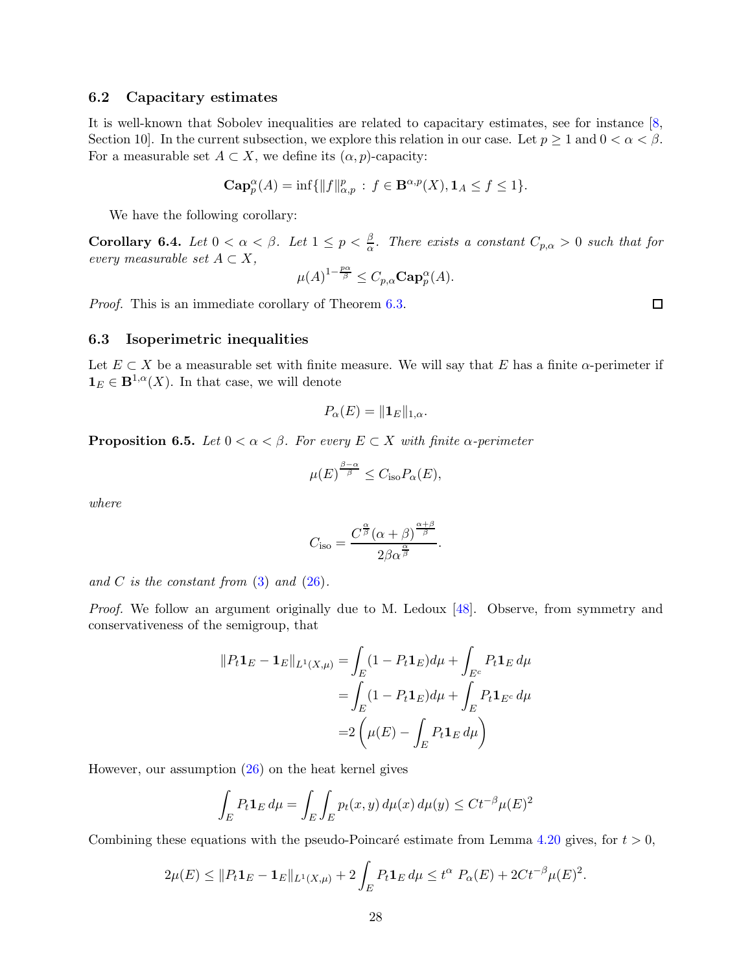### <span id="page-27-3"></span><span id="page-27-0"></span>6.2 Capacitary estimates

It is well-known that Sobolev inequalities are related to capacitary estimates, see for instance [\[8,](#page-34-0) Section 10]. In the current subsection, we explore this relation in our case. Let  $p \ge 1$  and  $0 < \alpha < \beta$ . For a measurable set  $A \subset X$ , we define its  $(\alpha, p)$ -capacity:

$$
\operatorname{\mathbf{Cap}}_p^{\alpha}(A)=\inf\{\|f\|^p_{\alpha,p}\,:\,f\in\mathbf{B}^{\alpha,p}(X),\mathbf{1}_A\leq f\leq 1\}.
$$

We have the following corollary:

Corollary 6.4. Let  $0 < \alpha < \beta$ . Let  $1 \le p < \frac{\beta}{\alpha}$ . There exists a constant  $C_{p,\alpha} > 0$  such that for every measurable set  $A \subset X$ ,

$$
\mu(A)^{1-\frac{p\alpha}{\beta}} \leq C_{p,\alpha} \mathbf{Cap}_p^{\alpha}(A).
$$

Proof. This is an immediate corollary of Theorem [6.3.](#page-26-0)

 $\Box$ 

### <span id="page-27-1"></span>6.3 Isoperimetric inequalities

Let  $E \subset X$  be a measurable set with finite measure. We will say that E has a finite  $\alpha$ -perimeter if  $\mathbf{1}_E \in \mathbf{B}^{1,\alpha}(X)$ . In that case, we will denote

$$
P_{\alpha}(E) = \|\mathbf{1}_E\|_{1,\alpha}.
$$

<span id="page-27-2"></span>**Proposition 6.5.** Let  $0 < \alpha < \beta$ . For every  $E \subset X$  with finite  $\alpha$ -perimeter

$$
\mu(E)^{\frac{\beta-\alpha}{\beta}} \leq C_{\text{iso}} P_{\alpha}(E),
$$

where

$$
C_{\text{iso}} = \frac{C^{\frac{\alpha}{\beta}}(\alpha+\beta)^{\frac{\alpha+\beta}{\beta}}}{2\beta\alpha^{\frac{\alpha}{\beta}}}.
$$

and C is the constant from  $(3)$  and  $(26)$ .

Proof. We follow an argument originally due to M. Ledoux [\[48\]](#page-36-10). Observe, from symmetry and conservativeness of the semigroup, that

$$
||P_t \mathbf{1}_E - \mathbf{1}_E||_{L^1(X,\mu)} = \int_E (1 - P_t \mathbf{1}_E) d\mu + \int_{E^c} P_t \mathbf{1}_E d\mu
$$
  
= 
$$
\int_E (1 - P_t \mathbf{1}_E) d\mu + \int_E P_t \mathbf{1}_{E^c} d\mu
$$
  
= 
$$
2 \left( \mu(E) - \int_E P_t \mathbf{1}_E d\mu \right)
$$

However, our assumption [\(26\)](#page-25-3) on the heat kernel gives

$$
\int_E P_t \mathbf{1}_E d\mu = \int_E \int_E p_t(x, y) d\mu(x) d\mu(y) \le Ct^{-\beta} \mu(E)^2
$$

Combining these equations with the pseudo-Poincaré estimate from Lemma [4.20](#page-17-1) gives, for  $t > 0$ ,

$$
2\mu(E) \leq \|P_t \mathbf{1}_E - \mathbf{1}_E\|_{L^1(X,\mu)} + 2\int_E P_t \mathbf{1}_E \, d\mu \leq t^{\alpha} \, P_{\alpha}(E) + 2Ct^{-\beta} \mu(E)^2.
$$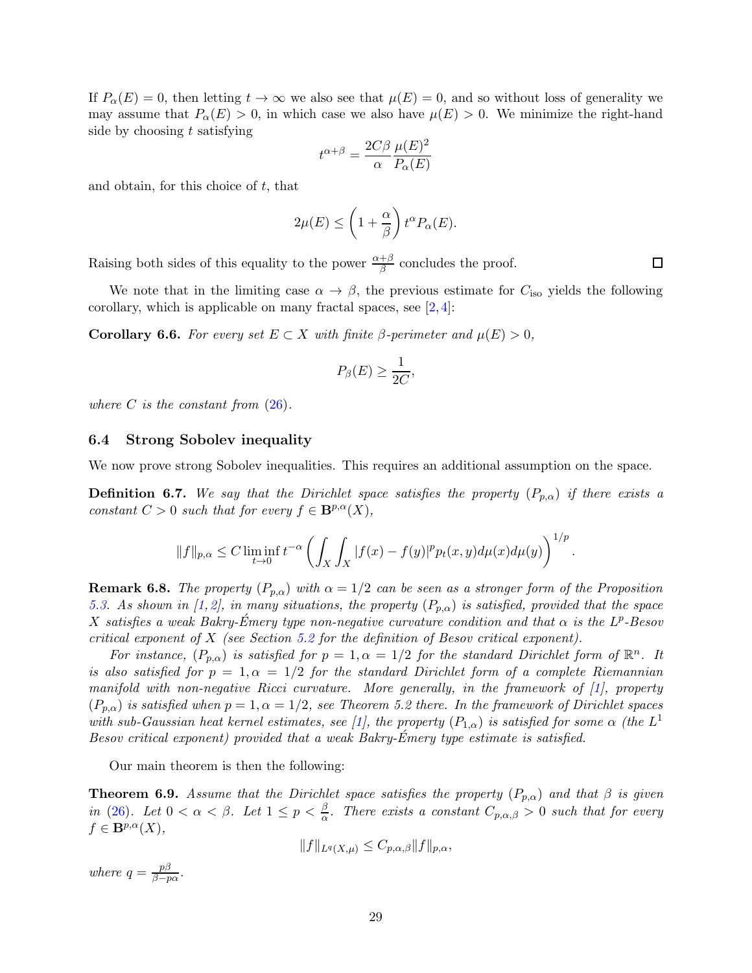<span id="page-28-2"></span>If  $P_{\alpha}(E) = 0$ , then letting  $t \to \infty$  we also see that  $\mu(E) = 0$ , and so without loss of generality we may assume that  $P_{\alpha}(E) > 0$ , in which case we also have  $\mu(E) > 0$ . We minimize the right-hand side by choosing  $t$  satisfying

$$
t^{\alpha+\beta} = \frac{2C\beta}{\alpha} \frac{\mu(E)^2}{P_{\alpha}(E)}
$$

and obtain, for this choice of  $t$ , that

$$
2\mu(E) \le \left(1 + \frac{\alpha}{\beta}\right) t^{\alpha} P_{\alpha}(E).
$$

Raising both sides of this equality to the power  $\frac{\alpha+\beta}{\beta}$  concludes the proof.

We note that in the limiting case  $\alpha \to \beta$ , the previous estimate for  $C_{\text{iso}}$  yields the following corollary, which is applicable on many fractal spaces, see [\[2,](#page-33-2) [4\]](#page-33-5):

Corollary 6.6. For every set  $E \subset X$  with finite  $\beta$ -perimeter and  $\mu(E) > 0$ ,

$$
P_{\beta}(E) \ge \frac{1}{2C},
$$

where C is the constant from  $(26)$ .

#### <span id="page-28-0"></span>6.4 Strong Sobolev inequality

We now prove strong Sobolev inequalities. This requires an additional assumption on the space.

**Definition 6.7.** We say that the Dirichlet space satisfies the property  $(P_{p,\alpha})$  if there exists a constant  $C > 0$  such that for every  $f \in \mathbf{B}^{p,\alpha}(X)$ ,

$$
||f||_{p,\alpha} \leq C \liminf_{t \to 0} t^{-\alpha} \left( \int_X \int_X |f(x)-f(y)|^p p_t(x,y) d\mu(x) d\mu(y) \right)^{1/p}.
$$

**Remark 6.8.** The property  $(P_{p,\alpha})$  with  $\alpha = 1/2$  can be seen as a stronger form of the Proposition [5.3.](#page-22-1) As shown in [\[1,](#page-33-1) [2\]](#page-33-2), in many situations, the property  $(P_{p,\alpha})$  is satisfied, provided that the space X satisfies a weak Bakry-Émery type non-negative curvature condition and that  $\alpha$  is the  $L^p$ -Besov critical exponent of X (see Section [5.2](#page-23-0) for the definition of Besov critical exponent).

For instance,  $(P_{p,\alpha})$  is satisfied for  $p=1, \alpha=1/2$  for the standard Dirichlet form of  $\mathbb{R}^n$ . It is also satisfied for  $p = 1, \alpha = 1/2$  for the standard Dirichlet form of a complete Riemannian manifold with non-negative Ricci curvature. More generally, in the framework of [\[1\]](#page-33-1), property  $(P_{p,\alpha})$  is satisfied when  $p=1, \alpha=1/2$ , see Theorem 5.2 there. In the framework of Dirichlet spaces with sub-Gaussian heat kernel estimates, see [\[1\]](#page-33-1), the property  $(P_{1,\alpha})$  is satisfied for some  $\alpha$  (the  $L^1$ Besov critical exponent) provided that a weak Bakry-Emery type estimate is satisfied. ´

Our main theorem is then the following:

<span id="page-28-1"></span>**Theorem 6.9.** Assume that the Dirichlet space satisfies the property  $(P_{p,\alpha})$  and that  $\beta$  is given in [\(26\)](#page-25-3). Let  $0 < \alpha < \beta$ . Let  $1 \le p < \frac{\beta}{\alpha}$ . There exists a constant  $C_{p,\alpha,\beta} > 0$  such that for every  $f \in \mathbf{B}^{p,\alpha}(X),$ 

$$
||f||_{L^q(X,\mu)} \leq C_{p,\alpha,\beta} ||f||_{p,\alpha},
$$

where  $q = \frac{p\beta}{\beta - r}$  $\frac{p\rho}{\beta-p\alpha}$ .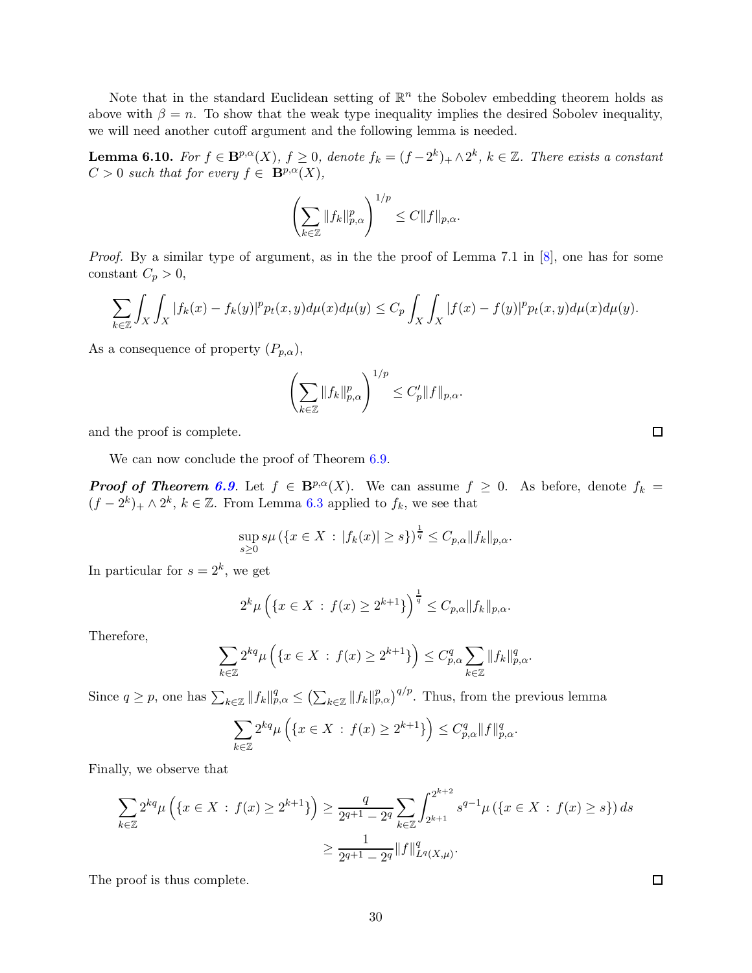<span id="page-29-0"></span>Note that in the standard Euclidean setting of  $\mathbb{R}^n$  the Sobolev embedding theorem holds as above with  $\beta = n$ . To show that the weak type inequality implies the desired Sobolev inequality, we will need another cutoff argument and the following lemma is needed.

**Lemma 6.10.** For  $f \in \mathbf{B}^{p,\alpha}(X)$ ,  $f \ge 0$ , denote  $f_k = (f-2^k)_{+} \wedge 2^k$ ,  $k \in \mathbb{Z}$ . There exists a constant  $C > 0$  such that for every  $f \in \mathbf{B}^{p,\alpha}(X)$ ,

$$
\left(\sum_{k\in\mathbb{Z}}\|f_k\|_{p,\alpha}^p\right)^{1/p}\leq C\|f\|_{p,\alpha}.
$$

Proof. By a similar type of argument, as in the the proof of Lemma 7.1 in [\[8\]](#page-34-0), one has for some constant  $C_p > 0$ ,

$$
\sum_{k\in\mathbb{Z}}\int_{X}\int_{X}|f_{k}(x)-f_{k}(y)|^{p}p_{t}(x,y)d\mu(x)d\mu(y)\leq C_{p}\int_{X}\int_{X}|f(x)-f(y)|^{p}p_{t}(x,y)d\mu(x)d\mu(y).
$$

As a consequence of property  $(P_{p,\alpha})$ ,

$$
\left(\sum_{k\in\mathbb{Z}}\|f_k\|_{p,\alpha}^p\right)^{1/p}\leq C_p'\|f\|_{p,\alpha}.
$$

and the proof is complete.

We can now conclude the proof of Theorem [6.9.](#page-28-1)

**Proof of Theorem [6.9](#page-28-1).** Let  $f \in B^{p,\alpha}(X)$ . We can assume  $f \ge 0$ . As before, denote  $f_k =$  $(f - 2^{k})_{+} \wedge 2^{k}, k \in \mathbb{Z}$ . From Lemma [6.3](#page-26-0) applied to  $f_{k}$ , we see that

$$
\sup_{s\geq 0} s\mu \left( \{ x \in X : |f_k(x)| \geq s \} \right)^{\frac{1}{q}} \leq C_{p,\alpha} \|f_k\|_{p,\alpha}.
$$

In particular for  $s = 2^k$ , we get

$$
2^{k}\mu\left(\{x \in X : f(x) \ge 2^{k+1}\}\right)^{\frac{1}{q}} \le C_{p,\alpha}||f_{k}||_{p,\alpha}.
$$

Therefore,

$$
\sum_{k\in\mathbb{Z}} 2^{kq} \mu\left(\{x\in X\,:\,f(x)\geq 2^{k+1}\}\right)\leq C_{p,\alpha}^q \sum_{k\in\mathbb{Z}} \|f_k\|_{p,\alpha}^q.
$$

Since  $q \ge p$ , one has  $\sum_{k \in \mathbb{Z}} ||f_k||_{p,\alpha}^q \le (\sum_{k \in \mathbb{Z}} ||f_k||_{p,\alpha}^p)^{q/p}$ . Thus, from the previous lemma

$$
\sum_{k\in\mathbb{Z}} 2^{kq} \mu\left(\{x\in X\,:\, f(x)\geq 2^{k+1}\}\right)\leq C_{p,\alpha}^q \|f\|_{p,\alpha}^q.
$$

Finally, we observe that

$$
\sum_{k \in \mathbb{Z}} 2^{kq} \mu \left( \{ x \in X : f(x) \ge 2^{k+1} \} \right) \ge \frac{q}{2^{q+1} - 2^q} \sum_{k \in \mathbb{Z}} \int_{2^{k+1}}^{2^{k+2}} s^{q-1} \mu \left( \{ x \in X : f(x) \ge s \} \right) ds
$$
  

$$
\ge \frac{1}{2^{q+1} - 2^q} \| f \|_{L^q(X, \mu)}^q.
$$

The proof is thus complete.

 $\Box$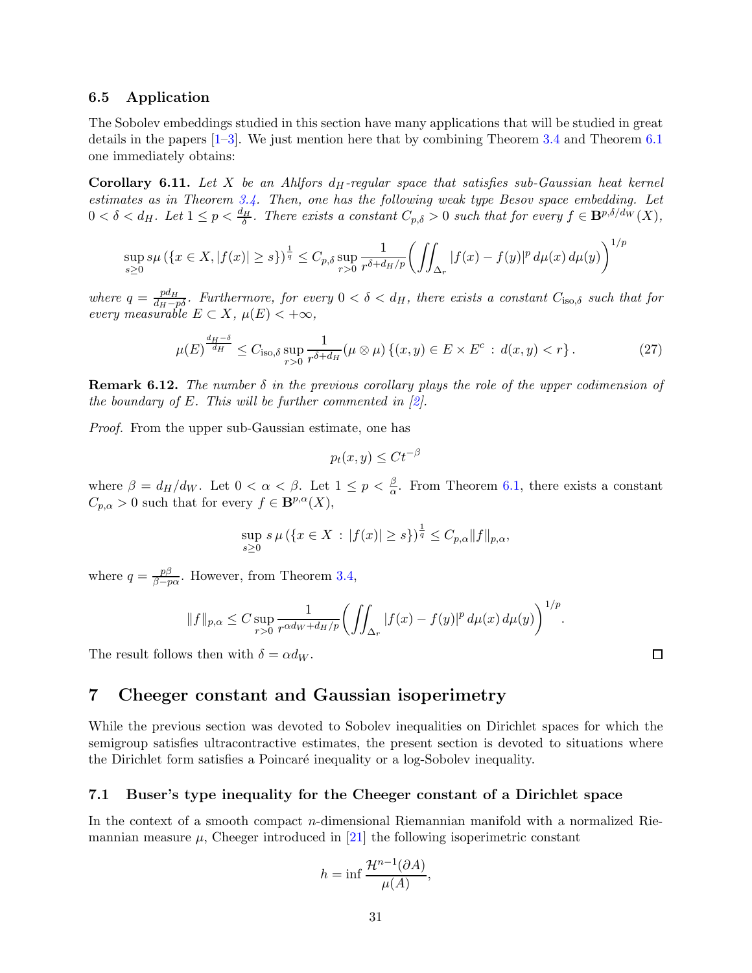### <span id="page-30-3"></span><span id="page-30-0"></span>6.5 Application

The Sobolev embeddings studied in this section have many applications that will be studied in great details in the papers  $[1-3]$  $[1-3]$ . We just mention here that by combining Theorem [3.4](#page-7-2) and Theorem [6.1](#page-25-4) one immediately obtains:

**Corollary 6.11.** Let X be an Ahlfors  $d_H$ -regular space that satisfies sub-Gaussian heat kernel estimates as in Theorem [3.4.](#page-7-2) Then, one has the following weak type Besov space embedding. Let  $0 < \delta < d_H$ . Let  $1 \le p < \frac{d_H}{\delta}$ . There exists a constant  $C_{p,\delta} > 0$  such that for every  $f \in \mathbf{B}^{p,\delta/d_W}(X)$ ,

$$
\sup_{s\geq 0} s\mu \left( \{ x \in X, |f(x)| \geq s \} \right)^{\frac{1}{q}} \leq C_{p,\delta} \sup_{r>0} \frac{1}{r^{\delta+d_H/p}} \bigg( \iint_{\Delta_r} |f(x) - f(y)|^p \, d\mu(x) \, d\mu(y) \bigg)^{1/p}
$$

where  $q = \frac{pd_H}{d_H - p_0^2}$ . Furthermore, for every  $0 < \delta < d_H$ , there exists a constant  $C_{\text{iso},\delta}$  such that for every measurable  $E \subset X$ ,  $\mu(E) < +\infty$ ,

$$
\mu(E)^{\frac{d_H-\delta}{d_H}} \le C_{\text{iso},\delta} \sup_{r>0} \frac{1}{r^{\delta+d_H}} (\mu \otimes \mu) \left\{ (x,y) \in E \times E^c : d(x,y) < r \right\}. \tag{27}
$$

**Remark 6.12.** The number  $\delta$  in the previous corollary plays the role of the upper codimension of the boundary of E. This will be further commented in  $[2]$ .

Proof. From the upper sub-Gaussian estimate, one has

$$
p_t(x, y) \leq Ct^{-\beta}
$$

where  $\beta = d_H/d_W$ . Let  $0 < \alpha < \beta$ . Let  $1 \le p < \frac{\beta}{\alpha}$ . From Theorem [6.1,](#page-25-4) there exists a constant  $C_{p, \alpha} > 0$  such that for every  $f \in \mathbf{B}^{p, \alpha}(X),$ 

$$
\sup_{s\geq 0} s\,\mu\left(\{x\in X\,:\,|f(x)|\geq s\}\right)^{\frac{1}{q}} \leq C_{p,\alpha} \|f\|_{p,\alpha},
$$

where  $q = \frac{p\beta}{\beta - r}$  $\frac{p_{\beta}}{\beta-p_{\alpha}}$ . However, from Theorem [3.4,](#page-7-2)

$$
||f||_{p,\alpha} \leq C \sup_{r>0} \frac{1}{r^{\alpha d_W + d_H/p}} \bigg( \iint_{\Delta_r} |f(x) - f(y)|^p \, d\mu(x) \, d\mu(y) \bigg)^{1/p}.
$$

<span id="page-30-1"></span>The result follows then with  $\delta = \alpha d_W$ .

## 7 Cheeger constant and Gaussian isoperimetry

While the previous section was devoted to Sobolev inequalities on Dirichlet spaces for which the semigroup satisfies ultracontractive estimates, the present section is devoted to situations where the Dirichlet form satisfies a Poincaré inequality or a log-Sobolev inequality.

### <span id="page-30-2"></span>7.1 Buser's type inequality for the Cheeger constant of a Dirichlet space

In the context of a smooth compact n-dimensional Riemannian manifold with a normalized Riemannian measure  $\mu$ , Cheeger introduced in [\[21\]](#page-34-19) the following isoperimetric constant

$$
h = \inf \frac{\mathcal{H}^{n-1}(\partial A)}{\mu(A)},
$$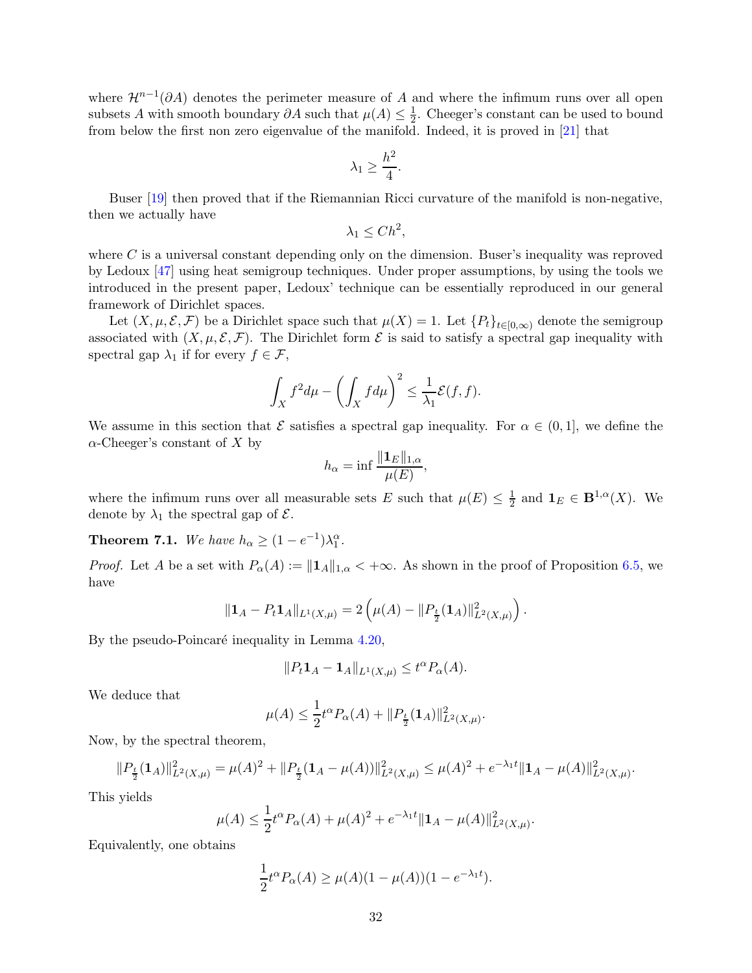<span id="page-31-0"></span>where  $\mathcal{H}^{n-1}(\partial A)$  denotes the perimeter measure of A and where the infimum runs over all open subsets A with smooth boundary  $\partial A$  such that  $\mu(A) \leq \frac{1}{2}$  $\frac{1}{2}$ . Cheeger's constant can be used to bound from below the first non zero eigenvalue of the manifold. Indeed, it is proved in [\[21\]](#page-34-19) that

$$
\lambda_1 \ge \frac{h^2}{4}.
$$

Buser [\[19\]](#page-34-20) then proved that if the Riemannian Ricci curvature of the manifold is non-negative, then we actually have

$$
\lambda_1 \leq C h^2,
$$

where  $C$  is a universal constant depending only on the dimension. Buser's inequality was reproved by Ledoux [\[47\]](#page-36-11) using heat semigroup techniques. Under proper assumptions, by using the tools we introduced in the present paper, Ledoux' technique can be essentially reproduced in our general framework of Dirichlet spaces.

Let  $(X, \mu, \mathcal{E}, \mathcal{F})$  be a Dirichlet space such that  $\mu(X) = 1$ . Let  $\{P_t\}_{t \in [0,\infty)}$  denote the semigroup associated with  $(X, \mu, \mathcal{E}, \mathcal{F})$ . The Dirichlet form  $\mathcal E$  is said to satisfy a spectral gap inequality with spectral gap  $\lambda_1$  if for every  $f \in \mathcal{F}$ ,

$$
\int_X f^2 d\mu - \left(\int_X f d\mu\right)^2 \le \frac{1}{\lambda_1} \mathcal{E}(f, f).
$$

We assume in this section that  $\mathcal E$  satisfies a spectral gap inequality. For  $\alpha \in (0,1]$ , we define the  $\alpha$ -Cheeger's constant of X by

$$
h_{\alpha} = \inf \frac{\|\mathbf{1}_E\|_{1,\alpha}}{\mu(E)},
$$

where the infimum runs over all measurable sets E such that  $\mu(E) \leq \frac{1}{2}$  and  $\mathbf{1}_E \in \mathbf{B}^{1,\alpha}(X)$ . We denote by  $\lambda_1$  the spectral gap of  $\mathcal{E}$ .

**Theorem 7.1.** We have  $h_{\alpha} \geq (1 - e^{-1})\lambda_1^{\alpha}$ .

*Proof.* Let A be a set with  $P_{\alpha}(A) := ||\mathbf{1}_A||_{1,\alpha} < +\infty$ . As shown in the proof of Proposition [6.5,](#page-27-2) we have

$$
\|\mathbf{1}_A - P_t \mathbf{1}_A\|_{L^1(X,\mu)} = 2\left(\mu(A) - \|P_{\frac{t}{2}}(\mathbf{1}_A)\|_{L^2(X,\mu)}^2\right).
$$

By the pseudo-Poincaré inequality in Lemma  $4.20$ ,

$$
||P_t \mathbf{1}_A - \mathbf{1}_A||_{L^1(X,\mu)} \le t^\alpha P_\alpha(A).
$$

We deduce that

$$
\mu(A) \le \frac{1}{2} t^{\alpha} P_{\alpha}(A) + ||P_{\frac{t}{2}}(\mathbf{1}_A)||_{L^2(X,\mu)}^2.
$$

Now, by the spectral theorem,

$$
||P_{\frac{t}{2}}(\mathbf{1}_A)||_{L^2(X,\mu)}^2 = \mu(A)^2 + ||P_{\frac{t}{2}}(\mathbf{1}_A - \mu(A))||_{L^2(X,\mu)}^2 \le \mu(A)^2 + e^{-\lambda_1 t} ||\mathbf{1}_A - \mu(A)||_{L^2(X,\mu)}^2.
$$

This yields

$$
\mu(A) \le \frac{1}{2} t^{\alpha} P_{\alpha}(A) + \mu(A)^2 + e^{-\lambda_1 t} \| \mathbf{1}_A - \mu(A) \|_{L^2(X, \mu)}^2.
$$

Equivalently, one obtains

$$
\frac{1}{2}t^{\alpha}P_{\alpha}(A) \ge \mu(A)(1 - \mu(A))(1 - e^{-\lambda_1 t}).
$$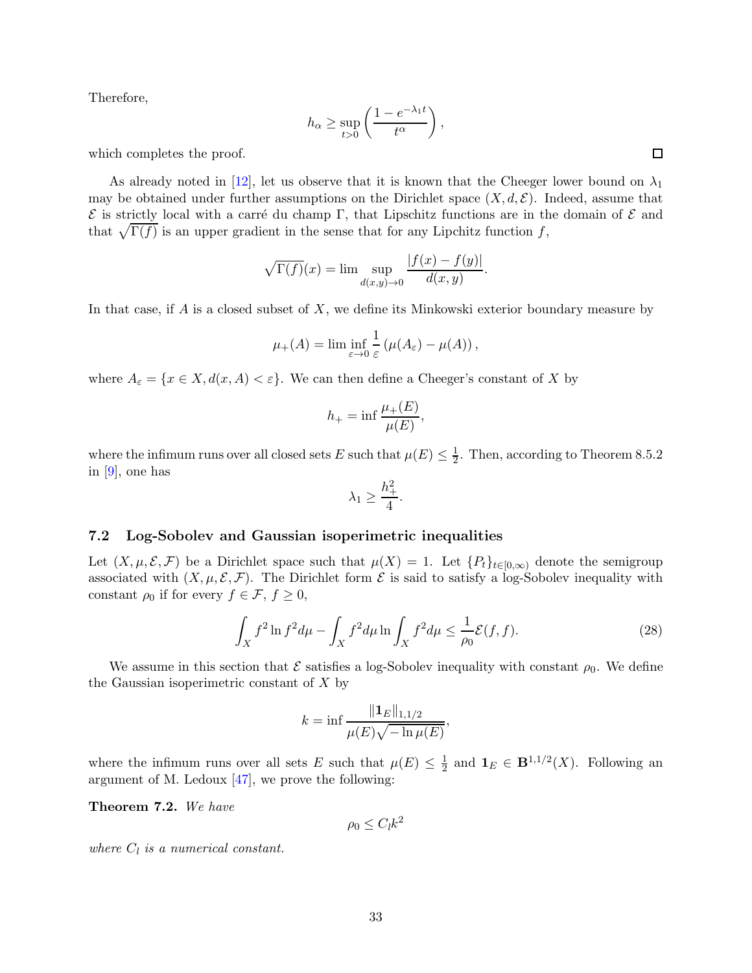<span id="page-32-1"></span>Therefore,

$$
h_{\alpha} \ge \sup_{t>0} \left( \frac{1 - e^{-\lambda_1 t}}{t^{\alpha}} \right),
$$

which completes the proof.

As already noted in [\[12\]](#page-34-3), let us observe that it is known that the Cheeger lower bound on  $\lambda_1$ may be obtained under further assumptions on the Dirichlet space  $(X, d, \mathcal{E})$ . Indeed, assume that  $\mathcal E$  is strictly local with a carré du champ Γ, that Lipschitz functions are in the domain of  $\mathcal E$  and that  $\sqrt{\Gamma(f)}$  is an upper gradient in the sense that for any Lipchitz function f,

$$
\sqrt{\Gamma(f)}(x) = \lim \sup_{d(x,y)\to 0} \frac{|f(x) - f(y)|}{d(x,y)}.
$$

In that case, if  $A$  is a closed subset of  $X$ , we define its Minkowski exterior boundary measure by

$$
\mu_{+}(A) = \liminf_{\varepsilon \to 0} \frac{1}{\varepsilon} \left( \mu(A_{\varepsilon}) - \mu(A) \right),
$$

where  $A_{\varepsilon} = \{x \in X, d(x, A) < \varepsilon\}$ . We can then define a Cheeger's constant of X by

$$
h_{+} = \inf \frac{\mu_{+}(E)}{\mu(E)},
$$

where the infimum runs over all closed sets E such that  $\mu(E) \leq \frac{1}{2}$ . Then, according to Theorem 8.5.2 in [\[9\]](#page-34-9), one has

$$
\lambda_1 \ge \frac{h_+^2}{4}.
$$

### <span id="page-32-0"></span>7.2 Log-Sobolev and Gaussian isoperimetric inequalities

Let  $(X, \mu, \mathcal{E}, \mathcal{F})$  be a Dirichlet space such that  $\mu(X) = 1$ . Let  $\{P_t\}_{t\in[0,\infty)}$  denote the semigroup associated with  $(X, \mu, \mathcal{E}, \mathcal{F})$ . The Dirichlet form  $\mathcal E$  is said to satisfy a log-Sobolev inequality with constant  $\rho_0$  if for every  $f \in \mathcal{F}, f \geq 0$ ,

$$
\int_{X} f^{2} \ln f^{2} d\mu - \int_{X} f^{2} d\mu \ln \int_{X} f^{2} d\mu \le \frac{1}{\rho_{0}} \mathcal{E}(f, f). \tag{28}
$$

We assume in this section that  $\mathcal E$  satisfies a log-Sobolev inequality with constant  $\rho_0$ . We define the Gaussian isoperimetric constant of  $X$  by

$$
k = \inf \frac{\|\mathbf{1}_E\|_{1,1/2}}{\mu(E)\sqrt{-\ln \mu(E)}},
$$

where the infimum runs over all sets E such that  $\mu(E) \leq \frac{1}{2}$  $\frac{1}{2}$  and  $\mathbf{1}_E \in \mathbf{B}^{1,1/2}(X)$ . Following an argument of M. Ledoux  $[47]$ , we prove the following:

Theorem 7.2. We have

 $\rho_0 \leq C_l k^2$ 

where  $C_l$  is a numerical constant.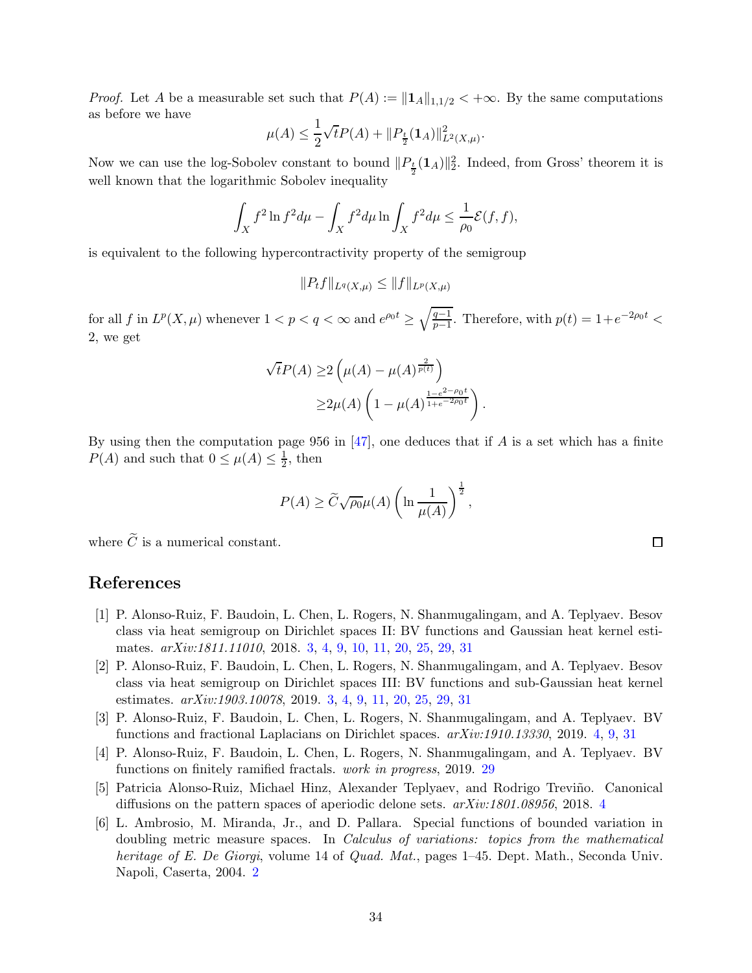<span id="page-33-6"></span>*Proof.* Let A be a measurable set such that  $P(A) := ||\mathbf{1}_A||_{1,1/2} < +\infty$ . By the same computations as before we have

$$
\mu(A) \leq \frac{1}{2} \sqrt{t} P(A) + ||P_{\frac{t}{2}}(\mathbf{1}_A)||_{L^2(X,\mu)}^2.
$$

Now we can use the log-Sobolev constant to bound  $||P_{\frac{t}{2}}(1_A)||_2^2$ . Indeed, from Gross' theorem it is well known that the logarithmic Sobolev inequality

$$
\int_X f^2 \ln f^2 d\mu - \int_X f^2 d\mu \ln \int_X f^2 d\mu \le \frac{1}{\rho_0} \mathcal{E}(f, f),
$$

is equivalent to the following hypercontractivity property of the semigroup

$$
||P_t f||_{L^q(X,\mu)} \leq ||f||_{L^p(X,\mu)}
$$

for all f in  $L^p(X,\mu)$  whenever  $1 < p < q < \infty$  and  $e^{\rho_0 t} \ge \sqrt{\frac{q-1}{p-1}}$  $\frac{q-1}{p-1}$ . Therefore, with  $p(t) = 1 + e^{-2\rho_0 t}$ 2, we get

$$
\sqrt{t}P(A) \ge 2\left(\mu(A) - \mu(A)^{\frac{2}{p(t)}}\right)
$$
  
 
$$
\ge 2\mu(A)\left(1 - \mu(A)^{\frac{1-e^{2-\rho_0 t}}{1+e^{-2\rho_0 t}}}\right).
$$

By using then the computation page 956 in [\[47\]](#page-36-11), one deduces that if A is a set which has a finite  $P(A)$  and such that  $0 \leq \mu(A) \leq \frac{1}{2}$  $\frac{1}{2}$ , then

$$
P(A) \ge \widetilde{C}\sqrt{\rho_0}\mu(A)\left(\ln\frac{1}{\mu(A)}\right)^{\frac{1}{2}},
$$

where  $\widetilde{C}$  is a numerical constant.

## <span id="page-33-1"></span>References

- [1] P. Alonso-Ruiz, F. Baudoin, L. Chen, L. Rogers, N. Shanmugalingam, and A. Teplyaev. Besov class via heat semigroup on Dirichlet spaces II: BV functions and Gaussian heat kernel estimates. arXiv:1811.11010, 2018. [3,](#page-2-0) [4,](#page-3-0) [9,](#page-8-2) [10,](#page-9-2) [11,](#page-10-0) [20,](#page-19-4) [25,](#page-24-1) [29,](#page-28-2) [31](#page-30-3)
- <span id="page-33-2"></span>[2] P. Alonso-Ruiz, F. Baudoin, L. Chen, L. Rogers, N. Shanmugalingam, and A. Teplyaev. Besov class via heat semigroup on Dirichlet spaces III: BV functions and sub-Gaussian heat kernel estimates. *arXiv:1903.10078*, 2019. [3,](#page-2-0) [4,](#page-3-0) [9,](#page-8-2) [11,](#page-10-0) [20,](#page-19-4) [25,](#page-24-1) [29,](#page-28-2) [31](#page-30-3)
- <span id="page-33-5"></span><span id="page-33-3"></span>[3] P. Alonso-Ruiz, F. Baudoin, L. Chen, L. Rogers, N. Shanmugalingam, and A. Teplyaev. BV functions and fractional Laplacians on Dirichlet spaces. arXiv:1910.13330, 2019. [4,](#page-3-0) [9,](#page-8-2) [31](#page-30-3)
- <span id="page-33-4"></span>[4] P. Alonso-Ruiz, F. Baudoin, L. Chen, L. Rogers, N. Shanmugalingam, and A. Teplyaev. BV functions on finitely ramified fractals. work in progress, 2019. [29](#page-28-2)
- <span id="page-33-0"></span>[5] Patricia Alonso-Ruiz, Michael Hinz, Alexander Teplyaev, and Rodrigo Trevi˜no. Canonical diffusions on the pattern spaces of aperiodic delone sets. arXiv:1801.08956, 2018. [4](#page-3-0)
- [6] L. Ambrosio, M. Miranda, Jr., and D. Pallara. Special functions of bounded variation in doubling metric measure spaces. In Calculus of variations: topics from the mathematical heritage of E. De Giorgi, volume 14 of Quad. Mat., pages 1-45. Dept. Math., Seconda Univ. Napoli, Caserta, 2004. [2](#page-1-5)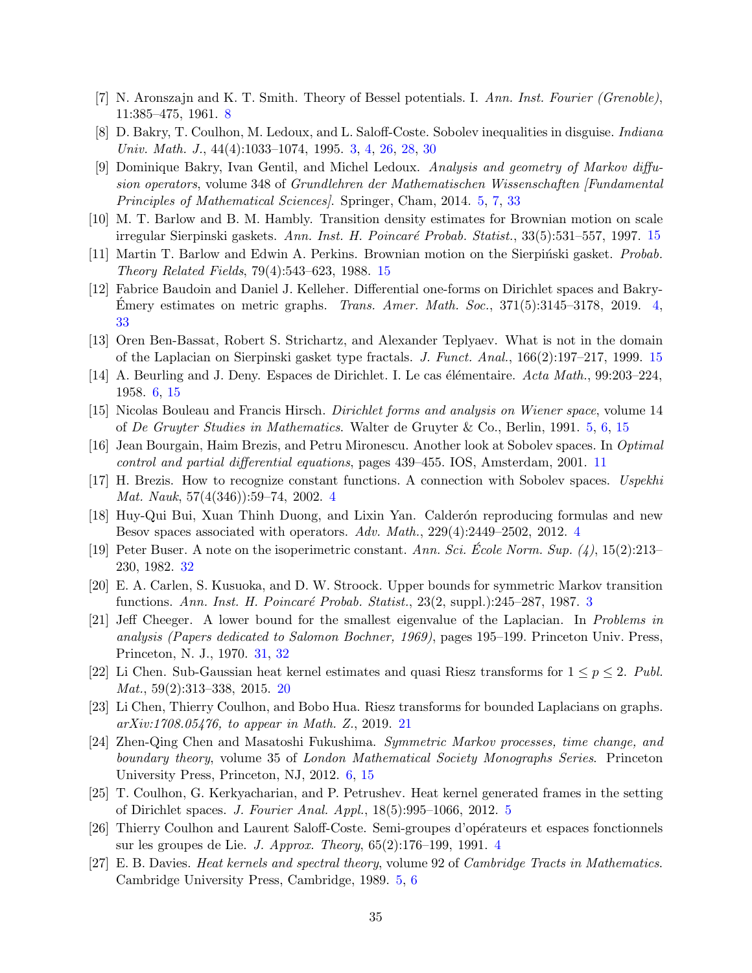- <span id="page-34-12"></span><span id="page-34-0"></span>[7] N. Aronszajn and K. T. Smith. Theory of Bessel potentials. I. Ann. Inst. Fourier (Grenoble), 11:385–475, 1961. [8](#page-7-3)
- <span id="page-34-9"></span>[8] D. Bakry, T. Coulhon, M. Ledoux, and L. Saloff-Coste. Sobolev inequalities in disguise. Indiana Univ. Math. J., 44(4):1033–1074, 1995. [3,](#page-2-0) [4,](#page-3-0) [26,](#page-25-5) [28,](#page-27-3) [30](#page-29-0)
- [9] Dominique Bakry, Ivan Gentil, and Michel Ledoux. Analysis and geometry of Markov diffusion operators, volume 348 of Grundlehren der Mathematischen Wissenschaften [Fundamental Principles of Mathematical Sciences]. Springer, Cham, 2014. [5,](#page-4-3) [7,](#page-6-5) [33](#page-32-1)
- <span id="page-34-16"></span><span id="page-34-15"></span>[10] M. T. Barlow and B. M. Hambly. Transition density estimates for Brownian motion on scale irregular Sierpinski gaskets. Ann. Inst. H. Poincaré Probab. Statist., 33(5):531–557, 1997. [15](#page-14-1)
- <span id="page-34-3"></span>[11] Martin T. Barlow and Edwin A. Perkins. Brownian motion on the Sierpinski gasket. *Probab.* Theory Related Fields, 79(4):543–623, 1988. [15](#page-14-1)
- [12] Fabrice Baudoin and Daniel J. Kelleher. Differential one-forms on Dirichlet spaces and Bakry-Emery estimates on metric graphs. Trans. Amer. Math. Soc.,  $371(5):3145-3178$ , 2019. [4,](#page-3-0) [33](#page-32-1)
- <span id="page-34-14"></span><span id="page-34-10"></span>[13] Oren Ben-Bassat, Robert S. Strichartz, and Alexander Teplyaev. What is not in the domain of the Laplacian on Sierpinski gasket type fractals. J. Funct. Anal., 166(2):197–217, 1999. [15](#page-14-1)
- <span id="page-34-7"></span>[14] A. Beurling and J. Deny. Espaces de Dirichlet. I. Le cas élémentaire. Acta Math., 99:203–224, 1958. [6,](#page-5-3) [15](#page-14-1)
- <span id="page-34-13"></span>[15] Nicolas Bouleau and Francis Hirsch. Dirichlet forms and analysis on Wiener space, volume 14 of De Gruyter Studies in Mathematics. Walter de Gruyter & Co., Berlin, 1991. [5,](#page-4-3) [6,](#page-5-3) [15](#page-14-1)
- <span id="page-34-2"></span>[16] Jean Bourgain, Haim Brezis, and Petru Mironescu. Another look at Sobolev spaces. In Optimal control and partial differential equations, pages 439–455. IOS, Amsterdam, 2001. [11](#page-10-0)
- <span id="page-34-5"></span>[17] H. Brezis. How to recognize constant functions. A connection with Sobolev spaces. Uspekhi Mat. Nauk, 57(4(346)):59–74, 2002. [4](#page-3-0)
- <span id="page-34-20"></span>[18] Huy-Qui Bui, Xuan Thinh Duong, and Lixin Yan. Calder´on reproducing formulas and new Besov spaces associated with operators. Adv. Math., 229(4):2449–2502, 2012. [4](#page-3-0)
- <span id="page-34-1"></span>[19] Peter Buser. A note on the isoperimetric constant. Ann. Sci. Ecole Norm. Sup.  $(4)$ , 15(2):213– 230, 1982. [32](#page-31-0)
- <span id="page-34-19"></span>[20] E. A. Carlen, S. Kusuoka, and D. W. Stroock. Upper bounds for symmetric Markov transition functions. Ann. Inst. H. Poincaré Probab. Statist.,  $23(2, \text{supp1.})$  $23(2, \text{supp1.})$  $23(2, \text{supp1.})$ :245–287, 1987. 3
- [21] Jeff Cheeger. A lower bound for the smallest eigenvalue of the Laplacian. In Problems in analysis (Papers dedicated to Salomon Bochner, 1969), pages 195–199. Princeton Univ. Press, Princeton, N. J., 1970. [31,](#page-30-3) [32](#page-31-0)
- <span id="page-34-18"></span><span id="page-34-17"></span>[22] Li Chen. Sub-Gaussian heat kernel estimates and quasi Riesz transforms for  $1 \leq p \leq 2$ . Publ. Mat., 59(2):313–338, 2015. [20](#page-19-4)
- <span id="page-34-11"></span>[23] Li Chen, Thierry Coulhon, and Bobo Hua. Riesz transforms for bounded Laplacians on graphs. arXiv:1708.05476, to appear in Math. Z., 2019. [21](#page-20-0)
- [24] Zhen-Qing Chen and Masatoshi Fukushima. Symmetric Markov processes, time change, and boundary theory, volume 35 of London Mathematical Society Monographs Series. Princeton University Press, Princeton, NJ, 2012. [6,](#page-5-3) [15](#page-14-1)
- <span id="page-34-6"></span><span id="page-34-4"></span>[25] T. Coulhon, G. Kerkyacharian, and P. Petrushev. Heat kernel generated frames in the setting of Dirichlet spaces. J. Fourier Anal. Appl., 18(5):995–1066, 2012. [5](#page-4-3)
- [26] Thierry Coulhon and Laurent Saloff-Coste. Semi-groupes d'op´erateurs et espaces fonctionnels sur les groupes de Lie. J. Approx. Theory, 65(2):176–199, 1991. [4](#page-3-0)
- <span id="page-34-8"></span>[27] E. B. Davies. Heat kernels and spectral theory, volume 92 of Cambridge Tracts in Mathematics. Cambridge University Press, Cambridge, 1989. [5,](#page-4-3) [6](#page-5-3)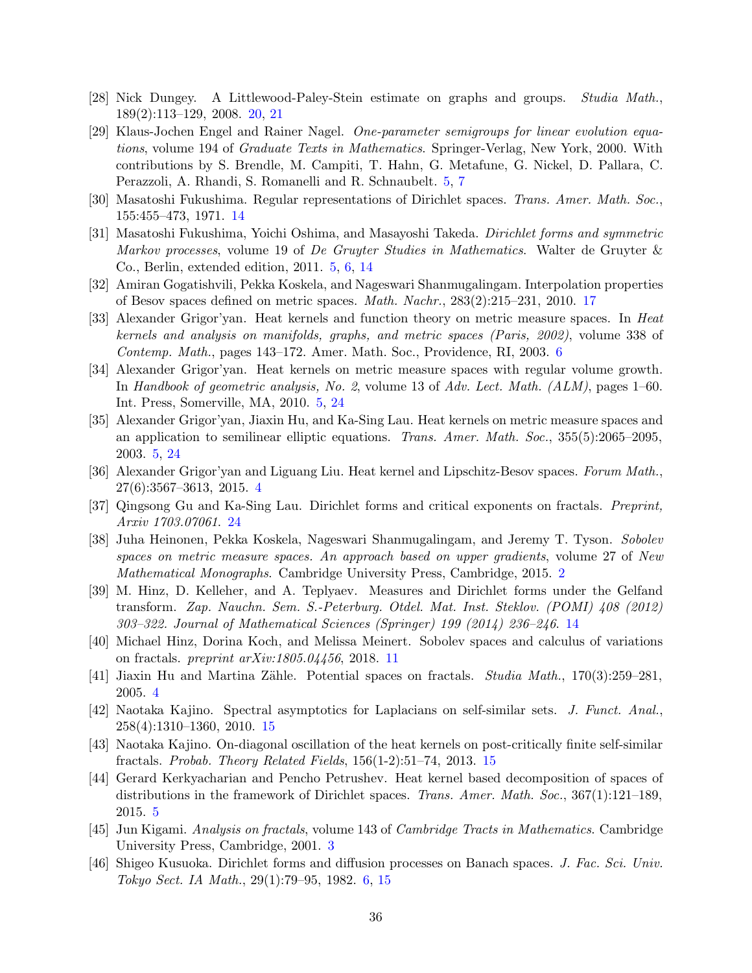- <span id="page-35-17"></span><span id="page-35-8"></span>[28] Nick Dungey. A Littlewood-Paley-Stein estimate on graphs and groups. Studia Math., 189(2):113–129, 2008. [20,](#page-19-4) [21](#page-20-0)
- [29] Klaus-Jochen Engel and Rainer Nagel. One-parameter semigroups for linear evolution equations, volume 194 of Graduate Texts in Mathematics. Springer-Verlag, New York, 2000. With contributions by S. Brendle, M. Campiti, T. Hahn, G. Metafune, G. Nickel, D. Pallara, C. Perazzoli, A. Rhandi, S. Romanelli and R. Schnaubelt. [5,](#page-4-3) [7](#page-6-5)
- <span id="page-35-12"></span><span id="page-35-7"></span>[30] Masatoshi Fukushima. Regular representations of Dirichlet spaces. Trans. Amer. Math. Soc., 155:455–473, 1971. [14](#page-13-3)
- [31] Masatoshi Fukushima, Yoichi Oshima, and Masayoshi Takeda. Dirichlet forms and symmetric Markov processes, volume 19 of De Gruyter Studies in Mathematics. Walter de Gruyter & Co., Berlin, extended edition, 2011. [5,](#page-4-3) [6,](#page-5-3) [14](#page-13-3)
- <span id="page-35-16"></span><span id="page-35-9"></span>[32] Amiran Gogatishvili, Pekka Koskela, and Nageswari Shanmugalingam. Interpolation properties of Besov spaces defined on metric spaces. Math. Nachr., 283(2):215–231, 2010. [17](#page-16-3)
- [33] Alexander Grigor'yan. Heat kernels and function theory on metric measure spaces. In Heat kernels and analysis on manifolds, graphs, and metric spaces (Paris, 2002), volume 338 of Contemp. Math., pages 143–172. Amer. Math. Soc., Providence, RI, 2003. [6](#page-5-3)
- <span id="page-35-5"></span>[34] Alexander Grigor'yan. Heat kernels on metric measure spaces with regular volume growth. In Handbook of geometric analysis, No. 2, volume 13 of Adv. Lect. Math. (ALM), pages 1–60. Int. Press, Somerville, MA, 2010. [5,](#page-4-3) [24](#page-23-2)
- <span id="page-35-6"></span>[35] Alexander Grigor'yan, Jiaxin Hu, and Ka-Sing Lau. Heat kernels on metric measure spaces and an application to semilinear elliptic equations. Trans. Amer. Math. Soc., 355(5):2065–2095, 2003. [5,](#page-4-3) [24](#page-23-2)
- <span id="page-35-18"></span><span id="page-35-3"></span>[36] Alexander Grigor'yan and Liguang Liu. Heat kernel and Lipschitz-Besov spaces. Forum Math., 27(6):3567–3613, 2015. [4](#page-3-0)
- <span id="page-35-0"></span>[37] Qingsong Gu and Ka-Sing Lau. Dirichlet forms and critical exponents on fractals. Preprint, Arxiv 1703.07061. [24](#page-23-2)
- [38] Juha Heinonen, Pekka Koskela, Nageswari Shanmugalingam, and Jeremy T. Tyson. Sobolev spaces on metric measure spaces. An approach based on upper gradients, volume 27 of New Mathematical Monographs. Cambridge University Press, Cambridge, 2015. [2](#page-1-5)
- <span id="page-35-13"></span>[39] M. Hinz, D. Kelleher, and A. Teplyaev. Measures and Dirichlet forms under the Gelfand transform. Zap. Nauchn. Sem. S.-Peterburg. Otdel. Mat. Inst. Steklov. (POMI) 408 (2012) 303–322. Journal of Mathematical Sciences (Springer) 199 (2014) 236–246. [14](#page-13-3)
- <span id="page-35-11"></span><span id="page-35-2"></span>[40] Michael Hinz, Dorina Koch, and Melissa Meinert. Sobolev spaces and calculus of variations on fractals. preprint arXiv:1805.04456, 2018. [11](#page-10-0)
- <span id="page-35-14"></span>[41] Jiaxin Hu and Martina Zähle. Potential spaces on fractals. Studia Math.,  $170(3):259-281$ , 2005. [4](#page-3-0)
- [42] Naotaka Kajino. Spectral asymptotics for Laplacians on self-similar sets. J. Funct. Anal., 258(4):1310–1360, 2010. [15](#page-14-1)
- <span id="page-35-15"></span>[43] Naotaka Kajino. On-diagonal oscillation of the heat kernels on post-critically finite self-similar fractals. Probab. Theory Related Fields, 156(1-2):51–74, 2013. [15](#page-14-1)
- <span id="page-35-4"></span>[44] Gerard Kerkyacharian and Pencho Petrushev. Heat kernel based decomposition of spaces of distributions in the framework of Dirichlet spaces. Trans. Amer. Math. Soc., 367(1):121–189, 2015. [5](#page-4-3)
- <span id="page-35-10"></span><span id="page-35-1"></span>[45] Jun Kigami. Analysis on fractals, volume 143 of Cambridge Tracts in Mathematics. Cambridge University Press, Cambridge, 2001. [3](#page-2-0)
- [46] Shigeo Kusuoka. Dirichlet forms and diffusion processes on Banach spaces. J. Fac. Sci. Univ. Tokyo Sect. IA Math., 29(1):79–95, 1982. [6,](#page-5-3) [15](#page-14-1)